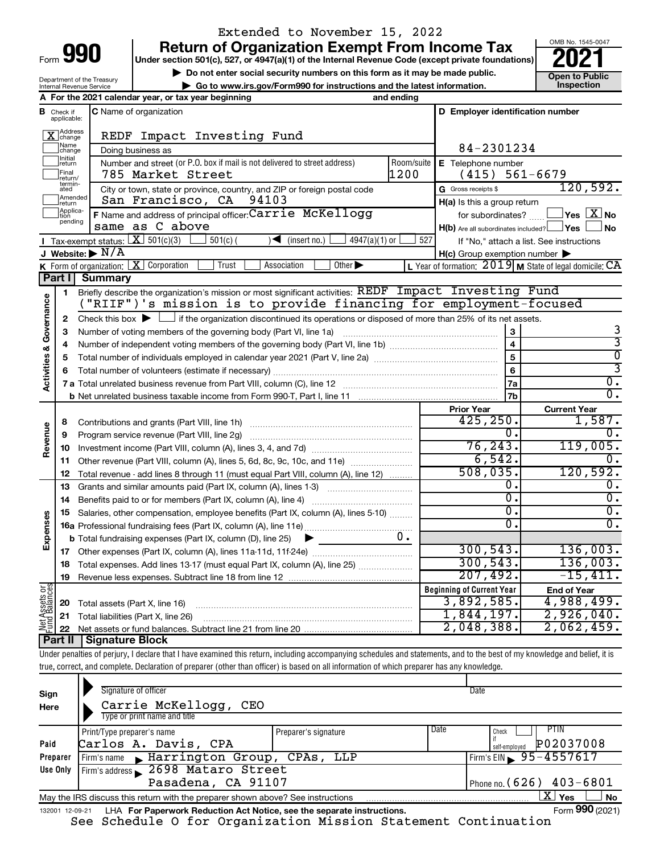Department of the Treasury Internal Revenue Service

## Extended to November 15, 2022

**990 Return of Organization Exempt From Income Tax Punce 1845-004 2021** 

**b** Do not enter social security numbers on this form as it may be made public.<br> **Go to www.irs.gov/Form990 for instructions and the latest information. This impection | Go to www.irs.gov/Form990 for instructions and the latest information. Inspection**



|                                |                               | A For the 2021 calendar year, or tax year beginning                                                                                         | and ending |                                                     |                                                                    |
|--------------------------------|-------------------------------|---------------------------------------------------------------------------------------------------------------------------------------------|------------|-----------------------------------------------------|--------------------------------------------------------------------|
|                                | <b>B</b> Check if applicable: | <b>C</b> Name of organization                                                                                                               |            | D Employer identification number                    |                                                                    |
|                                | Address<br>change             | REDF Impact Investing Fund                                                                                                                  |            |                                                     |                                                                    |
|                                | Name<br>change                | Doing business as                                                                                                                           |            | 84-2301234                                          |                                                                    |
|                                | Initial<br>return             | Number and street (or P.O. box if mail is not delivered to street address)                                                                  | Room/suite | E Telephone number                                  |                                                                    |
|                                | Final<br>return/              | 785 Market Street                                                                                                                           | 1200       | (415)                                               | $561 - 6679$                                                       |
|                                | termin-<br>ated               | City or town, state or province, country, and ZIP or foreign postal code                                                                    |            | G Gross receipts \$                                 | 120,592.                                                           |
|                                | Amended<br>return             | San Francisco, CA 94103                                                                                                                     |            | $H(a)$ is this a group return                       |                                                                    |
|                                | Applica-<br>Ition             | F Name and address of principal officer: Carrie McKellogg                                                                                   |            | for subordinates?                                   | $\sqrt{\mathsf{Yes}\mathord{\;\mathbb{X}}\mathord{\;\mathsf{No}}}$ |
|                                | pending                       | same as C above                                                                                                                             |            | $H(b)$ Are all subordinates included? $\Box$ Yes    | <b>No</b>                                                          |
|                                |                               | <b>I</b> Tax-exempt status: $X \overline{301(c)(3)}$<br>4947(a)(1) or<br>$501(c)$ (<br>$\sqrt{\frac{1}{1}}$ (insert no.)                    | 527        |                                                     | If "No," attach a list. See instructions                           |
|                                |                               | J Website: $\triangleright$ N/A                                                                                                             |            | $H(c)$ Group exemption number $\blacktriangleright$ |                                                                    |
|                                |                               | Other $\blacktriangleright$<br><b>K</b> Form of organization: $X$ Corporation<br>Trust<br>Association                                       |            |                                                     | L Year of formation: $2019$ M State of legal domicile: CA          |
|                                | Part I                        | Summary                                                                                                                                     |            |                                                     |                                                                    |
|                                | 1                             | Briefly describe the organization's mission or most significant activities: REDF Impact Investing Fund                                      |            |                                                     |                                                                    |
|                                |                               | ("RIIF")'s mission is to provide financing for employment-focused                                                                           |            |                                                     |                                                                    |
| Activities & Governance        | $\mathbf{2}$                  | Check this box $\blacktriangleright$ $\Box$ if the organization discontinued its operations or disposed of more than 25% of its net assets. |            |                                                     |                                                                    |
|                                | З                             | Number of voting members of the governing body (Part VI, line 1a)                                                                           |            | 3                                                   | 3                                                                  |
|                                | 4                             |                                                                                                                                             |            | $\overline{\mathbf{4}}$                             | $\overline{3}$                                                     |
|                                | 5                             |                                                                                                                                             |            | 5                                                   | $\overline{0}$                                                     |
|                                | 6                             |                                                                                                                                             |            | 6                                                   | 3                                                                  |
|                                |                               |                                                                                                                                             |            | 7a                                                  | $\overline{0}$ .                                                   |
|                                |                               |                                                                                                                                             |            | 7b                                                  | $\overline{0}$ .                                                   |
|                                |                               |                                                                                                                                             |            | <b>Prior Year</b>                                   | <b>Current Year</b>                                                |
|                                | 8                             | Contributions and grants (Part VIII, line 1h)                                                                                               |            | 425, 250.                                           | 1,587.                                                             |
| Revenue                        | 9                             | Program service revenue (Part VIII, line 2g)                                                                                                |            | σ.                                                  | 0.                                                                 |
|                                | 10                            |                                                                                                                                             |            | 76, 243.                                            | 119,005.                                                           |
|                                | 11                            | Other revenue (Part VIII, column (A), lines 5, 6d, 8c, 9c, 10c, and 11e)                                                                    |            | 6,542.                                              | Ο.                                                                 |
|                                | 12                            | Total revenue - add lines 8 through 11 (must equal Part VIII, column (A), line 12)                                                          |            | 508,035.                                            | 120,592.                                                           |
|                                | 13                            | Grants and similar amounts paid (Part IX, column (A), lines 1-3)                                                                            |            | 0.<br>$\overline{0}$ .                              | О.                                                                 |
|                                | 14                            | Benefits paid to or for members (Part IX, column (A), line 4)                                                                               |            | σ.                                                  | $\overline{0}$ .                                                   |
|                                | 15                            | Salaries, other compensation, employee benefits (Part IX, column (A), lines 5-10)                                                           |            |                                                     | $\overline{0}$ .                                                   |
| Expenses                       |                               |                                                                                                                                             |            | 0.                                                  | 0.                                                                 |
|                                |                               | <b>b</b> Total fundraising expenses (Part IX, column (D), line 25)<br>▶                                                                     | $0 \cdot$  | 300, 543.                                           | 136,003.                                                           |
|                                | 17                            |                                                                                                                                             |            | 300, 543.                                           | 136,003.                                                           |
|                                | 18                            | Total expenses. Add lines 13-17 (must equal Part IX, column (A), line 25) <i>manumum</i>                                                    |            |                                                     | $-15,411.$                                                         |
|                                | 19                            |                                                                                                                                             |            | 207,492.                                            |                                                                    |
| Net Assets or<br>Fund Balances |                               |                                                                                                                                             |            | <b>Beginning of Current Year</b>                    | <b>End of Year</b>                                                 |
|                                | 20                            | Total assets (Part X, line 16)                                                                                                              |            | 3,892,585.<br>1,844,197.                            | 4,988,499.<br>2,926,040.                                           |
|                                | 21                            | Total liabilities (Part X, line 26)                                                                                                         |            | 2,048,388.                                          | 2,062,459.                                                         |
|                                | 22<br>Part II                 | <b>Signature Block</b>                                                                                                                      |            |                                                     |                                                                    |
|                                |                               |                                                                                                                                             |            |                                                     |                                                                    |

Under penalties of perjury, I declare that I have examined this return, including accompanying schedules and statements, and to the best of my knowledge and belief, it is true, correct, and complete. Declaration of preparer (other than officer) is based on all information of which preparer has any knowledge.

| Sign<br>Here | Signature of officer<br>Carrie McKellogg, CEO<br>Type or print name and title                                |                      | Date |                                             |  |  |  |  |  |  |  |
|--------------|--------------------------------------------------------------------------------------------------------------|----------------------|------|---------------------------------------------|--|--|--|--|--|--|--|
| Paid         | Print/Type preparer's name<br>Carlos A. Davis, CPA                                                           | Preparer's signature | Date | PTIN<br>Check<br>P02037008<br>self-employed |  |  |  |  |  |  |  |
| Preparer     | Firm's name Marrington Group, CPAs, LLP                                                                      |                      |      | $Firm's EIN \ 95 - 4557617$                 |  |  |  |  |  |  |  |
| Use Only     | Firm's address 2698 Mataro Street                                                                            |                      |      |                                             |  |  |  |  |  |  |  |
|              | Pasadena, CA 91107<br>Phone no. $(626)$ 403-6801                                                             |                      |      |                                             |  |  |  |  |  |  |  |
|              | X <br><b>No</b><br>Yes<br>May the IRS discuss this return with the preparer shown above? See instructions    |                      |      |                                             |  |  |  |  |  |  |  |
|              | Form 990 (2021)<br>LHA For Paperwork Reduction Act Notice, see the separate instructions.<br>132001 12-09-21 |                      |      |                                             |  |  |  |  |  |  |  |

See Schedule O for Organization Mission Statement Continuation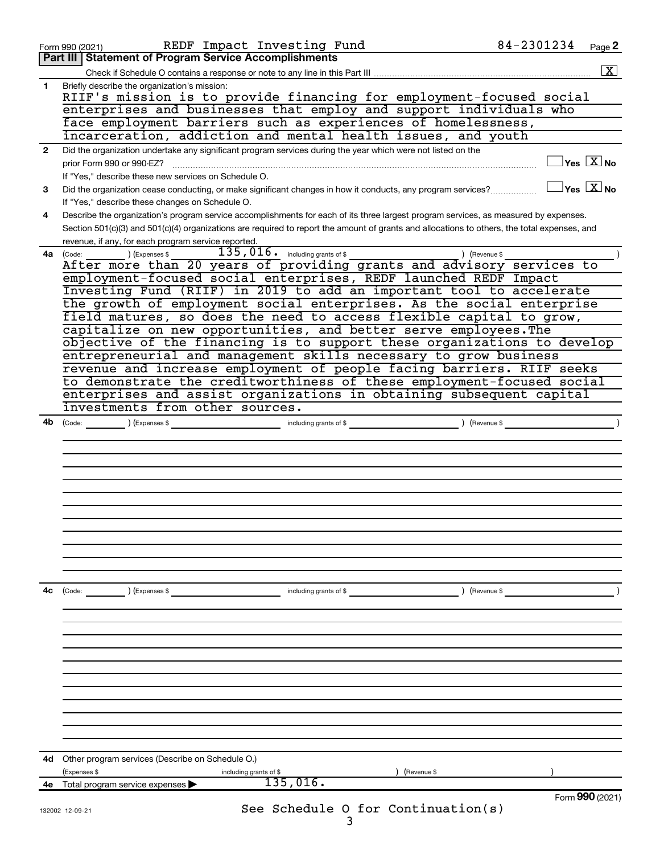| Part III   Statement of Program Service Accomplishments<br>$\boxed{\text{X}}$<br>Briefly describe the organization's mission:<br>$\mathbf{1}$<br>RIIF's mission is to provide financing for employment-focused social<br>enterprises and businesses that employ and support individuals who<br>face employment barriers such as experiences of homelessness,<br>incarceration, addiction and mental health issues, and youth<br>Did the organization undertake any significant program services during the year which were not listed on the<br>$\mathbf{2}$<br>$ {\mathsf Y}\mathsf{es}\ \boxed{{\mathsf X}}$ No<br>prior Form 990 or 990-EZ?<br>If "Yes," describe these new services on Schedule O.<br>$\mathsf{Yes} \;$ $\overline{\mathbf{X}}$ No<br>Did the organization cease conducting, or make significant changes in how it conducts, any program services?<br>3<br>If "Yes," describe these changes on Schedule O.<br>Describe the organization's program service accomplishments for each of its three largest program services, as measured by expenses.<br>4<br>Section 501(c)(3) and 501(c)(4) organizations are required to report the amount of grants and allocations to others, the total expenses, and<br>revenue, if any, for each program service reported.<br>$135,016$ $\cdot$ including grants of \$<br>$\begin{pmatrix} \text{Code:} & \text{I} & \text{I} \end{pmatrix}$ (Expenses \$<br>) (Revenue \$<br>4a l<br>employment-focused social enterprises, REDF launched REDF Impact<br>Investing Fund (RIIF) in 2019 to add an important tool to accelerate<br>the growth of employment social enterprises. As the social enterprise<br>field matures, so does the need to access flexible capital to grow,<br>capitalize on new opportunities, and better serve employees. The<br>objective of the financing is to support these organizations to develop<br>entrepreneurial and management skills necessary to grow business<br>revenue and increase employment of people facing barriers. RIIF seeks<br>to demonstrate the creditworthiness of these employment-focused social<br>enterprises and assist organizations in obtaining subsequent capital<br>investments from other sources.<br>) (Revenue \$<br>4b<br>$\left(\text{Code:}\right)$ $\left(\text{Expenses $}\right)$<br>including grants of \$<br>4с<br>) (Revenue \$<br>) (Expenses \$<br>including grants of \$<br>(Code:<br>Other program services (Describe on Schedule O.)<br>4d<br>(Expenses \$<br>including grants of \$<br>(Revenue \$<br>135,016.<br>Total program service expenses<br>4е<br>Form 990 (2021)<br>See Schedule O for Continuation(s)<br>132002 12-09-21 | 84-2301234<br>REDF Impact Investing Fund<br>Page 2<br>Form 990 (2021) |  |
|--------------------------------------------------------------------------------------------------------------------------------------------------------------------------------------------------------------------------------------------------------------------------------------------------------------------------------------------------------------------------------------------------------------------------------------------------------------------------------------------------------------------------------------------------------------------------------------------------------------------------------------------------------------------------------------------------------------------------------------------------------------------------------------------------------------------------------------------------------------------------------------------------------------------------------------------------------------------------------------------------------------------------------------------------------------------------------------------------------------------------------------------------------------------------------------------------------------------------------------------------------------------------------------------------------------------------------------------------------------------------------------------------------------------------------------------------------------------------------------------------------------------------------------------------------------------------------------------------------------------------------------------------------------------------------------------------------------------------------------------------------------------------------------------------------------------------------------------------------------------------------------------------------------------------------------------------------------------------------------------------------------------------------------------------------------------------------------------------------------------------------------------------------------------------------------------------------------------------------------------------------------------------------------------------------------------------------------------------------------------------------------------------------------------------------------------------------------------------------------------------------------------------------------------------------------------------------------------------------------------------------------------------------------------------|-----------------------------------------------------------------------|--|
|                                                                                                                                                                                                                                                                                                                                                                                                                                                                                                                                                                                                                                                                                                                                                                                                                                                                                                                                                                                                                                                                                                                                                                                                                                                                                                                                                                                                                                                                                                                                                                                                                                                                                                                                                                                                                                                                                                                                                                                                                                                                                                                                                                                                                                                                                                                                                                                                                                                                                                                                                                                                                                                                          |                                                                       |  |
|                                                                                                                                                                                                                                                                                                                                                                                                                                                                                                                                                                                                                                                                                                                                                                                                                                                                                                                                                                                                                                                                                                                                                                                                                                                                                                                                                                                                                                                                                                                                                                                                                                                                                                                                                                                                                                                                                                                                                                                                                                                                                                                                                                                                                                                                                                                                                                                                                                                                                                                                                                                                                                                                          |                                                                       |  |
|                                                                                                                                                                                                                                                                                                                                                                                                                                                                                                                                                                                                                                                                                                                                                                                                                                                                                                                                                                                                                                                                                                                                                                                                                                                                                                                                                                                                                                                                                                                                                                                                                                                                                                                                                                                                                                                                                                                                                                                                                                                                                                                                                                                                                                                                                                                                                                                                                                                                                                                                                                                                                                                                          |                                                                       |  |
|                                                                                                                                                                                                                                                                                                                                                                                                                                                                                                                                                                                                                                                                                                                                                                                                                                                                                                                                                                                                                                                                                                                                                                                                                                                                                                                                                                                                                                                                                                                                                                                                                                                                                                                                                                                                                                                                                                                                                                                                                                                                                                                                                                                                                                                                                                                                                                                                                                                                                                                                                                                                                                                                          |                                                                       |  |
|                                                                                                                                                                                                                                                                                                                                                                                                                                                                                                                                                                                                                                                                                                                                                                                                                                                                                                                                                                                                                                                                                                                                                                                                                                                                                                                                                                                                                                                                                                                                                                                                                                                                                                                                                                                                                                                                                                                                                                                                                                                                                                                                                                                                                                                                                                                                                                                                                                                                                                                                                                                                                                                                          |                                                                       |  |
|                                                                                                                                                                                                                                                                                                                                                                                                                                                                                                                                                                                                                                                                                                                                                                                                                                                                                                                                                                                                                                                                                                                                                                                                                                                                                                                                                                                                                                                                                                                                                                                                                                                                                                                                                                                                                                                                                                                                                                                                                                                                                                                                                                                                                                                                                                                                                                                                                                                                                                                                                                                                                                                                          |                                                                       |  |
|                                                                                                                                                                                                                                                                                                                                                                                                                                                                                                                                                                                                                                                                                                                                                                                                                                                                                                                                                                                                                                                                                                                                                                                                                                                                                                                                                                                                                                                                                                                                                                                                                                                                                                                                                                                                                                                                                                                                                                                                                                                                                                                                                                                                                                                                                                                                                                                                                                                                                                                                                                                                                                                                          |                                                                       |  |
|                                                                                                                                                                                                                                                                                                                                                                                                                                                                                                                                                                                                                                                                                                                                                                                                                                                                                                                                                                                                                                                                                                                                                                                                                                                                                                                                                                                                                                                                                                                                                                                                                                                                                                                                                                                                                                                                                                                                                                                                                                                                                                                                                                                                                                                                                                                                                                                                                                                                                                                                                                                                                                                                          |                                                                       |  |
|                                                                                                                                                                                                                                                                                                                                                                                                                                                                                                                                                                                                                                                                                                                                                                                                                                                                                                                                                                                                                                                                                                                                                                                                                                                                                                                                                                                                                                                                                                                                                                                                                                                                                                                                                                                                                                                                                                                                                                                                                                                                                                                                                                                                                                                                                                                                                                                                                                                                                                                                                                                                                                                                          |                                                                       |  |
|                                                                                                                                                                                                                                                                                                                                                                                                                                                                                                                                                                                                                                                                                                                                                                                                                                                                                                                                                                                                                                                                                                                                                                                                                                                                                                                                                                                                                                                                                                                                                                                                                                                                                                                                                                                                                                                                                                                                                                                                                                                                                                                                                                                                                                                                                                                                                                                                                                                                                                                                                                                                                                                                          |                                                                       |  |
|                                                                                                                                                                                                                                                                                                                                                                                                                                                                                                                                                                                                                                                                                                                                                                                                                                                                                                                                                                                                                                                                                                                                                                                                                                                                                                                                                                                                                                                                                                                                                                                                                                                                                                                                                                                                                                                                                                                                                                                                                                                                                                                                                                                                                                                                                                                                                                                                                                                                                                                                                                                                                                                                          |                                                                       |  |
|                                                                                                                                                                                                                                                                                                                                                                                                                                                                                                                                                                                                                                                                                                                                                                                                                                                                                                                                                                                                                                                                                                                                                                                                                                                                                                                                                                                                                                                                                                                                                                                                                                                                                                                                                                                                                                                                                                                                                                                                                                                                                                                                                                                                                                                                                                                                                                                                                                                                                                                                                                                                                                                                          |                                                                       |  |
|                                                                                                                                                                                                                                                                                                                                                                                                                                                                                                                                                                                                                                                                                                                                                                                                                                                                                                                                                                                                                                                                                                                                                                                                                                                                                                                                                                                                                                                                                                                                                                                                                                                                                                                                                                                                                                                                                                                                                                                                                                                                                                                                                                                                                                                                                                                                                                                                                                                                                                                                                                                                                                                                          |                                                                       |  |
|                                                                                                                                                                                                                                                                                                                                                                                                                                                                                                                                                                                                                                                                                                                                                                                                                                                                                                                                                                                                                                                                                                                                                                                                                                                                                                                                                                                                                                                                                                                                                                                                                                                                                                                                                                                                                                                                                                                                                                                                                                                                                                                                                                                                                                                                                                                                                                                                                                                                                                                                                                                                                                                                          |                                                                       |  |
|                                                                                                                                                                                                                                                                                                                                                                                                                                                                                                                                                                                                                                                                                                                                                                                                                                                                                                                                                                                                                                                                                                                                                                                                                                                                                                                                                                                                                                                                                                                                                                                                                                                                                                                                                                                                                                                                                                                                                                                                                                                                                                                                                                                                                                                                                                                                                                                                                                                                                                                                                                                                                                                                          |                                                                       |  |
|                                                                                                                                                                                                                                                                                                                                                                                                                                                                                                                                                                                                                                                                                                                                                                                                                                                                                                                                                                                                                                                                                                                                                                                                                                                                                                                                                                                                                                                                                                                                                                                                                                                                                                                                                                                                                                                                                                                                                                                                                                                                                                                                                                                                                                                                                                                                                                                                                                                                                                                                                                                                                                                                          |                                                                       |  |
|                                                                                                                                                                                                                                                                                                                                                                                                                                                                                                                                                                                                                                                                                                                                                                                                                                                                                                                                                                                                                                                                                                                                                                                                                                                                                                                                                                                                                                                                                                                                                                                                                                                                                                                                                                                                                                                                                                                                                                                                                                                                                                                                                                                                                                                                                                                                                                                                                                                                                                                                                                                                                                                                          |                                                                       |  |
|                                                                                                                                                                                                                                                                                                                                                                                                                                                                                                                                                                                                                                                                                                                                                                                                                                                                                                                                                                                                                                                                                                                                                                                                                                                                                                                                                                                                                                                                                                                                                                                                                                                                                                                                                                                                                                                                                                                                                                                                                                                                                                                                                                                                                                                                                                                                                                                                                                                                                                                                                                                                                                                                          |                                                                       |  |
|                                                                                                                                                                                                                                                                                                                                                                                                                                                                                                                                                                                                                                                                                                                                                                                                                                                                                                                                                                                                                                                                                                                                                                                                                                                                                                                                                                                                                                                                                                                                                                                                                                                                                                                                                                                                                                                                                                                                                                                                                                                                                                                                                                                                                                                                                                                                                                                                                                                                                                                                                                                                                                                                          |                                                                       |  |
|                                                                                                                                                                                                                                                                                                                                                                                                                                                                                                                                                                                                                                                                                                                                                                                                                                                                                                                                                                                                                                                                                                                                                                                                                                                                                                                                                                                                                                                                                                                                                                                                                                                                                                                                                                                                                                                                                                                                                                                                                                                                                                                                                                                                                                                                                                                                                                                                                                                                                                                                                                                                                                                                          |                                                                       |  |
|                                                                                                                                                                                                                                                                                                                                                                                                                                                                                                                                                                                                                                                                                                                                                                                                                                                                                                                                                                                                                                                                                                                                                                                                                                                                                                                                                                                                                                                                                                                                                                                                                                                                                                                                                                                                                                                                                                                                                                                                                                                                                                                                                                                                                                                                                                                                                                                                                                                                                                                                                                                                                                                                          |                                                                       |  |
|                                                                                                                                                                                                                                                                                                                                                                                                                                                                                                                                                                                                                                                                                                                                                                                                                                                                                                                                                                                                                                                                                                                                                                                                                                                                                                                                                                                                                                                                                                                                                                                                                                                                                                                                                                                                                                                                                                                                                                                                                                                                                                                                                                                                                                                                                                                                                                                                                                                                                                                                                                                                                                                                          |                                                                       |  |
|                                                                                                                                                                                                                                                                                                                                                                                                                                                                                                                                                                                                                                                                                                                                                                                                                                                                                                                                                                                                                                                                                                                                                                                                                                                                                                                                                                                                                                                                                                                                                                                                                                                                                                                                                                                                                                                                                                                                                                                                                                                                                                                                                                                                                                                                                                                                                                                                                                                                                                                                                                                                                                                                          |                                                                       |  |
|                                                                                                                                                                                                                                                                                                                                                                                                                                                                                                                                                                                                                                                                                                                                                                                                                                                                                                                                                                                                                                                                                                                                                                                                                                                                                                                                                                                                                                                                                                                                                                                                                                                                                                                                                                                                                                                                                                                                                                                                                                                                                                                                                                                                                                                                                                                                                                                                                                                                                                                                                                                                                                                                          |                                                                       |  |
|                                                                                                                                                                                                                                                                                                                                                                                                                                                                                                                                                                                                                                                                                                                                                                                                                                                                                                                                                                                                                                                                                                                                                                                                                                                                                                                                                                                                                                                                                                                                                                                                                                                                                                                                                                                                                                                                                                                                                                                                                                                                                                                                                                                                                                                                                                                                                                                                                                                                                                                                                                                                                                                                          |                                                                       |  |
|                                                                                                                                                                                                                                                                                                                                                                                                                                                                                                                                                                                                                                                                                                                                                                                                                                                                                                                                                                                                                                                                                                                                                                                                                                                                                                                                                                                                                                                                                                                                                                                                                                                                                                                                                                                                                                                                                                                                                                                                                                                                                                                                                                                                                                                                                                                                                                                                                                                                                                                                                                                                                                                                          |                                                                       |  |
|                                                                                                                                                                                                                                                                                                                                                                                                                                                                                                                                                                                                                                                                                                                                                                                                                                                                                                                                                                                                                                                                                                                                                                                                                                                                                                                                                                                                                                                                                                                                                                                                                                                                                                                                                                                                                                                                                                                                                                                                                                                                                                                                                                                                                                                                                                                                                                                                                                                                                                                                                                                                                                                                          |                                                                       |  |
|                                                                                                                                                                                                                                                                                                                                                                                                                                                                                                                                                                                                                                                                                                                                                                                                                                                                                                                                                                                                                                                                                                                                                                                                                                                                                                                                                                                                                                                                                                                                                                                                                                                                                                                                                                                                                                                                                                                                                                                                                                                                                                                                                                                                                                                                                                                                                                                                                                                                                                                                                                                                                                                                          |                                                                       |  |
|                                                                                                                                                                                                                                                                                                                                                                                                                                                                                                                                                                                                                                                                                                                                                                                                                                                                                                                                                                                                                                                                                                                                                                                                                                                                                                                                                                                                                                                                                                                                                                                                                                                                                                                                                                                                                                                                                                                                                                                                                                                                                                                                                                                                                                                                                                                                                                                                                                                                                                                                                                                                                                                                          |                                                                       |  |
|                                                                                                                                                                                                                                                                                                                                                                                                                                                                                                                                                                                                                                                                                                                                                                                                                                                                                                                                                                                                                                                                                                                                                                                                                                                                                                                                                                                                                                                                                                                                                                                                                                                                                                                                                                                                                                                                                                                                                                                                                                                                                                                                                                                                                                                                                                                                                                                                                                                                                                                                                                                                                                                                          |                                                                       |  |
|                                                                                                                                                                                                                                                                                                                                                                                                                                                                                                                                                                                                                                                                                                                                                                                                                                                                                                                                                                                                                                                                                                                                                                                                                                                                                                                                                                                                                                                                                                                                                                                                                                                                                                                                                                                                                                                                                                                                                                                                                                                                                                                                                                                                                                                                                                                                                                                                                                                                                                                                                                                                                                                                          |                                                                       |  |
|                                                                                                                                                                                                                                                                                                                                                                                                                                                                                                                                                                                                                                                                                                                                                                                                                                                                                                                                                                                                                                                                                                                                                                                                                                                                                                                                                                                                                                                                                                                                                                                                                                                                                                                                                                                                                                                                                                                                                                                                                                                                                                                                                                                                                                                                                                                                                                                                                                                                                                                                                                                                                                                                          |                                                                       |  |
|                                                                                                                                                                                                                                                                                                                                                                                                                                                                                                                                                                                                                                                                                                                                                                                                                                                                                                                                                                                                                                                                                                                                                                                                                                                                                                                                                                                                                                                                                                                                                                                                                                                                                                                                                                                                                                                                                                                                                                                                                                                                                                                                                                                                                                                                                                                                                                                                                                                                                                                                                                                                                                                                          |                                                                       |  |
|                                                                                                                                                                                                                                                                                                                                                                                                                                                                                                                                                                                                                                                                                                                                                                                                                                                                                                                                                                                                                                                                                                                                                                                                                                                                                                                                                                                                                                                                                                                                                                                                                                                                                                                                                                                                                                                                                                                                                                                                                                                                                                                                                                                                                                                                                                                                                                                                                                                                                                                                                                                                                                                                          |                                                                       |  |
|                                                                                                                                                                                                                                                                                                                                                                                                                                                                                                                                                                                                                                                                                                                                                                                                                                                                                                                                                                                                                                                                                                                                                                                                                                                                                                                                                                                                                                                                                                                                                                                                                                                                                                                                                                                                                                                                                                                                                                                                                                                                                                                                                                                                                                                                                                                                                                                                                                                                                                                                                                                                                                                                          |                                                                       |  |
|                                                                                                                                                                                                                                                                                                                                                                                                                                                                                                                                                                                                                                                                                                                                                                                                                                                                                                                                                                                                                                                                                                                                                                                                                                                                                                                                                                                                                                                                                                                                                                                                                                                                                                                                                                                                                                                                                                                                                                                                                                                                                                                                                                                                                                                                                                                                                                                                                                                                                                                                                                                                                                                                          |                                                                       |  |
|                                                                                                                                                                                                                                                                                                                                                                                                                                                                                                                                                                                                                                                                                                                                                                                                                                                                                                                                                                                                                                                                                                                                                                                                                                                                                                                                                                                                                                                                                                                                                                                                                                                                                                                                                                                                                                                                                                                                                                                                                                                                                                                                                                                                                                                                                                                                                                                                                                                                                                                                                                                                                                                                          |                                                                       |  |
|                                                                                                                                                                                                                                                                                                                                                                                                                                                                                                                                                                                                                                                                                                                                                                                                                                                                                                                                                                                                                                                                                                                                                                                                                                                                                                                                                                                                                                                                                                                                                                                                                                                                                                                                                                                                                                                                                                                                                                                                                                                                                                                                                                                                                                                                                                                                                                                                                                                                                                                                                                                                                                                                          |                                                                       |  |
|                                                                                                                                                                                                                                                                                                                                                                                                                                                                                                                                                                                                                                                                                                                                                                                                                                                                                                                                                                                                                                                                                                                                                                                                                                                                                                                                                                                                                                                                                                                                                                                                                                                                                                                                                                                                                                                                                                                                                                                                                                                                                                                                                                                                                                                                                                                                                                                                                                                                                                                                                                                                                                                                          |                                                                       |  |
|                                                                                                                                                                                                                                                                                                                                                                                                                                                                                                                                                                                                                                                                                                                                                                                                                                                                                                                                                                                                                                                                                                                                                                                                                                                                                                                                                                                                                                                                                                                                                                                                                                                                                                                                                                                                                                                                                                                                                                                                                                                                                                                                                                                                                                                                                                                                                                                                                                                                                                                                                                                                                                                                          |                                                                       |  |
|                                                                                                                                                                                                                                                                                                                                                                                                                                                                                                                                                                                                                                                                                                                                                                                                                                                                                                                                                                                                                                                                                                                                                                                                                                                                                                                                                                                                                                                                                                                                                                                                                                                                                                                                                                                                                                                                                                                                                                                                                                                                                                                                                                                                                                                                                                                                                                                                                                                                                                                                                                                                                                                                          |                                                                       |  |
|                                                                                                                                                                                                                                                                                                                                                                                                                                                                                                                                                                                                                                                                                                                                                                                                                                                                                                                                                                                                                                                                                                                                                                                                                                                                                                                                                                                                                                                                                                                                                                                                                                                                                                                                                                                                                                                                                                                                                                                                                                                                                                                                                                                                                                                                                                                                                                                                                                                                                                                                                                                                                                                                          |                                                                       |  |
|                                                                                                                                                                                                                                                                                                                                                                                                                                                                                                                                                                                                                                                                                                                                                                                                                                                                                                                                                                                                                                                                                                                                                                                                                                                                                                                                                                                                                                                                                                                                                                                                                                                                                                                                                                                                                                                                                                                                                                                                                                                                                                                                                                                                                                                                                                                                                                                                                                                                                                                                                                                                                                                                          |                                                                       |  |
|                                                                                                                                                                                                                                                                                                                                                                                                                                                                                                                                                                                                                                                                                                                                                                                                                                                                                                                                                                                                                                                                                                                                                                                                                                                                                                                                                                                                                                                                                                                                                                                                                                                                                                                                                                                                                                                                                                                                                                                                                                                                                                                                                                                                                                                                                                                                                                                                                                                                                                                                                                                                                                                                          |                                                                       |  |
|                                                                                                                                                                                                                                                                                                                                                                                                                                                                                                                                                                                                                                                                                                                                                                                                                                                                                                                                                                                                                                                                                                                                                                                                                                                                                                                                                                                                                                                                                                                                                                                                                                                                                                                                                                                                                                                                                                                                                                                                                                                                                                                                                                                                                                                                                                                                                                                                                                                                                                                                                                                                                                                                          |                                                                       |  |
|                                                                                                                                                                                                                                                                                                                                                                                                                                                                                                                                                                                                                                                                                                                                                                                                                                                                                                                                                                                                                                                                                                                                                                                                                                                                                                                                                                                                                                                                                                                                                                                                                                                                                                                                                                                                                                                                                                                                                                                                                                                                                                                                                                                                                                                                                                                                                                                                                                                                                                                                                                                                                                                                          |                                                                       |  |
|                                                                                                                                                                                                                                                                                                                                                                                                                                                                                                                                                                                                                                                                                                                                                                                                                                                                                                                                                                                                                                                                                                                                                                                                                                                                                                                                                                                                                                                                                                                                                                                                                                                                                                                                                                                                                                                                                                                                                                                                                                                                                                                                                                                                                                                                                                                                                                                                                                                                                                                                                                                                                                                                          |                                                                       |  |
|                                                                                                                                                                                                                                                                                                                                                                                                                                                                                                                                                                                                                                                                                                                                                                                                                                                                                                                                                                                                                                                                                                                                                                                                                                                                                                                                                                                                                                                                                                                                                                                                                                                                                                                                                                                                                                                                                                                                                                                                                                                                                                                                                                                                                                                                                                                                                                                                                                                                                                                                                                                                                                                                          |                                                                       |  |
|                                                                                                                                                                                                                                                                                                                                                                                                                                                                                                                                                                                                                                                                                                                                                                                                                                                                                                                                                                                                                                                                                                                                                                                                                                                                                                                                                                                                                                                                                                                                                                                                                                                                                                                                                                                                                                                                                                                                                                                                                                                                                                                                                                                                                                                                                                                                                                                                                                                                                                                                                                                                                                                                          |                                                                       |  |
|                                                                                                                                                                                                                                                                                                                                                                                                                                                                                                                                                                                                                                                                                                                                                                                                                                                                                                                                                                                                                                                                                                                                                                                                                                                                                                                                                                                                                                                                                                                                                                                                                                                                                                                                                                                                                                                                                                                                                                                                                                                                                                                                                                                                                                                                                                                                                                                                                                                                                                                                                                                                                                                                          |                                                                       |  |
|                                                                                                                                                                                                                                                                                                                                                                                                                                                                                                                                                                                                                                                                                                                                                                                                                                                                                                                                                                                                                                                                                                                                                                                                                                                                                                                                                                                                                                                                                                                                                                                                                                                                                                                                                                                                                                                                                                                                                                                                                                                                                                                                                                                                                                                                                                                                                                                                                                                                                                                                                                                                                                                                          |                                                                       |  |
|                                                                                                                                                                                                                                                                                                                                                                                                                                                                                                                                                                                                                                                                                                                                                                                                                                                                                                                                                                                                                                                                                                                                                                                                                                                                                                                                                                                                                                                                                                                                                                                                                                                                                                                                                                                                                                                                                                                                                                                                                                                                                                                                                                                                                                                                                                                                                                                                                                                                                                                                                                                                                                                                          |                                                                       |  |
|                                                                                                                                                                                                                                                                                                                                                                                                                                                                                                                                                                                                                                                                                                                                                                                                                                                                                                                                                                                                                                                                                                                                                                                                                                                                                                                                                                                                                                                                                                                                                                                                                                                                                                                                                                                                                                                                                                                                                                                                                                                                                                                                                                                                                                                                                                                                                                                                                                                                                                                                                                                                                                                                          |                                                                       |  |
|                                                                                                                                                                                                                                                                                                                                                                                                                                                                                                                                                                                                                                                                                                                                                                                                                                                                                                                                                                                                                                                                                                                                                                                                                                                                                                                                                                                                                                                                                                                                                                                                                                                                                                                                                                                                                                                                                                                                                                                                                                                                                                                                                                                                                                                                                                                                                                                                                                                                                                                                                                                                                                                                          |                                                                       |  |
|                                                                                                                                                                                                                                                                                                                                                                                                                                                                                                                                                                                                                                                                                                                                                                                                                                                                                                                                                                                                                                                                                                                                                                                                                                                                                                                                                                                                                                                                                                                                                                                                                                                                                                                                                                                                                                                                                                                                                                                                                                                                                                                                                                                                                                                                                                                                                                                                                                                                                                                                                                                                                                                                          |                                                                       |  |
|                                                                                                                                                                                                                                                                                                                                                                                                                                                                                                                                                                                                                                                                                                                                                                                                                                                                                                                                                                                                                                                                                                                                                                                                                                                                                                                                                                                                                                                                                                                                                                                                                                                                                                                                                                                                                                                                                                                                                                                                                                                                                                                                                                                                                                                                                                                                                                                                                                                                                                                                                                                                                                                                          |                                                                       |  |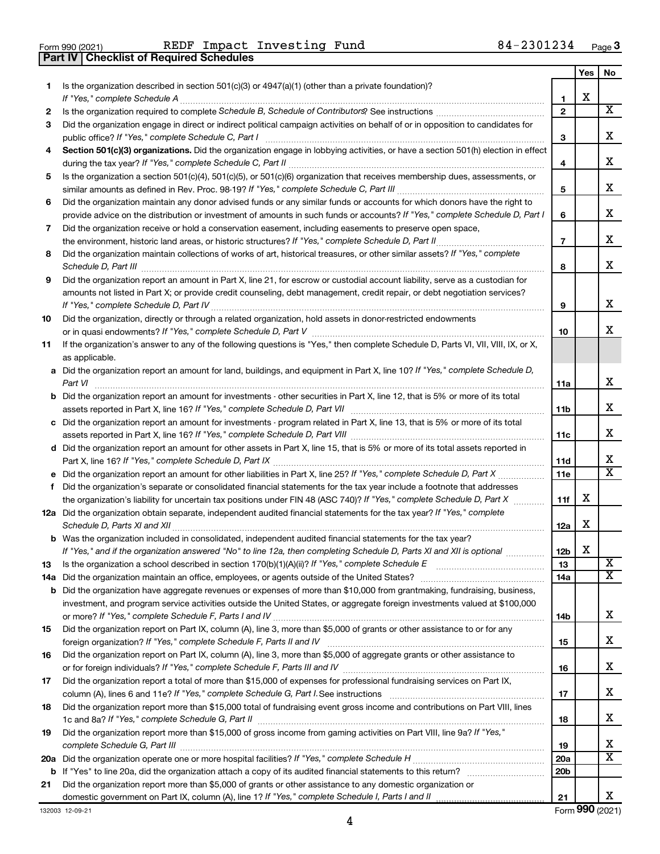**Part IV Checklist of Required Schedules**

Form 990 (2021) Page REDF Impact Investing Fund 84-2301234

|    |                                                                                                                                                                                                                                                           |                 | Yes | No                      |
|----|-----------------------------------------------------------------------------------------------------------------------------------------------------------------------------------------------------------------------------------------------------------|-----------------|-----|-------------------------|
| 1  | Is the organization described in section $501(c)(3)$ or $4947(a)(1)$ (other than a private foundation)?                                                                                                                                                   |                 |     |                         |
|    | If "Yes," complete Schedule A                                                                                                                                                                                                                             | 1               | х   |                         |
| 2  |                                                                                                                                                                                                                                                           | $\mathbf{2}$    |     | $\overline{\textbf{X}}$ |
| 3  | Did the organization engage in direct or indirect political campaign activities on behalf of or in opposition to candidates for                                                                                                                           |                 |     |                         |
|    | public office? If "Yes," complete Schedule C, Part I                                                                                                                                                                                                      | З               |     | х                       |
| 4  | Section 501(c)(3) organizations. Did the organization engage in lobbying activities, or have a section 501(h) election in effect                                                                                                                          |                 |     |                         |
|    |                                                                                                                                                                                                                                                           | 4               |     | х                       |
| 5  | Is the organization a section 501(c)(4), 501(c)(5), or 501(c)(6) organization that receives membership dues, assessments, or                                                                                                                              |                 |     | х                       |
|    |                                                                                                                                                                                                                                                           | 5               |     |                         |
| 6  | Did the organization maintain any donor advised funds or any similar funds or accounts for which donors have the right to<br>provide advice on the distribution or investment of amounts in such funds or accounts? If "Yes," complete Schedule D, Part I | 6               |     | х                       |
| 7  | Did the organization receive or hold a conservation easement, including easements to preserve open space,                                                                                                                                                 |                 |     |                         |
|    |                                                                                                                                                                                                                                                           | $\overline{7}$  |     | х                       |
| 8  | .<br>Did the organization maintain collections of works of art, historical treasures, or other similar assets? If "Yes," complete                                                                                                                         |                 |     |                         |
|    |                                                                                                                                                                                                                                                           | 8               |     | x                       |
| 9  | Did the organization report an amount in Part X, line 21, for escrow or custodial account liability, serve as a custodian for                                                                                                                             |                 |     |                         |
|    | amounts not listed in Part X; or provide credit counseling, debt management, credit repair, or debt negotiation services?                                                                                                                                 |                 |     |                         |
|    |                                                                                                                                                                                                                                                           | 9               |     | x                       |
| 10 | Did the organization, directly or through a related organization, hold assets in donor-restricted endowments                                                                                                                                              |                 |     |                         |
|    |                                                                                                                                                                                                                                                           | 10              |     | x                       |
| 11 | If the organization's answer to any of the following questions is "Yes," then complete Schedule D, Parts VI, VII, VIII, IX, or X,                                                                                                                         |                 |     |                         |
|    | as applicable.                                                                                                                                                                                                                                            |                 |     |                         |
|    | a Did the organization report an amount for land, buildings, and equipment in Part X, line 10? If "Yes," complete Schedule D,                                                                                                                             |                 |     |                         |
|    | Part VI                                                                                                                                                                                                                                                   | 11a             |     | x                       |
|    | <b>b</b> Did the organization report an amount for investments - other securities in Part X, line 12, that is 5% or more of its total                                                                                                                     |                 |     |                         |
|    |                                                                                                                                                                                                                                                           | 11b             |     | х                       |
|    | c Did the organization report an amount for investments - program related in Part X, line 13, that is 5% or more of its total                                                                                                                             |                 |     |                         |
|    |                                                                                                                                                                                                                                                           | 11c             |     | х                       |
|    | d Did the organization report an amount for other assets in Part X, line 15, that is 5% or more of its total assets reported in                                                                                                                           |                 |     |                         |
|    |                                                                                                                                                                                                                                                           | 11d             |     | x                       |
|    |                                                                                                                                                                                                                                                           | 11e             |     | X                       |
| f  | Did the organization's separate or consolidated financial statements for the tax year include a footnote that addresses                                                                                                                                   |                 | х   |                         |
|    | the organization's liability for uncertain tax positions under FIN 48 (ASC 740)? If "Yes," complete Schedule D, Part X<br>12a Did the organization obtain separate, independent audited financial statements for the tax year? If "Yes," complete         | 11f             |     |                         |
|    | Schedule D, Parts XI and XII                                                                                                                                                                                                                              | 12a             | x   |                         |
|    | <b>b</b> Was the organization included in consolidated, independent audited financial statements for the tax year?                                                                                                                                        |                 |     |                         |
|    | If "Yes," and if the organization answered "No" to line 12a, then completing Schedule D, Parts XI and XII is optional www.                                                                                                                                | 12 <sub>b</sub> | X   |                         |
| 13 |                                                                                                                                                                                                                                                           | 13              |     | $\overline{\mathbf{X}}$ |
|    |                                                                                                                                                                                                                                                           | 14a             |     | х                       |
|    | <b>b</b> Did the organization have aggregate revenues or expenses of more than \$10,000 from grantmaking, fundraising, business,                                                                                                                          |                 |     |                         |
|    | investment, and program service activities outside the United States, or aggregate foreign investments valued at \$100,000                                                                                                                                |                 |     |                         |
|    |                                                                                                                                                                                                                                                           | 14b             |     | х                       |
| 15 | Did the organization report on Part IX, column (A), line 3, more than \$5,000 of grants or other assistance to or for any                                                                                                                                 |                 |     |                         |
|    |                                                                                                                                                                                                                                                           | 15              |     | х                       |
| 16 | Did the organization report on Part IX, column (A), line 3, more than \$5,000 of aggregate grants or other assistance to                                                                                                                                  |                 |     |                         |
|    |                                                                                                                                                                                                                                                           | 16              |     | х                       |
| 17 | Did the organization report a total of more than \$15,000 of expenses for professional fundraising services on Part IX,                                                                                                                                   |                 |     |                         |
|    |                                                                                                                                                                                                                                                           | 17              |     | х                       |
| 18 | Did the organization report more than \$15,000 total of fundraising event gross income and contributions on Part VIII, lines                                                                                                                              |                 |     |                         |
|    |                                                                                                                                                                                                                                                           | 18              |     | х                       |
| 19 | Did the organization report more than \$15,000 of gross income from gaming activities on Part VIII, line 9a? If "Yes,"                                                                                                                                    |                 |     |                         |
|    |                                                                                                                                                                                                                                                           | 19              |     | x<br>х                  |
|    |                                                                                                                                                                                                                                                           | 20a             |     |                         |
|    |                                                                                                                                                                                                                                                           | 20 <sub>b</sub> |     |                         |
| 21 | Did the organization report more than \$5,000 of grants or other assistance to any domestic organization or                                                                                                                                               | 21              |     | x                       |
|    |                                                                                                                                                                                                                                                           |                 |     |                         |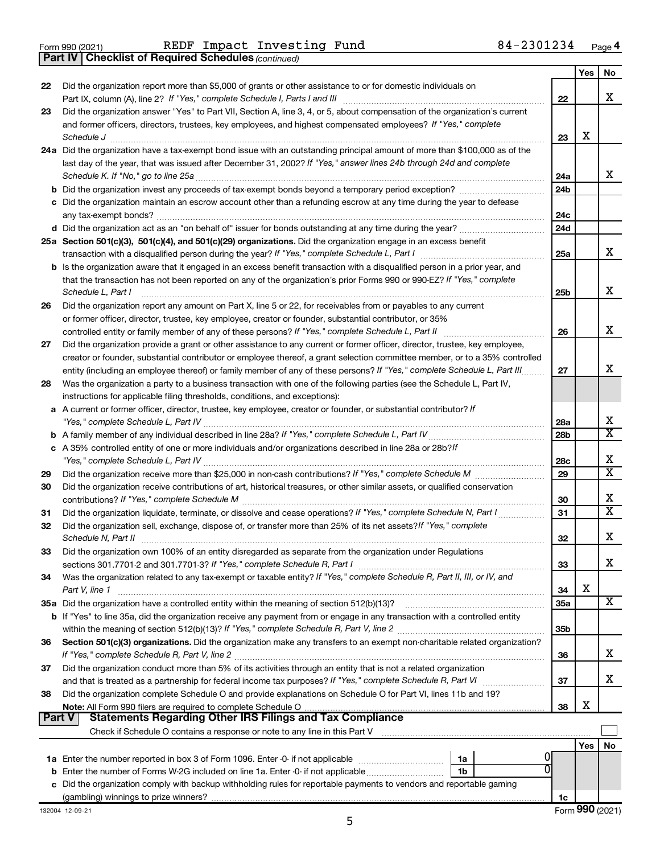**Part IV Checklist of Required Schedules**

Form 990 (2021) Page REDF Impact Investing Fund 84-2301234

*(continued)*

| No<br>Did the organization report more than \$5,000 of grants or other assistance to or for domestic individuals on<br>22<br>x<br>22<br>Did the organization answer "Yes" to Part VII, Section A, line 3, 4, or 5, about compensation of the organization's current<br>23<br>and former officers, directors, trustees, key employees, and highest compensated employees? If "Yes," complete<br>х<br>Schedule J<br>23<br>24a Did the organization have a tax-exempt bond issue with an outstanding principal amount of more than \$100,000 as of the<br>last day of the year, that was issued after December 31, 2002? If "Yes," answer lines 24b through 24d and complete<br>X.<br>24a<br>24 <sub>b</sub><br>c Did the organization maintain an escrow account other than a refunding escrow at any time during the year to defease<br>24c<br>24d<br>25a Section 501(c)(3), 501(c)(4), and 501(c)(29) organizations. Did the organization engage in an excess benefit<br>X.<br>25a<br><b>b</b> Is the organization aware that it engaged in an excess benefit transaction with a disqualified person in a prior year, and<br>that the transaction has not been reported on any of the organization's prior Forms 990 or 990-EZ? If "Yes," complete<br>X.<br>Schedule L, Part I<br>25b<br>Did the organization report any amount on Part X, line 5 or 22, for receivables from or payables to any current<br>26<br>or former officer, director, trustee, key employee, creator or founder, substantial contributor, or 35%<br>x<br>controlled entity or family member of any of these persons? If "Yes," complete Schedule L, Part II<br>26<br>Did the organization provide a grant or other assistance to any current or former officer, director, trustee, key employee,<br>27<br>creator or founder, substantial contributor or employee thereof, a grant selection committee member, or to a 35% controlled<br>x<br>entity (including an employee thereof) or family member of any of these persons? If "Yes," complete Schedule L, Part III<br>27<br>Was the organization a party to a business transaction with one of the following parties (see the Schedule L, Part IV,<br>28<br>instructions for applicable filing thresholds, conditions, and exceptions):<br>A current or former officer, director, trustee, key employee, creator or founder, or substantial contributor? If<br>х<br>28a<br>$\overline{\texttt{x}}$<br>28b<br>b<br>c A 35% controlled entity of one or more individuals and/or organizations described in line 28a or 28b?If<br>х<br>28c<br>$\overline{\texttt{x}}$<br>29<br>29<br>Did the organization receive contributions of art, historical treasures, or other similar assets, or qualified conservation<br>30<br>x<br>30<br>$\overline{\text{x}}$<br>Did the organization liquidate, terminate, or dissolve and cease operations? If "Yes," complete Schedule N, Part I<br>31<br>31<br>Did the organization sell, exchange, dispose of, or transfer more than 25% of its net assets? If "Yes," complete<br>32<br>x<br>Schedule N, Part II<br>32<br>Did the organization own 100% of an entity disregarded as separate from the organization under Regulations<br>33<br>x<br>sections 301.7701-2 and 301.7701-3? If "Yes," complete Schedule R, Part I<br>33<br>Was the organization related to any tax-exempt or taxable entity? If "Yes," complete Schedule R, Part II, III, or IV, and<br>34<br>х<br>Part V, line 1<br>34<br>x<br>35a Did the organization have a controlled entity within the meaning of section 512(b)(13)?<br>35a<br><b>b</b> If "Yes" to line 35a, did the organization receive any payment from or engage in any transaction with a controlled entity<br>35b<br>Section 501(c)(3) organizations. Did the organization make any transfers to an exempt non-charitable related organization?<br>36<br>х<br>36<br>Did the organization conduct more than 5% of its activities through an entity that is not a related organization<br>37<br>х<br>37<br>Did the organization complete Schedule O and provide explanations on Schedule O for Part VI, lines 11b and 19?<br>38<br>X<br>38<br><b>Statements Regarding Other IRS Filings and Tax Compliance</b><br><b>Part V</b><br>No<br>Yes<br>1a<br>Enter the number of Forms W-2G included on line 1a. Enter -0- if not applicable<br>1b<br>b<br>Did the organization comply with backup withholding rules for reportable payments to vendors and reportable gaming<br>с<br>1c |  | Yes |  |
|--------------------------------------------------------------------------------------------------------------------------------------------------------------------------------------------------------------------------------------------------------------------------------------------------------------------------------------------------------------------------------------------------------------------------------------------------------------------------------------------------------------------------------------------------------------------------------------------------------------------------------------------------------------------------------------------------------------------------------------------------------------------------------------------------------------------------------------------------------------------------------------------------------------------------------------------------------------------------------------------------------------------------------------------------------------------------------------------------------------------------------------------------------------------------------------------------------------------------------------------------------------------------------------------------------------------------------------------------------------------------------------------------------------------------------------------------------------------------------------------------------------------------------------------------------------------------------------------------------------------------------------------------------------------------------------------------------------------------------------------------------------------------------------------------------------------------------------------------------------------------------------------------------------------------------------------------------------------------------------------------------------------------------------------------------------------------------------------------------------------------------------------------------------------------------------------------------------------------------------------------------------------------------------------------------------------------------------------------------------------------------------------------------------------------------------------------------------------------------------------------------------------------------------------------------------------------------------------------------------------------------------------------------------------------------------------------------------------------------------------------------------------------------------------------------------------------------------------------------------------------------------------------------------------------------------------------------------------------------------------------------------------------------------------------------------------------------------------------------------------------------------------------------------------------------------------------------------------------------------------------------------------------------------------------------------------------------------------------------------------------------------------------------------------------------------------------------------------------------------------------------------------------------------------------------------------------------------------------------------------------------------------------------------------------------------------------------------------------------------------------------------------------------------------------------------------------------------------------------------------------------------------------------------------------------------------------------------------------------------------------------------------------------------------------------------------------------------------------------------------------------------------------------------------------------------------------------------------------------------------------------------------------------------------------------------------------------------------------------------------------------------------------------------------------------------------------------------------------------------|--|-----|--|
|                                                                                                                                                                                                                                                                                                                                                                                                                                                                                                                                                                                                                                                                                                                                                                                                                                                                                                                                                                                                                                                                                                                                                                                                                                                                                                                                                                                                                                                                                                                                                                                                                                                                                                                                                                                                                                                                                                                                                                                                                                                                                                                                                                                                                                                                                                                                                                                                                                                                                                                                                                                                                                                                                                                                                                                                                                                                                                                                                                                                                                                                                                                                                                                                                                                                                                                                                                                                                                                                                                                                                                                                                                                                                                                                                                                                                                                                                                                                                                                                                                                                                                                                                                                                                                                                                                                                                                                                                                                                                      |  |     |  |
|                                                                                                                                                                                                                                                                                                                                                                                                                                                                                                                                                                                                                                                                                                                                                                                                                                                                                                                                                                                                                                                                                                                                                                                                                                                                                                                                                                                                                                                                                                                                                                                                                                                                                                                                                                                                                                                                                                                                                                                                                                                                                                                                                                                                                                                                                                                                                                                                                                                                                                                                                                                                                                                                                                                                                                                                                                                                                                                                                                                                                                                                                                                                                                                                                                                                                                                                                                                                                                                                                                                                                                                                                                                                                                                                                                                                                                                                                                                                                                                                                                                                                                                                                                                                                                                                                                                                                                                                                                                                                      |  |     |  |
|                                                                                                                                                                                                                                                                                                                                                                                                                                                                                                                                                                                                                                                                                                                                                                                                                                                                                                                                                                                                                                                                                                                                                                                                                                                                                                                                                                                                                                                                                                                                                                                                                                                                                                                                                                                                                                                                                                                                                                                                                                                                                                                                                                                                                                                                                                                                                                                                                                                                                                                                                                                                                                                                                                                                                                                                                                                                                                                                                                                                                                                                                                                                                                                                                                                                                                                                                                                                                                                                                                                                                                                                                                                                                                                                                                                                                                                                                                                                                                                                                                                                                                                                                                                                                                                                                                                                                                                                                                                                                      |  |     |  |
|                                                                                                                                                                                                                                                                                                                                                                                                                                                                                                                                                                                                                                                                                                                                                                                                                                                                                                                                                                                                                                                                                                                                                                                                                                                                                                                                                                                                                                                                                                                                                                                                                                                                                                                                                                                                                                                                                                                                                                                                                                                                                                                                                                                                                                                                                                                                                                                                                                                                                                                                                                                                                                                                                                                                                                                                                                                                                                                                                                                                                                                                                                                                                                                                                                                                                                                                                                                                                                                                                                                                                                                                                                                                                                                                                                                                                                                                                                                                                                                                                                                                                                                                                                                                                                                                                                                                                                                                                                                                                      |  |     |  |
|                                                                                                                                                                                                                                                                                                                                                                                                                                                                                                                                                                                                                                                                                                                                                                                                                                                                                                                                                                                                                                                                                                                                                                                                                                                                                                                                                                                                                                                                                                                                                                                                                                                                                                                                                                                                                                                                                                                                                                                                                                                                                                                                                                                                                                                                                                                                                                                                                                                                                                                                                                                                                                                                                                                                                                                                                                                                                                                                                                                                                                                                                                                                                                                                                                                                                                                                                                                                                                                                                                                                                                                                                                                                                                                                                                                                                                                                                                                                                                                                                                                                                                                                                                                                                                                                                                                                                                                                                                                                                      |  |     |  |
|                                                                                                                                                                                                                                                                                                                                                                                                                                                                                                                                                                                                                                                                                                                                                                                                                                                                                                                                                                                                                                                                                                                                                                                                                                                                                                                                                                                                                                                                                                                                                                                                                                                                                                                                                                                                                                                                                                                                                                                                                                                                                                                                                                                                                                                                                                                                                                                                                                                                                                                                                                                                                                                                                                                                                                                                                                                                                                                                                                                                                                                                                                                                                                                                                                                                                                                                                                                                                                                                                                                                                                                                                                                                                                                                                                                                                                                                                                                                                                                                                                                                                                                                                                                                                                                                                                                                                                                                                                                                                      |  |     |  |
|                                                                                                                                                                                                                                                                                                                                                                                                                                                                                                                                                                                                                                                                                                                                                                                                                                                                                                                                                                                                                                                                                                                                                                                                                                                                                                                                                                                                                                                                                                                                                                                                                                                                                                                                                                                                                                                                                                                                                                                                                                                                                                                                                                                                                                                                                                                                                                                                                                                                                                                                                                                                                                                                                                                                                                                                                                                                                                                                                                                                                                                                                                                                                                                                                                                                                                                                                                                                                                                                                                                                                                                                                                                                                                                                                                                                                                                                                                                                                                                                                                                                                                                                                                                                                                                                                                                                                                                                                                                                                      |  |     |  |
|                                                                                                                                                                                                                                                                                                                                                                                                                                                                                                                                                                                                                                                                                                                                                                                                                                                                                                                                                                                                                                                                                                                                                                                                                                                                                                                                                                                                                                                                                                                                                                                                                                                                                                                                                                                                                                                                                                                                                                                                                                                                                                                                                                                                                                                                                                                                                                                                                                                                                                                                                                                                                                                                                                                                                                                                                                                                                                                                                                                                                                                                                                                                                                                                                                                                                                                                                                                                                                                                                                                                                                                                                                                                                                                                                                                                                                                                                                                                                                                                                                                                                                                                                                                                                                                                                                                                                                                                                                                                                      |  |     |  |
|                                                                                                                                                                                                                                                                                                                                                                                                                                                                                                                                                                                                                                                                                                                                                                                                                                                                                                                                                                                                                                                                                                                                                                                                                                                                                                                                                                                                                                                                                                                                                                                                                                                                                                                                                                                                                                                                                                                                                                                                                                                                                                                                                                                                                                                                                                                                                                                                                                                                                                                                                                                                                                                                                                                                                                                                                                                                                                                                                                                                                                                                                                                                                                                                                                                                                                                                                                                                                                                                                                                                                                                                                                                                                                                                                                                                                                                                                                                                                                                                                                                                                                                                                                                                                                                                                                                                                                                                                                                                                      |  |     |  |
|                                                                                                                                                                                                                                                                                                                                                                                                                                                                                                                                                                                                                                                                                                                                                                                                                                                                                                                                                                                                                                                                                                                                                                                                                                                                                                                                                                                                                                                                                                                                                                                                                                                                                                                                                                                                                                                                                                                                                                                                                                                                                                                                                                                                                                                                                                                                                                                                                                                                                                                                                                                                                                                                                                                                                                                                                                                                                                                                                                                                                                                                                                                                                                                                                                                                                                                                                                                                                                                                                                                                                                                                                                                                                                                                                                                                                                                                                                                                                                                                                                                                                                                                                                                                                                                                                                                                                                                                                                                                                      |  |     |  |
|                                                                                                                                                                                                                                                                                                                                                                                                                                                                                                                                                                                                                                                                                                                                                                                                                                                                                                                                                                                                                                                                                                                                                                                                                                                                                                                                                                                                                                                                                                                                                                                                                                                                                                                                                                                                                                                                                                                                                                                                                                                                                                                                                                                                                                                                                                                                                                                                                                                                                                                                                                                                                                                                                                                                                                                                                                                                                                                                                                                                                                                                                                                                                                                                                                                                                                                                                                                                                                                                                                                                                                                                                                                                                                                                                                                                                                                                                                                                                                                                                                                                                                                                                                                                                                                                                                                                                                                                                                                                                      |  |     |  |
|                                                                                                                                                                                                                                                                                                                                                                                                                                                                                                                                                                                                                                                                                                                                                                                                                                                                                                                                                                                                                                                                                                                                                                                                                                                                                                                                                                                                                                                                                                                                                                                                                                                                                                                                                                                                                                                                                                                                                                                                                                                                                                                                                                                                                                                                                                                                                                                                                                                                                                                                                                                                                                                                                                                                                                                                                                                                                                                                                                                                                                                                                                                                                                                                                                                                                                                                                                                                                                                                                                                                                                                                                                                                                                                                                                                                                                                                                                                                                                                                                                                                                                                                                                                                                                                                                                                                                                                                                                                                                      |  |     |  |
|                                                                                                                                                                                                                                                                                                                                                                                                                                                                                                                                                                                                                                                                                                                                                                                                                                                                                                                                                                                                                                                                                                                                                                                                                                                                                                                                                                                                                                                                                                                                                                                                                                                                                                                                                                                                                                                                                                                                                                                                                                                                                                                                                                                                                                                                                                                                                                                                                                                                                                                                                                                                                                                                                                                                                                                                                                                                                                                                                                                                                                                                                                                                                                                                                                                                                                                                                                                                                                                                                                                                                                                                                                                                                                                                                                                                                                                                                                                                                                                                                                                                                                                                                                                                                                                                                                                                                                                                                                                                                      |  |     |  |
|                                                                                                                                                                                                                                                                                                                                                                                                                                                                                                                                                                                                                                                                                                                                                                                                                                                                                                                                                                                                                                                                                                                                                                                                                                                                                                                                                                                                                                                                                                                                                                                                                                                                                                                                                                                                                                                                                                                                                                                                                                                                                                                                                                                                                                                                                                                                                                                                                                                                                                                                                                                                                                                                                                                                                                                                                                                                                                                                                                                                                                                                                                                                                                                                                                                                                                                                                                                                                                                                                                                                                                                                                                                                                                                                                                                                                                                                                                                                                                                                                                                                                                                                                                                                                                                                                                                                                                                                                                                                                      |  |     |  |
|                                                                                                                                                                                                                                                                                                                                                                                                                                                                                                                                                                                                                                                                                                                                                                                                                                                                                                                                                                                                                                                                                                                                                                                                                                                                                                                                                                                                                                                                                                                                                                                                                                                                                                                                                                                                                                                                                                                                                                                                                                                                                                                                                                                                                                                                                                                                                                                                                                                                                                                                                                                                                                                                                                                                                                                                                                                                                                                                                                                                                                                                                                                                                                                                                                                                                                                                                                                                                                                                                                                                                                                                                                                                                                                                                                                                                                                                                                                                                                                                                                                                                                                                                                                                                                                                                                                                                                                                                                                                                      |  |     |  |
|                                                                                                                                                                                                                                                                                                                                                                                                                                                                                                                                                                                                                                                                                                                                                                                                                                                                                                                                                                                                                                                                                                                                                                                                                                                                                                                                                                                                                                                                                                                                                                                                                                                                                                                                                                                                                                                                                                                                                                                                                                                                                                                                                                                                                                                                                                                                                                                                                                                                                                                                                                                                                                                                                                                                                                                                                                                                                                                                                                                                                                                                                                                                                                                                                                                                                                                                                                                                                                                                                                                                                                                                                                                                                                                                                                                                                                                                                                                                                                                                                                                                                                                                                                                                                                                                                                                                                                                                                                                                                      |  |     |  |
|                                                                                                                                                                                                                                                                                                                                                                                                                                                                                                                                                                                                                                                                                                                                                                                                                                                                                                                                                                                                                                                                                                                                                                                                                                                                                                                                                                                                                                                                                                                                                                                                                                                                                                                                                                                                                                                                                                                                                                                                                                                                                                                                                                                                                                                                                                                                                                                                                                                                                                                                                                                                                                                                                                                                                                                                                                                                                                                                                                                                                                                                                                                                                                                                                                                                                                                                                                                                                                                                                                                                                                                                                                                                                                                                                                                                                                                                                                                                                                                                                                                                                                                                                                                                                                                                                                                                                                                                                                                                                      |  |     |  |
|                                                                                                                                                                                                                                                                                                                                                                                                                                                                                                                                                                                                                                                                                                                                                                                                                                                                                                                                                                                                                                                                                                                                                                                                                                                                                                                                                                                                                                                                                                                                                                                                                                                                                                                                                                                                                                                                                                                                                                                                                                                                                                                                                                                                                                                                                                                                                                                                                                                                                                                                                                                                                                                                                                                                                                                                                                                                                                                                                                                                                                                                                                                                                                                                                                                                                                                                                                                                                                                                                                                                                                                                                                                                                                                                                                                                                                                                                                                                                                                                                                                                                                                                                                                                                                                                                                                                                                                                                                                                                      |  |     |  |
|                                                                                                                                                                                                                                                                                                                                                                                                                                                                                                                                                                                                                                                                                                                                                                                                                                                                                                                                                                                                                                                                                                                                                                                                                                                                                                                                                                                                                                                                                                                                                                                                                                                                                                                                                                                                                                                                                                                                                                                                                                                                                                                                                                                                                                                                                                                                                                                                                                                                                                                                                                                                                                                                                                                                                                                                                                                                                                                                                                                                                                                                                                                                                                                                                                                                                                                                                                                                                                                                                                                                                                                                                                                                                                                                                                                                                                                                                                                                                                                                                                                                                                                                                                                                                                                                                                                                                                                                                                                                                      |  |     |  |
|                                                                                                                                                                                                                                                                                                                                                                                                                                                                                                                                                                                                                                                                                                                                                                                                                                                                                                                                                                                                                                                                                                                                                                                                                                                                                                                                                                                                                                                                                                                                                                                                                                                                                                                                                                                                                                                                                                                                                                                                                                                                                                                                                                                                                                                                                                                                                                                                                                                                                                                                                                                                                                                                                                                                                                                                                                                                                                                                                                                                                                                                                                                                                                                                                                                                                                                                                                                                                                                                                                                                                                                                                                                                                                                                                                                                                                                                                                                                                                                                                                                                                                                                                                                                                                                                                                                                                                                                                                                                                      |  |     |  |
|                                                                                                                                                                                                                                                                                                                                                                                                                                                                                                                                                                                                                                                                                                                                                                                                                                                                                                                                                                                                                                                                                                                                                                                                                                                                                                                                                                                                                                                                                                                                                                                                                                                                                                                                                                                                                                                                                                                                                                                                                                                                                                                                                                                                                                                                                                                                                                                                                                                                                                                                                                                                                                                                                                                                                                                                                                                                                                                                                                                                                                                                                                                                                                                                                                                                                                                                                                                                                                                                                                                                                                                                                                                                                                                                                                                                                                                                                                                                                                                                                                                                                                                                                                                                                                                                                                                                                                                                                                                                                      |  |     |  |
|                                                                                                                                                                                                                                                                                                                                                                                                                                                                                                                                                                                                                                                                                                                                                                                                                                                                                                                                                                                                                                                                                                                                                                                                                                                                                                                                                                                                                                                                                                                                                                                                                                                                                                                                                                                                                                                                                                                                                                                                                                                                                                                                                                                                                                                                                                                                                                                                                                                                                                                                                                                                                                                                                                                                                                                                                                                                                                                                                                                                                                                                                                                                                                                                                                                                                                                                                                                                                                                                                                                                                                                                                                                                                                                                                                                                                                                                                                                                                                                                                                                                                                                                                                                                                                                                                                                                                                                                                                                                                      |  |     |  |
|                                                                                                                                                                                                                                                                                                                                                                                                                                                                                                                                                                                                                                                                                                                                                                                                                                                                                                                                                                                                                                                                                                                                                                                                                                                                                                                                                                                                                                                                                                                                                                                                                                                                                                                                                                                                                                                                                                                                                                                                                                                                                                                                                                                                                                                                                                                                                                                                                                                                                                                                                                                                                                                                                                                                                                                                                                                                                                                                                                                                                                                                                                                                                                                                                                                                                                                                                                                                                                                                                                                                                                                                                                                                                                                                                                                                                                                                                                                                                                                                                                                                                                                                                                                                                                                                                                                                                                                                                                                                                      |  |     |  |
|                                                                                                                                                                                                                                                                                                                                                                                                                                                                                                                                                                                                                                                                                                                                                                                                                                                                                                                                                                                                                                                                                                                                                                                                                                                                                                                                                                                                                                                                                                                                                                                                                                                                                                                                                                                                                                                                                                                                                                                                                                                                                                                                                                                                                                                                                                                                                                                                                                                                                                                                                                                                                                                                                                                                                                                                                                                                                                                                                                                                                                                                                                                                                                                                                                                                                                                                                                                                                                                                                                                                                                                                                                                                                                                                                                                                                                                                                                                                                                                                                                                                                                                                                                                                                                                                                                                                                                                                                                                                                      |  |     |  |
|                                                                                                                                                                                                                                                                                                                                                                                                                                                                                                                                                                                                                                                                                                                                                                                                                                                                                                                                                                                                                                                                                                                                                                                                                                                                                                                                                                                                                                                                                                                                                                                                                                                                                                                                                                                                                                                                                                                                                                                                                                                                                                                                                                                                                                                                                                                                                                                                                                                                                                                                                                                                                                                                                                                                                                                                                                                                                                                                                                                                                                                                                                                                                                                                                                                                                                                                                                                                                                                                                                                                                                                                                                                                                                                                                                                                                                                                                                                                                                                                                                                                                                                                                                                                                                                                                                                                                                                                                                                                                      |  |     |  |
|                                                                                                                                                                                                                                                                                                                                                                                                                                                                                                                                                                                                                                                                                                                                                                                                                                                                                                                                                                                                                                                                                                                                                                                                                                                                                                                                                                                                                                                                                                                                                                                                                                                                                                                                                                                                                                                                                                                                                                                                                                                                                                                                                                                                                                                                                                                                                                                                                                                                                                                                                                                                                                                                                                                                                                                                                                                                                                                                                                                                                                                                                                                                                                                                                                                                                                                                                                                                                                                                                                                                                                                                                                                                                                                                                                                                                                                                                                                                                                                                                                                                                                                                                                                                                                                                                                                                                                                                                                                                                      |  |     |  |
|                                                                                                                                                                                                                                                                                                                                                                                                                                                                                                                                                                                                                                                                                                                                                                                                                                                                                                                                                                                                                                                                                                                                                                                                                                                                                                                                                                                                                                                                                                                                                                                                                                                                                                                                                                                                                                                                                                                                                                                                                                                                                                                                                                                                                                                                                                                                                                                                                                                                                                                                                                                                                                                                                                                                                                                                                                                                                                                                                                                                                                                                                                                                                                                                                                                                                                                                                                                                                                                                                                                                                                                                                                                                                                                                                                                                                                                                                                                                                                                                                                                                                                                                                                                                                                                                                                                                                                                                                                                                                      |  |     |  |
|                                                                                                                                                                                                                                                                                                                                                                                                                                                                                                                                                                                                                                                                                                                                                                                                                                                                                                                                                                                                                                                                                                                                                                                                                                                                                                                                                                                                                                                                                                                                                                                                                                                                                                                                                                                                                                                                                                                                                                                                                                                                                                                                                                                                                                                                                                                                                                                                                                                                                                                                                                                                                                                                                                                                                                                                                                                                                                                                                                                                                                                                                                                                                                                                                                                                                                                                                                                                                                                                                                                                                                                                                                                                                                                                                                                                                                                                                                                                                                                                                                                                                                                                                                                                                                                                                                                                                                                                                                                                                      |  |     |  |
|                                                                                                                                                                                                                                                                                                                                                                                                                                                                                                                                                                                                                                                                                                                                                                                                                                                                                                                                                                                                                                                                                                                                                                                                                                                                                                                                                                                                                                                                                                                                                                                                                                                                                                                                                                                                                                                                                                                                                                                                                                                                                                                                                                                                                                                                                                                                                                                                                                                                                                                                                                                                                                                                                                                                                                                                                                                                                                                                                                                                                                                                                                                                                                                                                                                                                                                                                                                                                                                                                                                                                                                                                                                                                                                                                                                                                                                                                                                                                                                                                                                                                                                                                                                                                                                                                                                                                                                                                                                                                      |  |     |  |
|                                                                                                                                                                                                                                                                                                                                                                                                                                                                                                                                                                                                                                                                                                                                                                                                                                                                                                                                                                                                                                                                                                                                                                                                                                                                                                                                                                                                                                                                                                                                                                                                                                                                                                                                                                                                                                                                                                                                                                                                                                                                                                                                                                                                                                                                                                                                                                                                                                                                                                                                                                                                                                                                                                                                                                                                                                                                                                                                                                                                                                                                                                                                                                                                                                                                                                                                                                                                                                                                                                                                                                                                                                                                                                                                                                                                                                                                                                                                                                                                                                                                                                                                                                                                                                                                                                                                                                                                                                                                                      |  |     |  |
|                                                                                                                                                                                                                                                                                                                                                                                                                                                                                                                                                                                                                                                                                                                                                                                                                                                                                                                                                                                                                                                                                                                                                                                                                                                                                                                                                                                                                                                                                                                                                                                                                                                                                                                                                                                                                                                                                                                                                                                                                                                                                                                                                                                                                                                                                                                                                                                                                                                                                                                                                                                                                                                                                                                                                                                                                                                                                                                                                                                                                                                                                                                                                                                                                                                                                                                                                                                                                                                                                                                                                                                                                                                                                                                                                                                                                                                                                                                                                                                                                                                                                                                                                                                                                                                                                                                                                                                                                                                                                      |  |     |  |
|                                                                                                                                                                                                                                                                                                                                                                                                                                                                                                                                                                                                                                                                                                                                                                                                                                                                                                                                                                                                                                                                                                                                                                                                                                                                                                                                                                                                                                                                                                                                                                                                                                                                                                                                                                                                                                                                                                                                                                                                                                                                                                                                                                                                                                                                                                                                                                                                                                                                                                                                                                                                                                                                                                                                                                                                                                                                                                                                                                                                                                                                                                                                                                                                                                                                                                                                                                                                                                                                                                                                                                                                                                                                                                                                                                                                                                                                                                                                                                                                                                                                                                                                                                                                                                                                                                                                                                                                                                                                                      |  |     |  |
|                                                                                                                                                                                                                                                                                                                                                                                                                                                                                                                                                                                                                                                                                                                                                                                                                                                                                                                                                                                                                                                                                                                                                                                                                                                                                                                                                                                                                                                                                                                                                                                                                                                                                                                                                                                                                                                                                                                                                                                                                                                                                                                                                                                                                                                                                                                                                                                                                                                                                                                                                                                                                                                                                                                                                                                                                                                                                                                                                                                                                                                                                                                                                                                                                                                                                                                                                                                                                                                                                                                                                                                                                                                                                                                                                                                                                                                                                                                                                                                                                                                                                                                                                                                                                                                                                                                                                                                                                                                                                      |  |     |  |
|                                                                                                                                                                                                                                                                                                                                                                                                                                                                                                                                                                                                                                                                                                                                                                                                                                                                                                                                                                                                                                                                                                                                                                                                                                                                                                                                                                                                                                                                                                                                                                                                                                                                                                                                                                                                                                                                                                                                                                                                                                                                                                                                                                                                                                                                                                                                                                                                                                                                                                                                                                                                                                                                                                                                                                                                                                                                                                                                                                                                                                                                                                                                                                                                                                                                                                                                                                                                                                                                                                                                                                                                                                                                                                                                                                                                                                                                                                                                                                                                                                                                                                                                                                                                                                                                                                                                                                                                                                                                                      |  |     |  |
|                                                                                                                                                                                                                                                                                                                                                                                                                                                                                                                                                                                                                                                                                                                                                                                                                                                                                                                                                                                                                                                                                                                                                                                                                                                                                                                                                                                                                                                                                                                                                                                                                                                                                                                                                                                                                                                                                                                                                                                                                                                                                                                                                                                                                                                                                                                                                                                                                                                                                                                                                                                                                                                                                                                                                                                                                                                                                                                                                                                                                                                                                                                                                                                                                                                                                                                                                                                                                                                                                                                                                                                                                                                                                                                                                                                                                                                                                                                                                                                                                                                                                                                                                                                                                                                                                                                                                                                                                                                                                      |  |     |  |
|                                                                                                                                                                                                                                                                                                                                                                                                                                                                                                                                                                                                                                                                                                                                                                                                                                                                                                                                                                                                                                                                                                                                                                                                                                                                                                                                                                                                                                                                                                                                                                                                                                                                                                                                                                                                                                                                                                                                                                                                                                                                                                                                                                                                                                                                                                                                                                                                                                                                                                                                                                                                                                                                                                                                                                                                                                                                                                                                                                                                                                                                                                                                                                                                                                                                                                                                                                                                                                                                                                                                                                                                                                                                                                                                                                                                                                                                                                                                                                                                                                                                                                                                                                                                                                                                                                                                                                                                                                                                                      |  |     |  |
|                                                                                                                                                                                                                                                                                                                                                                                                                                                                                                                                                                                                                                                                                                                                                                                                                                                                                                                                                                                                                                                                                                                                                                                                                                                                                                                                                                                                                                                                                                                                                                                                                                                                                                                                                                                                                                                                                                                                                                                                                                                                                                                                                                                                                                                                                                                                                                                                                                                                                                                                                                                                                                                                                                                                                                                                                                                                                                                                                                                                                                                                                                                                                                                                                                                                                                                                                                                                                                                                                                                                                                                                                                                                                                                                                                                                                                                                                                                                                                                                                                                                                                                                                                                                                                                                                                                                                                                                                                                                                      |  |     |  |
|                                                                                                                                                                                                                                                                                                                                                                                                                                                                                                                                                                                                                                                                                                                                                                                                                                                                                                                                                                                                                                                                                                                                                                                                                                                                                                                                                                                                                                                                                                                                                                                                                                                                                                                                                                                                                                                                                                                                                                                                                                                                                                                                                                                                                                                                                                                                                                                                                                                                                                                                                                                                                                                                                                                                                                                                                                                                                                                                                                                                                                                                                                                                                                                                                                                                                                                                                                                                                                                                                                                                                                                                                                                                                                                                                                                                                                                                                                                                                                                                                                                                                                                                                                                                                                                                                                                                                                                                                                                                                      |  |     |  |
|                                                                                                                                                                                                                                                                                                                                                                                                                                                                                                                                                                                                                                                                                                                                                                                                                                                                                                                                                                                                                                                                                                                                                                                                                                                                                                                                                                                                                                                                                                                                                                                                                                                                                                                                                                                                                                                                                                                                                                                                                                                                                                                                                                                                                                                                                                                                                                                                                                                                                                                                                                                                                                                                                                                                                                                                                                                                                                                                                                                                                                                                                                                                                                                                                                                                                                                                                                                                                                                                                                                                                                                                                                                                                                                                                                                                                                                                                                                                                                                                                                                                                                                                                                                                                                                                                                                                                                                                                                                                                      |  |     |  |
|                                                                                                                                                                                                                                                                                                                                                                                                                                                                                                                                                                                                                                                                                                                                                                                                                                                                                                                                                                                                                                                                                                                                                                                                                                                                                                                                                                                                                                                                                                                                                                                                                                                                                                                                                                                                                                                                                                                                                                                                                                                                                                                                                                                                                                                                                                                                                                                                                                                                                                                                                                                                                                                                                                                                                                                                                                                                                                                                                                                                                                                                                                                                                                                                                                                                                                                                                                                                                                                                                                                                                                                                                                                                                                                                                                                                                                                                                                                                                                                                                                                                                                                                                                                                                                                                                                                                                                                                                                                                                      |  |     |  |
|                                                                                                                                                                                                                                                                                                                                                                                                                                                                                                                                                                                                                                                                                                                                                                                                                                                                                                                                                                                                                                                                                                                                                                                                                                                                                                                                                                                                                                                                                                                                                                                                                                                                                                                                                                                                                                                                                                                                                                                                                                                                                                                                                                                                                                                                                                                                                                                                                                                                                                                                                                                                                                                                                                                                                                                                                                                                                                                                                                                                                                                                                                                                                                                                                                                                                                                                                                                                                                                                                                                                                                                                                                                                                                                                                                                                                                                                                                                                                                                                                                                                                                                                                                                                                                                                                                                                                                                                                                                                                      |  |     |  |
|                                                                                                                                                                                                                                                                                                                                                                                                                                                                                                                                                                                                                                                                                                                                                                                                                                                                                                                                                                                                                                                                                                                                                                                                                                                                                                                                                                                                                                                                                                                                                                                                                                                                                                                                                                                                                                                                                                                                                                                                                                                                                                                                                                                                                                                                                                                                                                                                                                                                                                                                                                                                                                                                                                                                                                                                                                                                                                                                                                                                                                                                                                                                                                                                                                                                                                                                                                                                                                                                                                                                                                                                                                                                                                                                                                                                                                                                                                                                                                                                                                                                                                                                                                                                                                                                                                                                                                                                                                                                                      |  |     |  |
|                                                                                                                                                                                                                                                                                                                                                                                                                                                                                                                                                                                                                                                                                                                                                                                                                                                                                                                                                                                                                                                                                                                                                                                                                                                                                                                                                                                                                                                                                                                                                                                                                                                                                                                                                                                                                                                                                                                                                                                                                                                                                                                                                                                                                                                                                                                                                                                                                                                                                                                                                                                                                                                                                                                                                                                                                                                                                                                                                                                                                                                                                                                                                                                                                                                                                                                                                                                                                                                                                                                                                                                                                                                                                                                                                                                                                                                                                                                                                                                                                                                                                                                                                                                                                                                                                                                                                                                                                                                                                      |  |     |  |
|                                                                                                                                                                                                                                                                                                                                                                                                                                                                                                                                                                                                                                                                                                                                                                                                                                                                                                                                                                                                                                                                                                                                                                                                                                                                                                                                                                                                                                                                                                                                                                                                                                                                                                                                                                                                                                                                                                                                                                                                                                                                                                                                                                                                                                                                                                                                                                                                                                                                                                                                                                                                                                                                                                                                                                                                                                                                                                                                                                                                                                                                                                                                                                                                                                                                                                                                                                                                                                                                                                                                                                                                                                                                                                                                                                                                                                                                                                                                                                                                                                                                                                                                                                                                                                                                                                                                                                                                                                                                                      |  |     |  |
|                                                                                                                                                                                                                                                                                                                                                                                                                                                                                                                                                                                                                                                                                                                                                                                                                                                                                                                                                                                                                                                                                                                                                                                                                                                                                                                                                                                                                                                                                                                                                                                                                                                                                                                                                                                                                                                                                                                                                                                                                                                                                                                                                                                                                                                                                                                                                                                                                                                                                                                                                                                                                                                                                                                                                                                                                                                                                                                                                                                                                                                                                                                                                                                                                                                                                                                                                                                                                                                                                                                                                                                                                                                                                                                                                                                                                                                                                                                                                                                                                                                                                                                                                                                                                                                                                                                                                                                                                                                                                      |  |     |  |
|                                                                                                                                                                                                                                                                                                                                                                                                                                                                                                                                                                                                                                                                                                                                                                                                                                                                                                                                                                                                                                                                                                                                                                                                                                                                                                                                                                                                                                                                                                                                                                                                                                                                                                                                                                                                                                                                                                                                                                                                                                                                                                                                                                                                                                                                                                                                                                                                                                                                                                                                                                                                                                                                                                                                                                                                                                                                                                                                                                                                                                                                                                                                                                                                                                                                                                                                                                                                                                                                                                                                                                                                                                                                                                                                                                                                                                                                                                                                                                                                                                                                                                                                                                                                                                                                                                                                                                                                                                                                                      |  |     |  |
|                                                                                                                                                                                                                                                                                                                                                                                                                                                                                                                                                                                                                                                                                                                                                                                                                                                                                                                                                                                                                                                                                                                                                                                                                                                                                                                                                                                                                                                                                                                                                                                                                                                                                                                                                                                                                                                                                                                                                                                                                                                                                                                                                                                                                                                                                                                                                                                                                                                                                                                                                                                                                                                                                                                                                                                                                                                                                                                                                                                                                                                                                                                                                                                                                                                                                                                                                                                                                                                                                                                                                                                                                                                                                                                                                                                                                                                                                                                                                                                                                                                                                                                                                                                                                                                                                                                                                                                                                                                                                      |  |     |  |
|                                                                                                                                                                                                                                                                                                                                                                                                                                                                                                                                                                                                                                                                                                                                                                                                                                                                                                                                                                                                                                                                                                                                                                                                                                                                                                                                                                                                                                                                                                                                                                                                                                                                                                                                                                                                                                                                                                                                                                                                                                                                                                                                                                                                                                                                                                                                                                                                                                                                                                                                                                                                                                                                                                                                                                                                                                                                                                                                                                                                                                                                                                                                                                                                                                                                                                                                                                                                                                                                                                                                                                                                                                                                                                                                                                                                                                                                                                                                                                                                                                                                                                                                                                                                                                                                                                                                                                                                                                                                                      |  |     |  |
|                                                                                                                                                                                                                                                                                                                                                                                                                                                                                                                                                                                                                                                                                                                                                                                                                                                                                                                                                                                                                                                                                                                                                                                                                                                                                                                                                                                                                                                                                                                                                                                                                                                                                                                                                                                                                                                                                                                                                                                                                                                                                                                                                                                                                                                                                                                                                                                                                                                                                                                                                                                                                                                                                                                                                                                                                                                                                                                                                                                                                                                                                                                                                                                                                                                                                                                                                                                                                                                                                                                                                                                                                                                                                                                                                                                                                                                                                                                                                                                                                                                                                                                                                                                                                                                                                                                                                                                                                                                                                      |  |     |  |
|                                                                                                                                                                                                                                                                                                                                                                                                                                                                                                                                                                                                                                                                                                                                                                                                                                                                                                                                                                                                                                                                                                                                                                                                                                                                                                                                                                                                                                                                                                                                                                                                                                                                                                                                                                                                                                                                                                                                                                                                                                                                                                                                                                                                                                                                                                                                                                                                                                                                                                                                                                                                                                                                                                                                                                                                                                                                                                                                                                                                                                                                                                                                                                                                                                                                                                                                                                                                                                                                                                                                                                                                                                                                                                                                                                                                                                                                                                                                                                                                                                                                                                                                                                                                                                                                                                                                                                                                                                                                                      |  |     |  |
|                                                                                                                                                                                                                                                                                                                                                                                                                                                                                                                                                                                                                                                                                                                                                                                                                                                                                                                                                                                                                                                                                                                                                                                                                                                                                                                                                                                                                                                                                                                                                                                                                                                                                                                                                                                                                                                                                                                                                                                                                                                                                                                                                                                                                                                                                                                                                                                                                                                                                                                                                                                                                                                                                                                                                                                                                                                                                                                                                                                                                                                                                                                                                                                                                                                                                                                                                                                                                                                                                                                                                                                                                                                                                                                                                                                                                                                                                                                                                                                                                                                                                                                                                                                                                                                                                                                                                                                                                                                                                      |  |     |  |
|                                                                                                                                                                                                                                                                                                                                                                                                                                                                                                                                                                                                                                                                                                                                                                                                                                                                                                                                                                                                                                                                                                                                                                                                                                                                                                                                                                                                                                                                                                                                                                                                                                                                                                                                                                                                                                                                                                                                                                                                                                                                                                                                                                                                                                                                                                                                                                                                                                                                                                                                                                                                                                                                                                                                                                                                                                                                                                                                                                                                                                                                                                                                                                                                                                                                                                                                                                                                                                                                                                                                                                                                                                                                                                                                                                                                                                                                                                                                                                                                                                                                                                                                                                                                                                                                                                                                                                                                                                                                                      |  |     |  |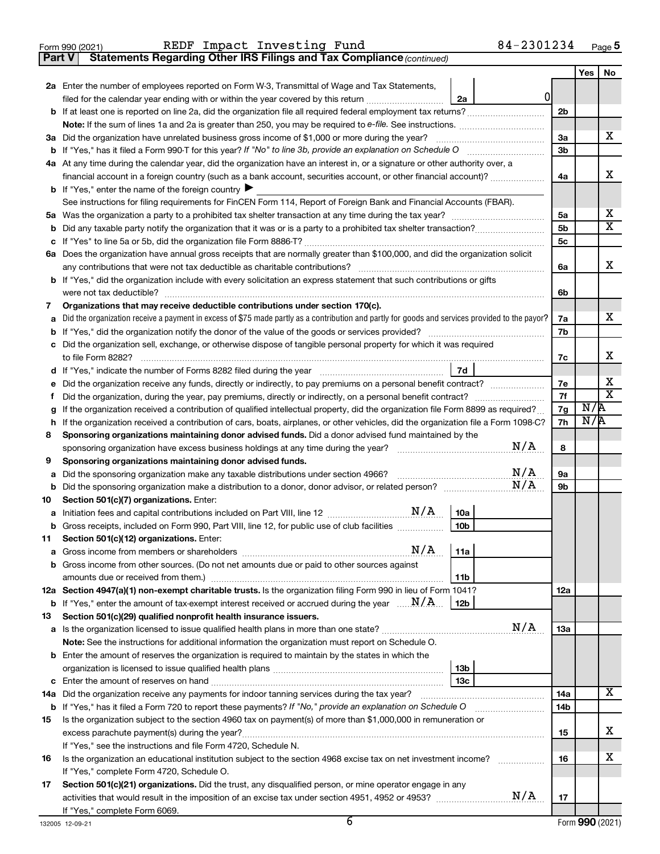|  | Form 990 (2021) |
|--|-----------------|
|  |                 |

**Part V Statements Regarding Other IRS Filings and Tax Compliance**

*(continued)*

|         |                                                                                                                                                                                                             |   |                | Yes | No                      |  |  |  |  |
|---------|-------------------------------------------------------------------------------------------------------------------------------------------------------------------------------------------------------------|---|----------------|-----|-------------------------|--|--|--|--|
|         | 2a Enter the number of employees reported on Form W-3, Transmittal of Wage and Tax Statements,                                                                                                              | 0 |                |     |                         |  |  |  |  |
|         | filed for the calendar year ending with or within the year covered by this return<br>2a<br>b If at least one is reported on line 2a, did the organization file all required federal employment tax returns? |   | 2 <sub>b</sub> |     |                         |  |  |  |  |
|         |                                                                                                                                                                                                             |   |                |     |                         |  |  |  |  |
|         | 3a Did the organization have unrelated business gross income of \$1,000 or more during the year?                                                                                                            |   | 3a             |     | х                       |  |  |  |  |
|         |                                                                                                                                                                                                             |   | 3b             |     |                         |  |  |  |  |
|         | 4a At any time during the calendar year, did the organization have an interest in, or a signature or other authority over, a                                                                                |   |                |     |                         |  |  |  |  |
|         | financial account in a foreign country (such as a bank account, securities account, or other financial account)?                                                                                            |   | 4a             |     | х                       |  |  |  |  |
|         | <b>b</b> If "Yes," enter the name of the foreign country $\blacktriangleright$                                                                                                                              |   |                |     |                         |  |  |  |  |
|         | See instructions for filing requirements for FinCEN Form 114, Report of Foreign Bank and Financial Accounts (FBAR).                                                                                         |   |                |     |                         |  |  |  |  |
|         |                                                                                                                                                                                                             |   | 5a             |     | х                       |  |  |  |  |
|         |                                                                                                                                                                                                             |   | 5b             |     | $\overline{\mathbf{X}}$ |  |  |  |  |
|         |                                                                                                                                                                                                             |   | 5c             |     |                         |  |  |  |  |
|         | 6a Does the organization have annual gross receipts that are normally greater than \$100,000, and did the organization solicit                                                                              |   |                |     |                         |  |  |  |  |
|         | any contributions that were not tax deductible as charitable contributions?                                                                                                                                 |   | 6a             |     | x                       |  |  |  |  |
|         | <b>b</b> If "Yes," did the organization include with every solicitation an express statement that such contributions or gifts                                                                               |   |                |     |                         |  |  |  |  |
|         | were not tax deductible?                                                                                                                                                                                    |   | 6b             |     |                         |  |  |  |  |
| 7       | Organizations that may receive deductible contributions under section 170(c).                                                                                                                               |   |                |     |                         |  |  |  |  |
| а       | Did the organization receive a payment in excess of \$75 made partly as a contribution and partly for goods and services provided to the payor?                                                             |   | 7a             |     | х                       |  |  |  |  |
|         | <b>b</b> If "Yes," did the organization notify the donor of the value of the goods or services provided?                                                                                                    |   | 7b             |     |                         |  |  |  |  |
|         | c Did the organization sell, exchange, or otherwise dispose of tangible personal property for which it was required                                                                                         |   |                |     |                         |  |  |  |  |
|         | to file Form 8282?                                                                                                                                                                                          |   | 7c             |     | х                       |  |  |  |  |
| d       | 7d                                                                                                                                                                                                          |   |                |     |                         |  |  |  |  |
| е       | Did the organization receive any funds, directly or indirectly, to pay premiums on a personal benefit contract?                                                                                             |   | 7e             |     | х                       |  |  |  |  |
| Ť.      | Did the organization, during the year, pay premiums, directly or indirectly, on a personal benefit contract?                                                                                                |   | 7f             |     | $\overline{\text{x}}$   |  |  |  |  |
| g       | If the organization received a contribution of qualified intellectual property, did the organization file Form 8899 as required?                                                                            |   | 7g             | N/R |                         |  |  |  |  |
| h       | If the organization received a contribution of cars, boats, airplanes, or other vehicles, did the organization file a Form 1098-C?                                                                          |   | 7h             | N/R |                         |  |  |  |  |
| 8       | Sponsoring organizations maintaining donor advised funds. Did a donor advised fund maintained by the                                                                                                        |   |                |     |                         |  |  |  |  |
|         | N/A<br>sponsoring organization have excess business holdings at any time during the year?                                                                                                                   |   | 8              |     |                         |  |  |  |  |
| 9       | Sponsoring organizations maintaining donor advised funds.                                                                                                                                                   |   |                |     |                         |  |  |  |  |
| а       | N/A<br>Did the sponsoring organization make any taxable distributions under section 4966?                                                                                                                   |   | <b>9a</b>      |     |                         |  |  |  |  |
| b       | Did the sponsoring organization make a distribution to a donor, donor advisor, or related person? $M/A$                                                                                                     |   | 9b             |     |                         |  |  |  |  |
| 10      | Section 501(c)(7) organizations. Enter:                                                                                                                                                                     |   |                |     |                         |  |  |  |  |
| а       | 10a<br>Gross receipts, included on Form 990, Part VIII, line 12, for public use of club facilities<br>10 <sub>b</sub>                                                                                       |   |                |     |                         |  |  |  |  |
| b<br>11 | Section 501(c)(12) organizations. Enter:                                                                                                                                                                    |   |                |     |                         |  |  |  |  |
|         | N/A<br>11a                                                                                                                                                                                                  |   |                |     |                         |  |  |  |  |
|         | <b>b</b> Gross income from other sources. (Do not net amounts due or paid to other sources against                                                                                                          |   |                |     |                         |  |  |  |  |
|         | 11b                                                                                                                                                                                                         |   |                |     |                         |  |  |  |  |
|         | 12a Section 4947(a)(1) non-exempt charitable trusts. Is the organization filing Form 990 in lieu of Form 1041?                                                                                              |   | 12a            |     |                         |  |  |  |  |
|         | <b>b</b> If "Yes," enter the amount of tax-exempt interest received or accrued during the year $\ldots \mathbf{N}/\mathbf{A}$ .<br>12 <sub>b</sub>                                                          |   |                |     |                         |  |  |  |  |
| 13      | Section 501(c)(29) qualified nonprofit health insurance issuers.                                                                                                                                            |   |                |     |                         |  |  |  |  |
|         |                                                                                                                                                                                                             |   | 13a            |     |                         |  |  |  |  |
|         | Note: See the instructions for additional information the organization must report on Schedule O.                                                                                                           |   |                |     |                         |  |  |  |  |
|         | <b>b</b> Enter the amount of reserves the organization is required to maintain by the states in which the                                                                                                   |   |                |     |                         |  |  |  |  |
|         | 13 <sub>b</sub>                                                                                                                                                                                             |   |                |     |                         |  |  |  |  |
|         | 13с                                                                                                                                                                                                         |   |                |     |                         |  |  |  |  |
|         | 14a Did the organization receive any payments for indoor tanning services during the tax year?                                                                                                              |   | 14a            |     | х                       |  |  |  |  |
|         |                                                                                                                                                                                                             |   | 14b            |     |                         |  |  |  |  |
| 15      | Is the organization subject to the section 4960 tax on payment(s) of more than \$1,000,000 in remuneration or                                                                                               |   |                |     |                         |  |  |  |  |
|         |                                                                                                                                                                                                             |   | 15             |     | x                       |  |  |  |  |
|         | If "Yes," see the instructions and file Form 4720, Schedule N.                                                                                                                                              |   |                |     | x                       |  |  |  |  |
| 16      | Is the organization an educational institution subject to the section 4968 excise tax on net investment income?                                                                                             |   | 16             |     |                         |  |  |  |  |
| 17      | If "Yes," complete Form 4720, Schedule O.<br>Section 501(c)(21) organizations. Did the trust, any disqualified person, or mine operator engage in any                                                       |   |                |     |                         |  |  |  |  |
|         |                                                                                                                                                                                                             |   | 17             |     |                         |  |  |  |  |
|         | If "Yes," complete Form 6069.                                                                                                                                                                               |   |                |     |                         |  |  |  |  |
|         |                                                                                                                                                                                                             |   |                |     |                         |  |  |  |  |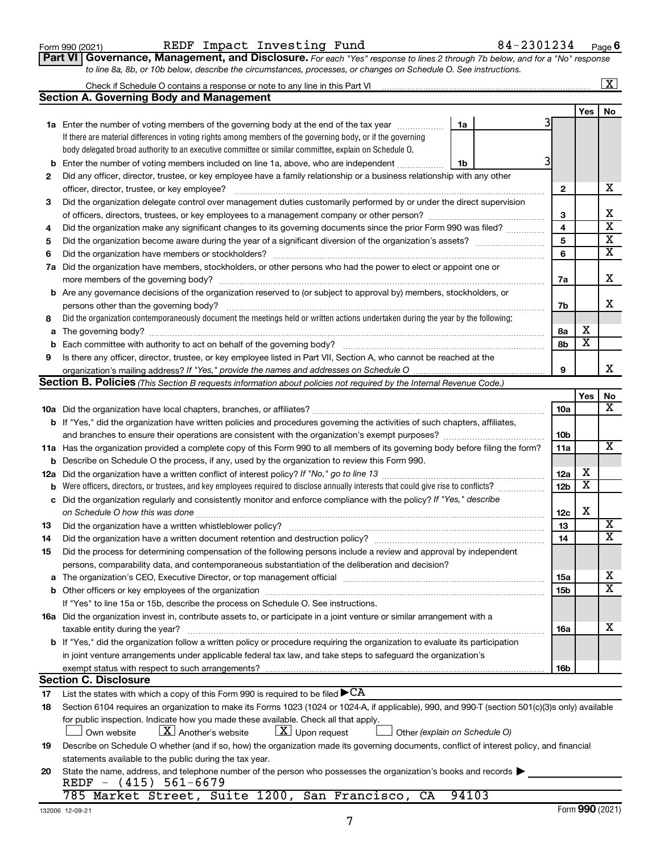| Form 990 (2021) |  |
|-----------------|--|
|-----------------|--|

#### Form 990 (2021) REDF Impact Investing Fund 84-2301234 <sub>Page</sub>

**Part VI** Governance, Management, and Disclosure. For each "Yes" response to lines 2 through 7b below, and for a "No" response *to line 8a, 8b, or 10b below, describe the circumstances, processes, or changes on Schedule O. See instructions.*

|     |                                                                                                                                                                                                                               |                 |                         | $\overline{\text{X}}$   |  |  |  |  |  |  |
|-----|-------------------------------------------------------------------------------------------------------------------------------------------------------------------------------------------------------------------------------|-----------------|-------------------------|-------------------------|--|--|--|--|--|--|
|     | <b>Section A. Governing Body and Management</b>                                                                                                                                                                               |                 |                         |                         |  |  |  |  |  |  |
|     |                                                                                                                                                                                                                               |                 | Yes                     | No                      |  |  |  |  |  |  |
|     | <b>1a</b> Enter the number of voting members of the governing body at the end of the tax year<br>1a                                                                                                                           |                 |                         |                         |  |  |  |  |  |  |
|     | If there are material differences in voting rights among members of the governing body, or if the governing                                                                                                                   |                 |                         |                         |  |  |  |  |  |  |
|     | body delegated broad authority to an executive committee or similar committee, explain on Schedule O.                                                                                                                         |                 |                         |                         |  |  |  |  |  |  |
| b   | Enter the number of voting members included on line 1a, above, who are independent<br>1b                                                                                                                                      |                 |                         |                         |  |  |  |  |  |  |
| 2   | Did any officer, director, trustee, or key employee have a family relationship or a business relationship with any other                                                                                                      |                 |                         |                         |  |  |  |  |  |  |
|     | officer, director, trustee, or key employee?                                                                                                                                                                                  | $\mathbf{2}$    |                         | х                       |  |  |  |  |  |  |
| 3   | Did the organization delegate control over management duties customarily performed by or under the direct supervision                                                                                                         |                 |                         |                         |  |  |  |  |  |  |
|     |                                                                                                                                                                                                                               | 3               |                         | х                       |  |  |  |  |  |  |
| 4   | Did the organization make any significant changes to its governing documents since the prior Form 990 was filed?                                                                                                              |                 |                         |                         |  |  |  |  |  |  |
| 5   |                                                                                                                                                                                                                               | 5               |                         | $\overline{\mathbf{x}}$ |  |  |  |  |  |  |
| 6   |                                                                                                                                                                                                                               | 6               |                         | $\overline{\mathbf{x}}$ |  |  |  |  |  |  |
| 7a  | Did the organization have members, stockholders, or other persons who had the power to elect or appoint one or                                                                                                                |                 |                         |                         |  |  |  |  |  |  |
|     | more members of the governing body?                                                                                                                                                                                           | 7a              |                         | х                       |  |  |  |  |  |  |
|     | <b>b</b> Are any governance decisions of the organization reserved to (or subject to approval by) members, stockholders, or                                                                                                   |                 |                         |                         |  |  |  |  |  |  |
|     | persons other than the governing body?                                                                                                                                                                                        | 7b              |                         | x                       |  |  |  |  |  |  |
| 8   | Did the organization contemporaneously document the meetings held or written actions undertaken during the year by the following:                                                                                             |                 |                         |                         |  |  |  |  |  |  |
| a   |                                                                                                                                                                                                                               | 8а              | х                       |                         |  |  |  |  |  |  |
| b   | Each committee with authority to act on behalf of the governing body?                                                                                                                                                         | 8b              | $\overline{\mathbf{x}}$ |                         |  |  |  |  |  |  |
| 9   | Is there any officer, director, trustee, or key employee listed in Part VII, Section A, who cannot be reached at the                                                                                                          |                 |                         |                         |  |  |  |  |  |  |
|     |                                                                                                                                                                                                                               | 9               |                         | x                       |  |  |  |  |  |  |
|     | Section B. Policies (This Section B requests information about policies not required by the Internal Revenue Code.)                                                                                                           |                 |                         |                         |  |  |  |  |  |  |
|     |                                                                                                                                                                                                                               |                 | Yes                     | No                      |  |  |  |  |  |  |
|     |                                                                                                                                                                                                                               | 10a             |                         | х                       |  |  |  |  |  |  |
|     | <b>b</b> If "Yes," did the organization have written policies and procedures governing the activities of such chapters, affiliates,                                                                                           |                 |                         |                         |  |  |  |  |  |  |
|     |                                                                                                                                                                                                                               | 10b             |                         |                         |  |  |  |  |  |  |
|     | 11a Has the organization provided a complete copy of this Form 990 to all members of its governing body before filing the form?                                                                                               | 11a             |                         | х                       |  |  |  |  |  |  |
| b   | Describe on Schedule O the process, if any, used by the organization to review this Form 990.                                                                                                                                 |                 |                         |                         |  |  |  |  |  |  |
| 12a | Did the organization have a written conflict of interest policy? If "No," go to line 13                                                                                                                                       | 12a             | х                       |                         |  |  |  |  |  |  |
| b   | Were officers, directors, or trustees, and key employees required to disclose annually interests that could give rise to conflicts?                                                                                           | 12 <sub>b</sub> | $\overline{\textbf{x}}$ |                         |  |  |  |  |  |  |
| с   | Did the organization regularly and consistently monitor and enforce compliance with the policy? If "Yes," describe                                                                                                            |                 |                         |                         |  |  |  |  |  |  |
|     | on Schedule O how this was done                                                                                                                                                                                               | 12c             | х                       |                         |  |  |  |  |  |  |
| 13  | Did the organization have a written whistleblower policy?                                                                                                                                                                     | 13              |                         | х                       |  |  |  |  |  |  |
| 14  |                                                                                                                                                                                                                               | 14              |                         | $\overline{\text{X}}$   |  |  |  |  |  |  |
| 15  | Did the process for determining compensation of the following persons include a review and approval by independent                                                                                                            |                 |                         |                         |  |  |  |  |  |  |
|     | persons, comparability data, and contemporaneous substantiation of the deliberation and decision?                                                                                                                             |                 |                         |                         |  |  |  |  |  |  |
| а   | The organization's CEO, Executive Director, or top management official manufactured content content of the organization's CEO, executive Director, or top management official manufactured content of the original content of | 15a             |                         | x                       |  |  |  |  |  |  |
|     |                                                                                                                                                                                                                               | 15b             |                         | $\overline{\textbf{X}}$ |  |  |  |  |  |  |
|     | If "Yes" to line 15a or 15b, describe the process on Schedule O. See instructions.                                                                                                                                            |                 |                         |                         |  |  |  |  |  |  |
|     | 16a Did the organization invest in, contribute assets to, or participate in a joint venture or similar arrangement with a                                                                                                     |                 |                         |                         |  |  |  |  |  |  |
|     | taxable entity during the year?                                                                                                                                                                                               | 16a             |                         | x                       |  |  |  |  |  |  |
|     | b If "Yes," did the organization follow a written policy or procedure requiring the organization to evaluate its participation                                                                                                |                 |                         |                         |  |  |  |  |  |  |
|     | in joint venture arrangements under applicable federal tax law, and take steps to safequard the organization's                                                                                                                |                 |                         |                         |  |  |  |  |  |  |
|     | exempt status with respect to such arrangements?                                                                                                                                                                              | 16b             |                         |                         |  |  |  |  |  |  |
|     | <b>Section C. Disclosure</b>                                                                                                                                                                                                  |                 |                         |                         |  |  |  |  |  |  |
| 17  | List the states with which a copy of this Form 990 is required to be filed $\blacktriangleright$ CA                                                                                                                           |                 |                         |                         |  |  |  |  |  |  |
| 18  | Section 6104 requires an organization to make its Forms 1023 (1024 or 1024-A, if applicable), 990, and 990-T (section 501(c)(3)s only) available                                                                              |                 |                         |                         |  |  |  |  |  |  |
|     | for public inspection. Indicate how you made these available. Check all that apply.                                                                                                                                           |                 |                         |                         |  |  |  |  |  |  |
|     | $\lfloor X \rfloor$ Another's website<br>$\lfloor x \rfloor$ Upon request<br>Own website<br>Other (explain on Schedule O)                                                                                                     |                 |                         |                         |  |  |  |  |  |  |
| 19  | Describe on Schedule O whether (and if so, how) the organization made its governing documents, conflict of interest policy, and financial                                                                                     |                 |                         |                         |  |  |  |  |  |  |
|     | statements available to the public during the tax year.                                                                                                                                                                       |                 |                         |                         |  |  |  |  |  |  |
| 20  | State the name, address, and telephone number of the person who possesses the organization's books and records                                                                                                                |                 |                         |                         |  |  |  |  |  |  |
|     | REDF - $(415)$ 561-6679<br>785 Market Street, Suite 1200, San Francisco, CA<br>94103                                                                                                                                          |                 |                         |                         |  |  |  |  |  |  |
|     |                                                                                                                                                                                                                               |                 |                         |                         |  |  |  |  |  |  |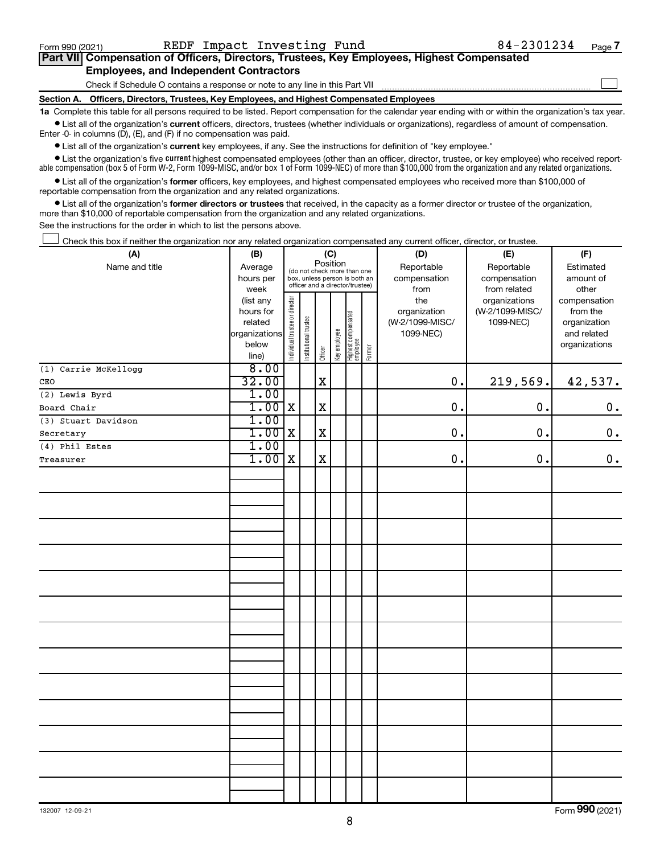$\Box$ 

| Part VII Compensation of Officers, Directors, Trustees, Key Employees, Highest Compensated |  |
|--------------------------------------------------------------------------------------------|--|
| <b>Employees, and Independent Contractors</b>                                              |  |

Check if Schedule O contains a response or note to any line in this Part VII

**Section A. Officers, Directors, Trustees, Key Employees, and Highest Compensated Employees**

**1a**  Complete this table for all persons required to be listed. Report compensation for the calendar year ending with or within the organization's tax year.  $\bullet$  List all of the organization's current officers, directors, trustees (whether individuals or organizations), regardless of amount of compensation.

Enter -0- in columns (D), (E), and (F) if no compensation was paid.

**•** List all of the organization's **current** key employees, if any. See the instructions for definition of "key employee."

• List the organization's five *current* highest compensated employees (other than an officer, director, trustee, or key employee) who received reportable compensation (box 5 of Form W-2, Form 1099-MISC, and/or box 1 of Form 1099-NEC) of more than \$100,000 from the organization and any related organizations.

 $\bullet$  List all of the organization's former officers, key employees, and highest compensated employees who received more than \$100,000 of reportable compensation from the organization and any related organizations.

**•** List all of the organization's former directors or trustees that received, in the capacity as a former director or trustee of the organization, more than \$10,000 of reportable compensation from the organization and any related organizations.

See the instructions for the order in which to list the persons above.

Check this box if neither the organization nor any related organization compensated any current officer, director, or trustee.  $\Box$ 

| Position<br>Name and title<br>Reportable<br>Reportable<br>Average<br>Estimated<br>(do not check more than one<br>compensation<br>hours per<br>box, unless person is both an<br>compensation<br>amount of<br>officer and a director/trustee)<br>week<br>from<br>from related<br>other<br>Individual trustee or director<br>the<br>organizations<br>(list any<br>compensation<br>(W-2/1099-MISC/<br>hours for<br>organization<br>from the<br>Highest compensated<br>employee<br>Institutional trustee<br>(W-2/1099-MISC/<br>related<br>1099-NEC)<br>organization<br>Key employee<br>organizations<br>1099-NEC)<br>and related<br>below<br>organizations<br>Former<br>Officer<br>line)<br>8.00<br>(1) Carrie McKellogg<br>32.00<br>219,569.<br>$\mathbf x$<br>$\mathbf 0$ .<br>42,537.<br>CEO<br>1.00<br>$(2)$ Lewis Byrd<br>1.00<br>$\mathbf X$<br>$\mathbf X$<br>0.<br>0.<br>0.<br>Board Chair<br>1.00<br>(3) Stuart Davidson<br>1.00<br>$\mathbf x$<br>0.<br>0.<br>$\mathbf 0$ .<br>X<br>Secretary<br>1.00<br>(4) Phil Estes<br>1.00<br>$\mathbf x$<br>$\mathbf 0$ .<br>0.<br>X<br>Treasurer | (A) | (B)<br>(C) |  |  |  |  |  | (D) | (E) | (F) |
|----------------------------------------------------------------------------------------------------------------------------------------------------------------------------------------------------------------------------------------------------------------------------------------------------------------------------------------------------------------------------------------------------------------------------------------------------------------------------------------------------------------------------------------------------------------------------------------------------------------------------------------------------------------------------------------------------------------------------------------------------------------------------------------------------------------------------------------------------------------------------------------------------------------------------------------------------------------------------------------------------------------------------------------------------------------------------------------------|-----|------------|--|--|--|--|--|-----|-----|-----|
|                                                                                                                                                                                                                                                                                                                                                                                                                                                                                                                                                                                                                                                                                                                                                                                                                                                                                                                                                                                                                                                                                              |     |            |  |  |  |  |  |     |     |     |
|                                                                                                                                                                                                                                                                                                                                                                                                                                                                                                                                                                                                                                                                                                                                                                                                                                                                                                                                                                                                                                                                                              |     |            |  |  |  |  |  |     |     |     |
|                                                                                                                                                                                                                                                                                                                                                                                                                                                                                                                                                                                                                                                                                                                                                                                                                                                                                                                                                                                                                                                                                              |     |            |  |  |  |  |  |     |     |     |
|                                                                                                                                                                                                                                                                                                                                                                                                                                                                                                                                                                                                                                                                                                                                                                                                                                                                                                                                                                                                                                                                                              |     |            |  |  |  |  |  |     |     |     |
|                                                                                                                                                                                                                                                                                                                                                                                                                                                                                                                                                                                                                                                                                                                                                                                                                                                                                                                                                                                                                                                                                              |     |            |  |  |  |  |  |     |     |     |
|                                                                                                                                                                                                                                                                                                                                                                                                                                                                                                                                                                                                                                                                                                                                                                                                                                                                                                                                                                                                                                                                                              |     |            |  |  |  |  |  |     |     |     |
|                                                                                                                                                                                                                                                                                                                                                                                                                                                                                                                                                                                                                                                                                                                                                                                                                                                                                                                                                                                                                                                                                              |     |            |  |  |  |  |  |     |     |     |
|                                                                                                                                                                                                                                                                                                                                                                                                                                                                                                                                                                                                                                                                                                                                                                                                                                                                                                                                                                                                                                                                                              |     |            |  |  |  |  |  |     |     |     |
|                                                                                                                                                                                                                                                                                                                                                                                                                                                                                                                                                                                                                                                                                                                                                                                                                                                                                                                                                                                                                                                                                              |     |            |  |  |  |  |  |     |     |     |
|                                                                                                                                                                                                                                                                                                                                                                                                                                                                                                                                                                                                                                                                                                                                                                                                                                                                                                                                                                                                                                                                                              |     |            |  |  |  |  |  |     |     |     |
|                                                                                                                                                                                                                                                                                                                                                                                                                                                                                                                                                                                                                                                                                                                                                                                                                                                                                                                                                                                                                                                                                              |     |            |  |  |  |  |  |     |     |     |
|                                                                                                                                                                                                                                                                                                                                                                                                                                                                                                                                                                                                                                                                                                                                                                                                                                                                                                                                                                                                                                                                                              |     |            |  |  |  |  |  |     |     |     |
|                                                                                                                                                                                                                                                                                                                                                                                                                                                                                                                                                                                                                                                                                                                                                                                                                                                                                                                                                                                                                                                                                              |     |            |  |  |  |  |  |     |     |     |
|                                                                                                                                                                                                                                                                                                                                                                                                                                                                                                                                                                                                                                                                                                                                                                                                                                                                                                                                                                                                                                                                                              |     |            |  |  |  |  |  |     |     |     |
|                                                                                                                                                                                                                                                                                                                                                                                                                                                                                                                                                                                                                                                                                                                                                                                                                                                                                                                                                                                                                                                                                              |     |            |  |  |  |  |  |     |     |     |
|                                                                                                                                                                                                                                                                                                                                                                                                                                                                                                                                                                                                                                                                                                                                                                                                                                                                                                                                                                                                                                                                                              |     |            |  |  |  |  |  |     |     |     |
|                                                                                                                                                                                                                                                                                                                                                                                                                                                                                                                                                                                                                                                                                                                                                                                                                                                                                                                                                                                                                                                                                              |     |            |  |  |  |  |  |     |     | 0.  |
|                                                                                                                                                                                                                                                                                                                                                                                                                                                                                                                                                                                                                                                                                                                                                                                                                                                                                                                                                                                                                                                                                              |     |            |  |  |  |  |  |     |     |     |
|                                                                                                                                                                                                                                                                                                                                                                                                                                                                                                                                                                                                                                                                                                                                                                                                                                                                                                                                                                                                                                                                                              |     |            |  |  |  |  |  |     |     |     |
|                                                                                                                                                                                                                                                                                                                                                                                                                                                                                                                                                                                                                                                                                                                                                                                                                                                                                                                                                                                                                                                                                              |     |            |  |  |  |  |  |     |     |     |
|                                                                                                                                                                                                                                                                                                                                                                                                                                                                                                                                                                                                                                                                                                                                                                                                                                                                                                                                                                                                                                                                                              |     |            |  |  |  |  |  |     |     |     |
|                                                                                                                                                                                                                                                                                                                                                                                                                                                                                                                                                                                                                                                                                                                                                                                                                                                                                                                                                                                                                                                                                              |     |            |  |  |  |  |  |     |     |     |
|                                                                                                                                                                                                                                                                                                                                                                                                                                                                                                                                                                                                                                                                                                                                                                                                                                                                                                                                                                                                                                                                                              |     |            |  |  |  |  |  |     |     |     |
|                                                                                                                                                                                                                                                                                                                                                                                                                                                                                                                                                                                                                                                                                                                                                                                                                                                                                                                                                                                                                                                                                              |     |            |  |  |  |  |  |     |     |     |
|                                                                                                                                                                                                                                                                                                                                                                                                                                                                                                                                                                                                                                                                                                                                                                                                                                                                                                                                                                                                                                                                                              |     |            |  |  |  |  |  |     |     |     |
|                                                                                                                                                                                                                                                                                                                                                                                                                                                                                                                                                                                                                                                                                                                                                                                                                                                                                                                                                                                                                                                                                              |     |            |  |  |  |  |  |     |     |     |
|                                                                                                                                                                                                                                                                                                                                                                                                                                                                                                                                                                                                                                                                                                                                                                                                                                                                                                                                                                                                                                                                                              |     |            |  |  |  |  |  |     |     |     |
|                                                                                                                                                                                                                                                                                                                                                                                                                                                                                                                                                                                                                                                                                                                                                                                                                                                                                                                                                                                                                                                                                              |     |            |  |  |  |  |  |     |     |     |
|                                                                                                                                                                                                                                                                                                                                                                                                                                                                                                                                                                                                                                                                                                                                                                                                                                                                                                                                                                                                                                                                                              |     |            |  |  |  |  |  |     |     |     |
|                                                                                                                                                                                                                                                                                                                                                                                                                                                                                                                                                                                                                                                                                                                                                                                                                                                                                                                                                                                                                                                                                              |     |            |  |  |  |  |  |     |     |     |
|                                                                                                                                                                                                                                                                                                                                                                                                                                                                                                                                                                                                                                                                                                                                                                                                                                                                                                                                                                                                                                                                                              |     |            |  |  |  |  |  |     |     |     |
|                                                                                                                                                                                                                                                                                                                                                                                                                                                                                                                                                                                                                                                                                                                                                                                                                                                                                                                                                                                                                                                                                              |     |            |  |  |  |  |  |     |     |     |
|                                                                                                                                                                                                                                                                                                                                                                                                                                                                                                                                                                                                                                                                                                                                                                                                                                                                                                                                                                                                                                                                                              |     |            |  |  |  |  |  |     |     |     |
|                                                                                                                                                                                                                                                                                                                                                                                                                                                                                                                                                                                                                                                                                                                                                                                                                                                                                                                                                                                                                                                                                              |     |            |  |  |  |  |  |     |     |     |
|                                                                                                                                                                                                                                                                                                                                                                                                                                                                                                                                                                                                                                                                                                                                                                                                                                                                                                                                                                                                                                                                                              |     |            |  |  |  |  |  |     |     |     |
|                                                                                                                                                                                                                                                                                                                                                                                                                                                                                                                                                                                                                                                                                                                                                                                                                                                                                                                                                                                                                                                                                              |     |            |  |  |  |  |  |     |     |     |
|                                                                                                                                                                                                                                                                                                                                                                                                                                                                                                                                                                                                                                                                                                                                                                                                                                                                                                                                                                                                                                                                                              |     |            |  |  |  |  |  |     |     |     |
|                                                                                                                                                                                                                                                                                                                                                                                                                                                                                                                                                                                                                                                                                                                                                                                                                                                                                                                                                                                                                                                                                              |     |            |  |  |  |  |  |     |     |     |
|                                                                                                                                                                                                                                                                                                                                                                                                                                                                                                                                                                                                                                                                                                                                                                                                                                                                                                                                                                                                                                                                                              |     |            |  |  |  |  |  |     |     |     |
|                                                                                                                                                                                                                                                                                                                                                                                                                                                                                                                                                                                                                                                                                                                                                                                                                                                                                                                                                                                                                                                                                              |     |            |  |  |  |  |  |     |     |     |
|                                                                                                                                                                                                                                                                                                                                                                                                                                                                                                                                                                                                                                                                                                                                                                                                                                                                                                                                                                                                                                                                                              |     |            |  |  |  |  |  |     |     |     |
|                                                                                                                                                                                                                                                                                                                                                                                                                                                                                                                                                                                                                                                                                                                                                                                                                                                                                                                                                                                                                                                                                              |     |            |  |  |  |  |  |     |     |     |
|                                                                                                                                                                                                                                                                                                                                                                                                                                                                                                                                                                                                                                                                                                                                                                                                                                                                                                                                                                                                                                                                                              |     |            |  |  |  |  |  |     |     |     |

Form (2021) **990**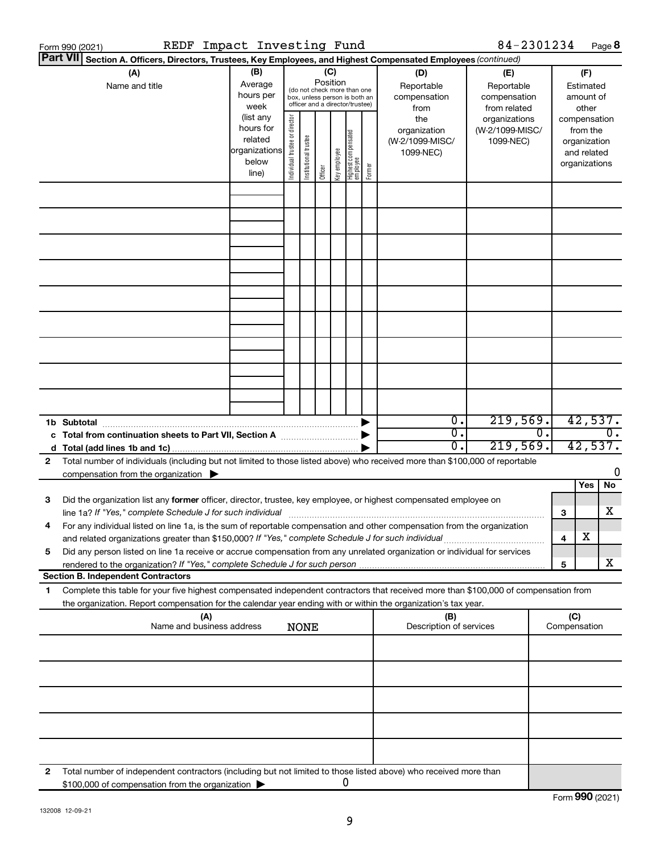|    | REDF Impact Investing Fund<br>Form 990 (2021)                                                                                                                                                                                                                                                                                                      |                                                                              |                                |                       |                 |              |                                                                        |        |                                                             | 84-2301234                                                    |        |                                                                                   | Page 8                   |
|----|----------------------------------------------------------------------------------------------------------------------------------------------------------------------------------------------------------------------------------------------------------------------------------------------------------------------------------------------------|------------------------------------------------------------------------------|--------------------------------|-----------------------|-----------------|--------------|------------------------------------------------------------------------|--------|-------------------------------------------------------------|---------------------------------------------------------------|--------|-----------------------------------------------------------------------------------|--------------------------|
|    | <b>Part VII</b><br>Section A. Officers, Directors, Trustees, Key Employees, and Highest Compensated Employees (continued)                                                                                                                                                                                                                          |                                                                              |                                |                       |                 |              |                                                                        |        |                                                             |                                                               |        |                                                                                   |                          |
|    | (A)<br>Name and title                                                                                                                                                                                                                                                                                                                              | (B)<br>Average<br>hours per                                                  |                                |                       | (C)<br>Position |              | (do not check more than one<br>box, unless person is both an           |        | (D)<br>Reportable<br>compensation                           | (E)<br>Reportable<br>compensation                             |        | (F)<br>Estimated<br>amount of                                                     |                          |
|    |                                                                                                                                                                                                                                                                                                                                                    | week<br>(list any<br>hours for<br>related<br>organizations<br>below<br>line) | Individual trustee or director | Institutional trustee | Officer         | Key employee | officer and a director/trustee)<br>  Highest compensated<br>  employee | Former | from<br>the<br>organization<br>(W-2/1099-MISC/<br>1099-NEC) | from related<br>organizations<br>(W-2/1099-MISC/<br>1099-NEC) |        | other<br>compensation<br>from the<br>organization<br>and related<br>organizations |                          |
|    |                                                                                                                                                                                                                                                                                                                                                    |                                                                              |                                |                       |                 |              |                                                                        |        |                                                             |                                                               |        |                                                                                   |                          |
|    |                                                                                                                                                                                                                                                                                                                                                    |                                                                              |                                |                       |                 |              |                                                                        |        |                                                             |                                                               |        |                                                                                   |                          |
|    |                                                                                                                                                                                                                                                                                                                                                    |                                                                              |                                |                       |                 |              |                                                                        |        |                                                             |                                                               |        |                                                                                   |                          |
|    |                                                                                                                                                                                                                                                                                                                                                    |                                                                              |                                |                       |                 |              |                                                                        |        |                                                             |                                                               |        |                                                                                   |                          |
|    |                                                                                                                                                                                                                                                                                                                                                    |                                                                              |                                |                       |                 |              |                                                                        |        |                                                             |                                                               |        |                                                                                   |                          |
|    |                                                                                                                                                                                                                                                                                                                                                    |                                                                              |                                |                       |                 |              |                                                                        |        |                                                             |                                                               |        |                                                                                   |                          |
|    |                                                                                                                                                                                                                                                                                                                                                    |                                                                              |                                |                       |                 |              |                                                                        |        |                                                             |                                                               |        |                                                                                   |                          |
|    | 1b Subtotal                                                                                                                                                                                                                                                                                                                                        |                                                                              |                                |                       |                 |              |                                                                        |        | $\overline{0}$ .<br>$\overline{0}$ .<br>0.                  | 219,569.<br>219,569.                                          | 0.     |                                                                                   | 42,537.<br>0.<br>42,537. |
| 2  | Total number of individuals (including but not limited to those listed above) who received more than \$100,000 of reportable<br>compensation from the organization $\qquad \qquad$                                                                                                                                                                 |                                                                              |                                |                       |                 |              |                                                                        |        |                                                             |                                                               |        |                                                                                   | 0                        |
| 3  | Did the organization list any former officer, director, trustee, key employee, or highest compensated employee on                                                                                                                                                                                                                                  |                                                                              |                                |                       |                 |              |                                                                        |        |                                                             |                                                               |        | Yes                                                                               | <b>No</b><br>х           |
|    | line 1a? If "Yes," complete Schedule J for such individual [11] manufacture manufacture in the set of the set o<br>For any individual listed on line 1a, is the sum of reportable compensation and other compensation from the organization<br>and related organizations greater than \$150,000? If "Yes," complete Schedule J for such individual |                                                                              |                                |                       |                 |              |                                                                        |        |                                                             |                                                               | З<br>4 | х                                                                                 |                          |
| 5  | Did any person listed on line 1a receive or accrue compensation from any unrelated organization or individual for services<br>rendered to the organization? If "Yes," complete Schedule J for such person manufacture content content content                                                                                                      |                                                                              |                                |                       |                 |              |                                                                        |        |                                                             |                                                               | 5      |                                                                                   | x                        |
| 1. | <b>Section B. Independent Contractors</b><br>Complete this table for your five highest compensated independent contractors that received more than \$100,000 of compensation from                                                                                                                                                                  |                                                                              |                                |                       |                 |              |                                                                        |        |                                                             |                                                               |        |                                                                                   |                          |
|    | the organization. Report compensation for the calendar year ending with or within the organization's tax year.<br>(A)                                                                                                                                                                                                                              |                                                                              |                                |                       |                 |              |                                                                        |        | (B)                                                         |                                                               |        | (C)                                                                               |                          |
|    | Name and business address                                                                                                                                                                                                                                                                                                                          |                                                                              |                                | NONE                  |                 |              |                                                                        |        | Description of services                                     |                                                               |        | Compensation                                                                      |                          |
|    |                                                                                                                                                                                                                                                                                                                                                    |                                                                              |                                |                       |                 |              |                                                                        |        |                                                             |                                                               |        |                                                                                   |                          |
|    |                                                                                                                                                                                                                                                                                                                                                    |                                                                              |                                |                       |                 |              |                                                                        |        |                                                             |                                                               |        |                                                                                   |                          |
|    |                                                                                                                                                                                                                                                                                                                                                    |                                                                              |                                |                       |                 |              |                                                                        |        |                                                             |                                                               |        |                                                                                   |                          |
| 2  | Total number of independent contractors (including but not limited to those listed above) who received more than                                                                                                                                                                                                                                   |                                                                              |                                |                       |                 |              |                                                                        |        |                                                             |                                                               |        |                                                                                   |                          |
|    | \$100,000 of compensation from the organization                                                                                                                                                                                                                                                                                                    |                                                                              |                                |                       |                 | 0            |                                                                        |        |                                                             |                                                               |        |                                                                                   |                          |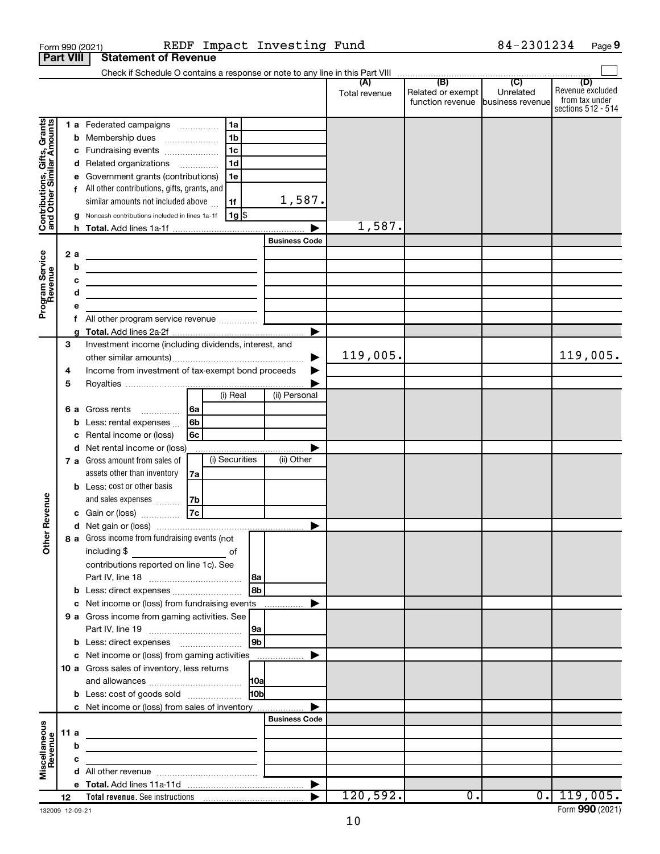| <b>Part VIII</b>                                                                        |             |                              | <b>Statement of Revenue</b>                                                                                                                                                                                                                                                                                                                                                                                                                                                                                                                                                                                  |                |                                                                   |                 |                                |               |                                                        |           |                                                                 |
|-----------------------------------------------------------------------------------------|-------------|------------------------------|--------------------------------------------------------------------------------------------------------------------------------------------------------------------------------------------------------------------------------------------------------------------------------------------------------------------------------------------------------------------------------------------------------------------------------------------------------------------------------------------------------------------------------------------------------------------------------------------------------------|----------------|-------------------------------------------------------------------|-----------------|--------------------------------|---------------|--------------------------------------------------------|-----------|-----------------------------------------------------------------|
|                                                                                         |             |                              |                                                                                                                                                                                                                                                                                                                                                                                                                                                                                                                                                                                                              |                |                                                                   |                 |                                |               |                                                        |           |                                                                 |
|                                                                                         |             |                              |                                                                                                                                                                                                                                                                                                                                                                                                                                                                                                                                                                                                              |                |                                                                   |                 |                                | Total revenue | Related or exempt<br>function revenue business revenue | Unrelated | (D)<br>Revenue excluded<br>from tax under<br>sections 512 - 514 |
| Contributions, Gifts, Grants<br>and Other Similar Amounts<br>Program Service<br>Revenue |             | b<br>2 a<br>b<br>c<br>d<br>f | 1 a Federated campaigns<br>Membership dues<br>Fundraising events<br>d Related organizations<br>Government grants (contributions)<br>All other contributions, gifts, grants, and<br>similar amounts not included above<br>Noncash contributions included in lines 1a-1f<br><u> 1989 - Johann Barbara, martin a bhaile an t-Alban Barbara ann an t-Alban Barbara ann an t-Alban Barbara ann an</u><br><u> 1989 - Johann Barbara, martin a</u><br>the control of the control of the control of the control of the control of<br><u> 1989 - Johann Barbara, martin a</u><br>All other program service revenue  [ | $\cdots$       | 1a<br>l 1b<br>1 <sub>c</sub><br>1 <sub>d</sub><br>1e<br>1f<br> 1g |                 | 1,587.<br><b>Business Code</b> | 1,587.        |                                                        |           |                                                                 |
|                                                                                         |             |                              |                                                                                                                                                                                                                                                                                                                                                                                                                                                                                                                                                                                                              |                |                                                                   |                 | ▶                              |               |                                                        |           |                                                                 |
|                                                                                         | 3<br>4<br>5 |                              | Investment income (including dividends, interest, and<br>Income from investment of tax-exempt bond proceeds                                                                                                                                                                                                                                                                                                                                                                                                                                                                                                  |                |                                                                   |                 |                                | 119,005.      |                                                        |           | 119,005.                                                        |
|                                                                                         |             | 6а<br>b                      | Gross rents<br>.<br>Less: rental expenses<br>Rental income or (loss)                                                                                                                                                                                                                                                                                                                                                                                                                                                                                                                                         | 6a<br>6b<br>6с | (i) Real                                                          |                 | (ii) Personal                  |               |                                                        |           |                                                                 |
| Revenue                                                                                 |             |                              | d Net rental income or (loss)<br>7 a Gross amount from sales of<br>assets other than inventory<br><b>b</b> Less: cost or other basis<br>and sales expenses                                                                                                                                                                                                                                                                                                                                                                                                                                                   | 7a<br>7b       | (i) Securities                                                    |                 | (ii) Other                     |               |                                                        |           |                                                                 |
|                                                                                         |             |                              | c Gain or (loss)                                                                                                                                                                                                                                                                                                                                                                                                                                                                                                                                                                                             | 7c             |                                                                   |                 |                                |               |                                                        |           |                                                                 |
| ត<br>$\tilde{\vec{c}}$                                                                  |             |                              | 8 a Gross income from fundraising events (not  <br>including $$$<br><u>of</u> of<br>contributions reported on line 1c). See                                                                                                                                                                                                                                                                                                                                                                                                                                                                                  |                |                                                                   | l 8a            |                                |               |                                                        |           |                                                                 |
|                                                                                         |             |                              |                                                                                                                                                                                                                                                                                                                                                                                                                                                                                                                                                                                                              |                |                                                                   | l 8b            |                                |               |                                                        |           |                                                                 |
|                                                                                         |             |                              |                                                                                                                                                                                                                                                                                                                                                                                                                                                                                                                                                                                                              |                |                                                                   |                 |                                |               |                                                        |           |                                                                 |
|                                                                                         |             |                              | 9 a Gross income from gaming activities. See                                                                                                                                                                                                                                                                                                                                                                                                                                                                                                                                                                 |                |                                                                   | 9a              |                                |               |                                                        |           |                                                                 |
|                                                                                         |             |                              | <b>b</b> Less: direct expenses <b>contained b</b> Less: direct expenses                                                                                                                                                                                                                                                                                                                                                                                                                                                                                                                                      |                |                                                                   | 9 <sub>b</sub>  |                                |               |                                                        |           |                                                                 |
|                                                                                         |             |                              |                                                                                                                                                                                                                                                                                                                                                                                                                                                                                                                                                                                                              |                |                                                                   |                 |                                |               |                                                        |           |                                                                 |
|                                                                                         |             |                              | 10 a Gross sales of inventory, less returns                                                                                                                                                                                                                                                                                                                                                                                                                                                                                                                                                                  |                |                                                                   |                 |                                |               |                                                        |           |                                                                 |
|                                                                                         |             |                              | <b>b</b> Less: cost of goods sold                                                                                                                                                                                                                                                                                                                                                                                                                                                                                                                                                                            |                |                                                                   | 10 <sub>b</sub> |                                |               |                                                        |           |                                                                 |
|                                                                                         |             |                              | c Net income or (loss) from sales of inventory                                                                                                                                                                                                                                                                                                                                                                                                                                                                                                                                                               |                |                                                                   |                 |                                |               |                                                        |           |                                                                 |
|                                                                                         |             |                              |                                                                                                                                                                                                                                                                                                                                                                                                                                                                                                                                                                                                              |                |                                                                   |                 | <b>Business Code</b>           |               |                                                        |           |                                                                 |
|                                                                                         |             | 11 a                         | the control of the control of the control of the control of the control of                                                                                                                                                                                                                                                                                                                                                                                                                                                                                                                                   |                |                                                                   |                 |                                |               |                                                        |           |                                                                 |
| Miscellaneous<br>Revenue                                                                |             | b                            | <u> 1989 - Johann Barbara, martin amerikan basal dan berasal dan berasal dalam basal dan berasal dalam berasal da</u>                                                                                                                                                                                                                                                                                                                                                                                                                                                                                        |                |                                                                   |                 |                                |               |                                                        |           |                                                                 |
|                                                                                         |             | с                            | <u> 1989 - Johann Barbara, martin a</u>                                                                                                                                                                                                                                                                                                                                                                                                                                                                                                                                                                      |                |                                                                   |                 |                                |               |                                                        |           |                                                                 |
|                                                                                         |             |                              |                                                                                                                                                                                                                                                                                                                                                                                                                                                                                                                                                                                                              |                |                                                                   |                 |                                |               |                                                        |           |                                                                 |
|                                                                                         |             |                              |                                                                                                                                                                                                                                                                                                                                                                                                                                                                                                                                                                                                              |                |                                                                   |                 |                                | 120,592.      | $\overline{0}$ .                                       |           | 0.1119,005.                                                     |
|                                                                                         | 12          |                              |                                                                                                                                                                                                                                                                                                                                                                                                                                                                                                                                                                                                              |                |                                                                   |                 |                                |               |                                                        |           |                                                                 |

Form 990 (2021) REDF Impact Investing Fund 84-2301234 Page

**9**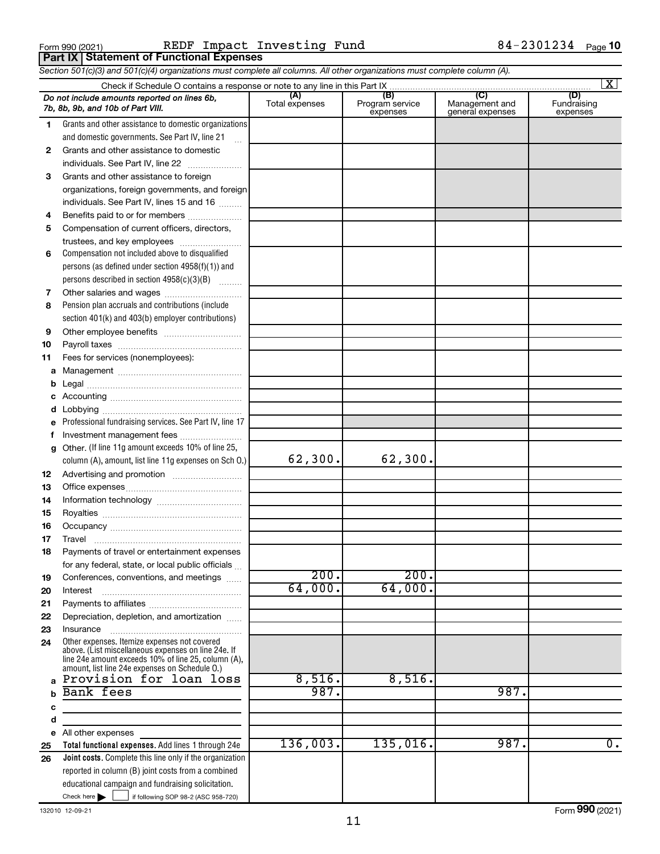**Part IX Statement of Functional Expenses**

Form 990 (2021) Page REDF Impact Investing Fund 84-2301234

*Section 501(c)(3) and 501(c)(4) organizations must complete all columns. All other organizations must complete column (A).*

|    |                                                                                                                                                                                                              |                       |                                    |                                           | $\overline{\mathbf{x}}$        |
|----|--------------------------------------------------------------------------------------------------------------------------------------------------------------------------------------------------------------|-----------------------|------------------------------------|-------------------------------------------|--------------------------------|
|    | Do not include amounts reported on lines 6b,<br>7b, 8b, 9b, and 10b of Part VIII.                                                                                                                            | (A)<br>Total expenses | (B)<br>Program service<br>expenses | (C)<br>Management and<br>general expenses | (D)<br>Fundraising<br>expenses |
| 1. | Grants and other assistance to domestic organizations                                                                                                                                                        |                       |                                    |                                           |                                |
|    | and domestic governments. See Part IV, line 21                                                                                                                                                               |                       |                                    |                                           |                                |
| 2  | Grants and other assistance to domestic                                                                                                                                                                      |                       |                                    |                                           |                                |
|    | individuals. See Part IV, line 22                                                                                                                                                                            |                       |                                    |                                           |                                |
| 3  | Grants and other assistance to foreign                                                                                                                                                                       |                       |                                    |                                           |                                |
|    | organizations, foreign governments, and foreign                                                                                                                                                              |                       |                                    |                                           |                                |
|    | individuals. See Part IV, lines 15 and 16                                                                                                                                                                    |                       |                                    |                                           |                                |
| 4  | Benefits paid to or for members                                                                                                                                                                              |                       |                                    |                                           |                                |
| 5  | Compensation of current officers, directors,                                                                                                                                                                 |                       |                                    |                                           |                                |
|    | trustees, and key employees                                                                                                                                                                                  |                       |                                    |                                           |                                |
| 6  | Compensation not included above to disqualified                                                                                                                                                              |                       |                                    |                                           |                                |
|    | persons (as defined under section $4958(f)(1)$ ) and                                                                                                                                                         |                       |                                    |                                           |                                |
|    | persons described in section 4958(c)(3)(B)                                                                                                                                                                   |                       |                                    |                                           |                                |
| 7  | Pension plan accruals and contributions (include                                                                                                                                                             |                       |                                    |                                           |                                |
| 8  | section 401(k) and 403(b) employer contributions)                                                                                                                                                            |                       |                                    |                                           |                                |
| 9  |                                                                                                                                                                                                              |                       |                                    |                                           |                                |
| 10 |                                                                                                                                                                                                              |                       |                                    |                                           |                                |
| 11 | Fees for services (nonemployees):                                                                                                                                                                            |                       |                                    |                                           |                                |
| a  |                                                                                                                                                                                                              |                       |                                    |                                           |                                |
| b  |                                                                                                                                                                                                              |                       |                                    |                                           |                                |
|    |                                                                                                                                                                                                              |                       |                                    |                                           |                                |
| d  |                                                                                                                                                                                                              |                       |                                    |                                           |                                |
| е  | Professional fundraising services. See Part IV, line 17                                                                                                                                                      |                       |                                    |                                           |                                |
| f  | Investment management fees                                                                                                                                                                                   |                       |                                    |                                           |                                |
| g  | Other. (If line 11g amount exceeds 10% of line 25,                                                                                                                                                           |                       |                                    |                                           |                                |
|    | column (A), amount, list line 11g expenses on Sch O.)                                                                                                                                                        | 62,300.               | 62,300.                            |                                           |                                |
| 12 |                                                                                                                                                                                                              |                       |                                    |                                           |                                |
| 13 |                                                                                                                                                                                                              |                       |                                    |                                           |                                |
| 14 |                                                                                                                                                                                                              |                       |                                    |                                           |                                |
| 15 |                                                                                                                                                                                                              |                       |                                    |                                           |                                |
| 16 |                                                                                                                                                                                                              |                       |                                    |                                           |                                |
| 17 |                                                                                                                                                                                                              |                       |                                    |                                           |                                |
| 18 | Payments of travel or entertainment expenses                                                                                                                                                                 |                       |                                    |                                           |                                |
|    | for any federal, state, or local public officials                                                                                                                                                            |                       |                                    |                                           |                                |
| 19 | Conferences, conventions, and meetings                                                                                                                                                                       | 200.                  | 200.                               |                                           |                                |
| 20 | Interest                                                                                                                                                                                                     | 64,000.               | 64,000.                            |                                           |                                |
| 21 |                                                                                                                                                                                                              |                       |                                    |                                           |                                |
| 22 | Depreciation, depletion, and amortization                                                                                                                                                                    |                       |                                    |                                           |                                |
| 23 | Insurance                                                                                                                                                                                                    |                       |                                    |                                           |                                |
| 24 | Other expenses. Itemize expenses not covered<br>above. (List miscellaneous expenses on line 24e. If<br>line 24e amount exceeds 10% of line 25, column (A),<br>amount, list line 24e expenses on Schedule O.) |                       |                                    |                                           |                                |
|    | Provision for loan loss                                                                                                                                                                                      | 8,516.                | 8,516.                             |                                           |                                |
|    | Bank fees                                                                                                                                                                                                    | 987.                  |                                    | 987.                                      |                                |
| с  |                                                                                                                                                                                                              |                       |                                    |                                           |                                |
| d  |                                                                                                                                                                                                              |                       |                                    |                                           |                                |
| е  | All other expenses                                                                                                                                                                                           |                       |                                    |                                           |                                |
| 25 | Total functional expenses. Add lines 1 through 24e                                                                                                                                                           | 136,003.              | 135,016.                           | 987.                                      | $\overline{0}$ .               |
| 26 | Joint costs. Complete this line only if the organization                                                                                                                                                     |                       |                                    |                                           |                                |
|    | reported in column (B) joint costs from a combined                                                                                                                                                           |                       |                                    |                                           |                                |
|    | educational campaign and fundraising solicitation.                                                                                                                                                           |                       |                                    |                                           |                                |
|    | Check here $\blacktriangleright$<br>if following SOP 98-2 (ASC 958-720)                                                                                                                                      |                       |                                    |                                           |                                |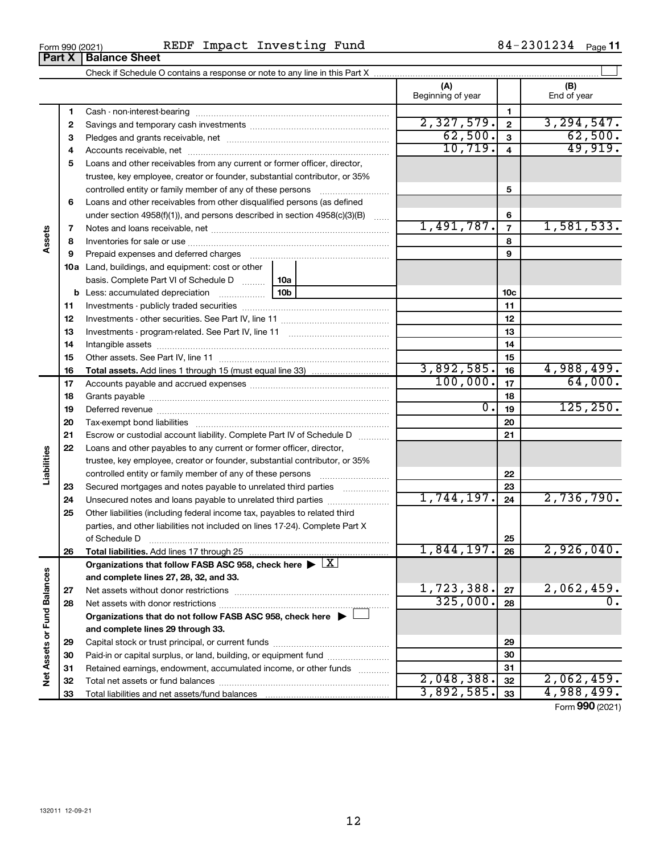| Form 990 (2021)               |  | REDF Impact Investing Fund | 84-2301234 | Page 11 |
|-------------------------------|--|----------------------------|------------|---------|
| <b>Part X   Balance Sheet</b> |  |                            |            |         |

|                             |    |                                                                                                        |                  | (A)<br>Beginning of year |                | (B)<br>End of year |
|-----------------------------|----|--------------------------------------------------------------------------------------------------------|------------------|--------------------------|----------------|--------------------|
|                             | 1  |                                                                                                        |                  |                          | 1              |                    |
|                             | 2  |                                                                                                        |                  | 2,327,579.               | $\mathbf{2}$   | 3, 294, 547.       |
|                             | З  |                                                                                                        |                  | 62,500.                  | $\mathbf{3}$   | 62,500.            |
|                             | 4  |                                                                                                        | 10, 719.         | 4                        | 49,919.        |                    |
|                             | 5  | Loans and other receivables from any current or former officer, director,                              |                  |                          |                |                    |
|                             |    | trustee, key employee, creator or founder, substantial contributor, or 35%                             |                  |                          |                |                    |
|                             |    | controlled entity or family member of any of these persons                                             |                  |                          | 5              |                    |
|                             | 6  | Loans and other receivables from other disqualified persons (as defined                                |                  |                          |                |                    |
|                             |    | under section $4958(f)(1)$ , and persons described in section $4958(c)(3)(B)$                          |                  |                          | 6              |                    |
|                             | 7  |                                                                                                        |                  | 1,491,787.               | $\overline{7}$ | 1,581,533.         |
| Assets                      | 8  |                                                                                                        |                  |                          | 8              |                    |
|                             | 9  | Prepaid expenses and deferred charges                                                                  |                  |                          | 9              |                    |
|                             |    | <b>10a</b> Land, buildings, and equipment: cost or other                                               |                  |                          |                |                    |
|                             |    | basis. Complete Part VI of Schedule D<br>10a                                                           |                  |                          |                |                    |
|                             |    | 10 <sub>b</sub><br><b>b</b> Less: accumulated depreciation                                             |                  | 10c                      |                |                    |
|                             | 11 |                                                                                                        |                  |                          | 11             |                    |
|                             | 12 |                                                                                                        |                  | 12                       |                |                    |
|                             | 13 |                                                                                                        |                  | 13                       |                |                    |
|                             | 14 |                                                                                                        |                  |                          | 14             |                    |
|                             | 15 |                                                                                                        |                  |                          | 15             |                    |
|                             | 16 |                                                                                                        |                  | 3,892,585.               | 16             | 4,988,499.         |
|                             | 17 |                                                                                                        |                  | 100,000.                 | 17             | 64,000.            |
|                             | 18 |                                                                                                        |                  |                          | 18             |                    |
|                             | 19 |                                                                                                        | $\overline{0}$ . | 19                       | 125, 250.      |                    |
|                             | 20 |                                                                                                        |                  |                          | 20             |                    |
|                             | 21 | Escrow or custodial account liability. Complete Part IV of Schedule D                                  |                  |                          | 21             |                    |
|                             | 22 | Loans and other payables to any current or former officer, director,                                   |                  |                          |                |                    |
| Liabilities                 |    | trustee, key employee, creator or founder, substantial contributor, or 35%                             |                  |                          |                |                    |
|                             |    | controlled entity or family member of any of these persons                                             |                  |                          | 22             |                    |
|                             | 23 | Secured mortgages and notes payable to unrelated third parties                                         |                  |                          | 23             |                    |
|                             | 24 | Unsecured notes and loans payable to unrelated third parties                                           |                  | 1,744,197.               | 24             | 2,736,790.         |
|                             | 25 | Other liabilities (including federal income tax, payables to related third                             |                  |                          |                |                    |
|                             |    | parties, and other liabilities not included on lines 17-24). Complete Part X                           |                  |                          |                |                    |
|                             |    | of Schedule D <b>www.arenamin.communities</b> and an architecture of Schedule D                        |                  |                          | 25             |                    |
|                             | 26 |                                                                                                        |                  | 1,844,197.               | 26             | 2,926,040.         |
|                             |    | Organizations that follow FASB ASC 958, check here $\blacktriangleright \lfloor \underline{X} \rfloor$ |                  |                          |                |                    |
|                             |    | and complete lines 27, 28, 32, and 33.                                                                 |                  |                          |                |                    |
|                             | 27 |                                                                                                        |                  | 1,723,388.               | 27             | 2,062,459.         |
|                             | 28 |                                                                                                        |                  | 325,000.                 | 28             | 0.                 |
|                             |    | Organizations that do not follow FASB ASC 958, check here $\blacktriangleright$                        |                  |                          |                |                    |
| Net Assets or Fund Balances |    | and complete lines 29 through 33.                                                                      |                  |                          |                |                    |
|                             | 29 |                                                                                                        |                  |                          | 29             |                    |
|                             | 30 | Paid-in or capital surplus, or land, building, or equipment fund                                       |                  |                          | 30             |                    |
|                             | 31 | Retained earnings, endowment, accumulated income, or other funds                                       |                  |                          | 31             |                    |
|                             | 32 |                                                                                                        |                  | 2,048,388.               | 32             | 2,062,459.         |
|                             | 33 |                                                                                                        |                  | 3,892,585.               | 33             | 4,988,499.         |

Form (2021) **990**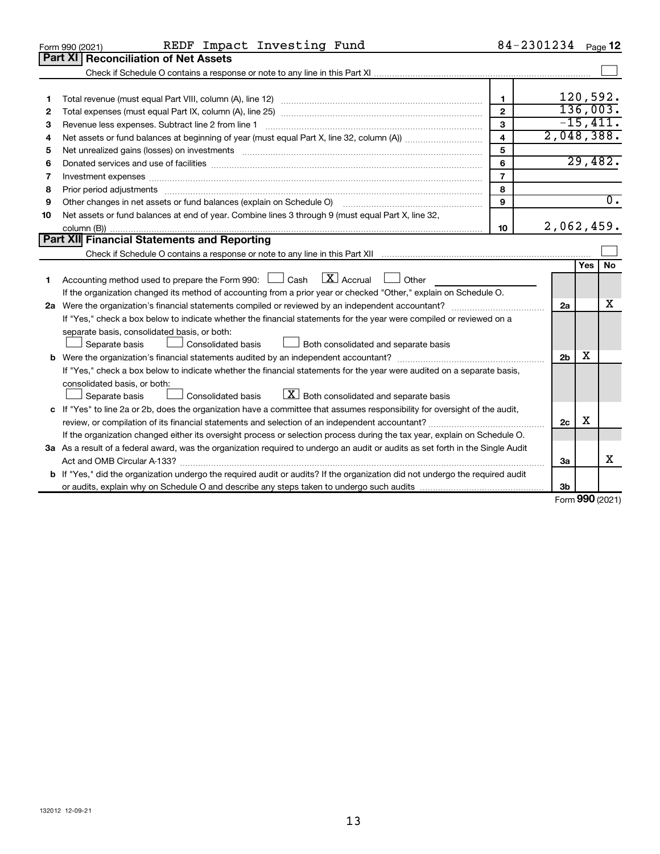|    | REDF Impact Investing Fund<br>Form 990 (2021)                                                                                   |                         | 84-2301234 Page 12 |     |                  |
|----|---------------------------------------------------------------------------------------------------------------------------------|-------------------------|--------------------|-----|------------------|
|    | Part XI<br><b>Reconciliation of Net Assets</b>                                                                                  |                         |                    |     |                  |
|    |                                                                                                                                 |                         |                    |     |                  |
|    |                                                                                                                                 |                         |                    |     |                  |
| 1  |                                                                                                                                 | $\mathbf{1}$            |                    |     | 120,592.         |
| 2  |                                                                                                                                 | $\overline{2}$          |                    |     | 136,003.         |
| З  | Revenue less expenses. Subtract line 2 from line 1                                                                              | 3                       |                    |     | $-15,411.$       |
| 4  |                                                                                                                                 | $\overline{\mathbf{4}}$ | 2,048,388.         |     |                  |
| 5  |                                                                                                                                 | 5                       |                    |     |                  |
| 6  |                                                                                                                                 | 6                       |                    |     | 29,482.          |
| 7  | Investment expenses www.communication.com/www.communication.com/www.communication.com/www.com                                   | $\overline{7}$          |                    |     |                  |
| 8  | Prior period adjustments www.communication.communication.com/news/communication.com/news/communication.com/new                  | 8                       |                    |     |                  |
| 9  |                                                                                                                                 | 9                       |                    |     | $\overline{0}$ . |
| 10 | Net assets or fund balances at end of year. Combine lines 3 through 9 (must equal Part X, line 32,                              |                         |                    |     |                  |
|    |                                                                                                                                 | 10                      | 2,062,459.         |     |                  |
|    | <b>Part XII</b> Financial Statements and Reporting                                                                              |                         |                    |     |                  |
|    |                                                                                                                                 |                         |                    |     |                  |
|    |                                                                                                                                 |                         |                    | Yes | <b>No</b>        |
| 1. | $\mathbf{X}$ Accrual<br>Accounting method used to prepare the Form 990: [130] Cash<br><b>Other</b>                              |                         |                    |     |                  |
|    | If the organization changed its method of accounting from a prior year or checked "Other," explain on Schedule O.               |                         |                    |     |                  |
|    |                                                                                                                                 |                         | 2a                 |     | х                |
|    | If "Yes," check a box below to indicate whether the financial statements for the year were compiled or reviewed on a            |                         |                    |     |                  |
|    | separate basis, consolidated basis, or both:                                                                                    |                         |                    |     |                  |
|    | Both consolidated and separate basis<br>Consolidated basis<br>Separate basis                                                    |                         |                    |     |                  |
|    |                                                                                                                                 |                         | 2 <sub>b</sub>     | х   |                  |
|    | If "Yes," check a box below to indicate whether the financial statements for the year were audited on a separate basis,         |                         |                    |     |                  |
|    | consolidated basis, or both:                                                                                                    |                         |                    |     |                  |
|    | $\lfloor \mathbf{X} \rfloor$ Both consolidated and separate basis<br><b>Consolidated basis</b><br>Separate basis                |                         |                    |     |                  |
|    | c If "Yes" to line 2a or 2b, does the organization have a committee that assumes responsibility for oversight of the audit,     |                         |                    |     |                  |
|    |                                                                                                                                 |                         | 2c                 | X   |                  |
|    | If the organization changed either its oversight process or selection process during the tax year, explain on Schedule O.       |                         |                    |     |                  |
|    | 3a As a result of a federal award, was the organization required to undergo an audit or audits as set forth in the Single Audit |                         |                    |     |                  |
|    |                                                                                                                                 |                         | За                 |     | x                |
|    | b If "Yes," did the organization undergo the required audit or audits? If the organization did not undergo the required audit   |                         |                    |     |                  |
|    |                                                                                                                                 |                         | 3 <sub>b</sub>     |     |                  |

Form (2021) **990**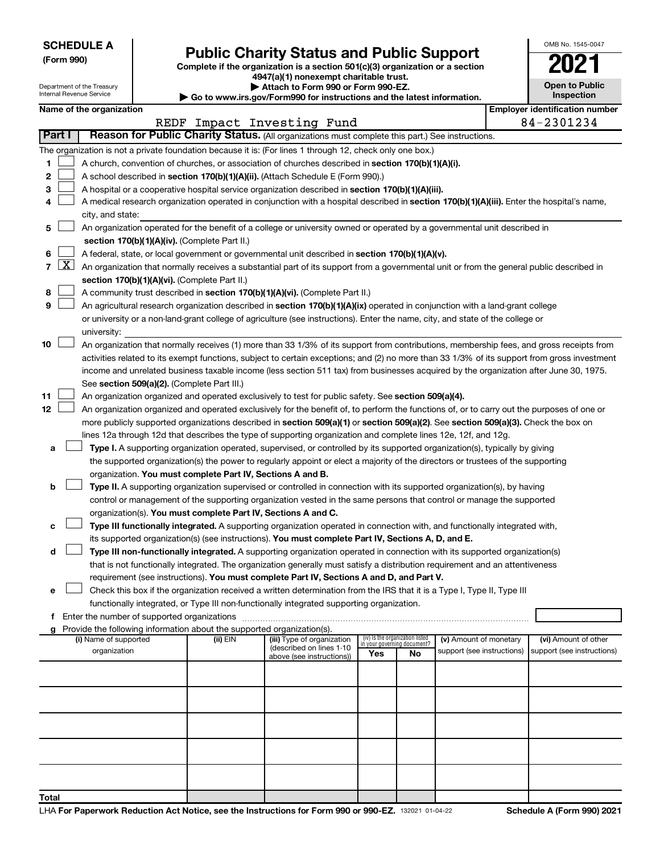| <b>SCHEDULE A</b> |  |
|-------------------|--|
|-------------------|--|

Department of the Treasury Internal Revenue Service

# Form 990)<br>
Complete if the organization is a section 501(c)(3) organization or a section<br> **Public Charity Status and Public Support**

**4947(a)(1) nonexempt charitable trust. | Attach to Form 990 or Form 990-EZ.** 

**| Go to www.irs.gov/Form990 for instructions and the latest information.**

| OMB No. 1545-0047                   |  |  |  |  |  |  |
|-------------------------------------|--|--|--|--|--|--|
| I                                   |  |  |  |  |  |  |
| <b>Open to Public</b><br>Inspection |  |  |  |  |  |  |
| ooti                                |  |  |  |  |  |  |

|                | Name of the organization                                                                                                                                                             |          |                                                        |                             |                                 |                            |  | <b>Employer identification number</b> |
|----------------|--------------------------------------------------------------------------------------------------------------------------------------------------------------------------------------|----------|--------------------------------------------------------|-----------------------------|---------------------------------|----------------------------|--|---------------------------------------|
|                |                                                                                                                                                                                      |          | REDF Impact Investing Fund                             |                             |                                 |                            |  | 84-2301234                            |
| Part I         | Reason for Public Charity Status. (All organizations must complete this part.) See instructions.                                                                                     |          |                                                        |                             |                                 |                            |  |                                       |
|                | The organization is not a private foundation because it is: (For lines 1 through 12, check only one box.)                                                                            |          |                                                        |                             |                                 |                            |  |                                       |
| 1              | A church, convention of churches, or association of churches described in section 170(b)(1)(A)(i).                                                                                   |          |                                                        |                             |                                 |                            |  |                                       |
| 2              | A school described in section 170(b)(1)(A)(ii). (Attach Schedule E (Form 990).)                                                                                                      |          |                                                        |                             |                                 |                            |  |                                       |
| 3              | A hospital or a cooperative hospital service organization described in section 170(b)(1)(A)(iii).                                                                                    |          |                                                        |                             |                                 |                            |  |                                       |
| 4              | A medical research organization operated in conjunction with a hospital described in section 170(b)(1)(A)(iii). Enter the hospital's name,                                           |          |                                                        |                             |                                 |                            |  |                                       |
|                | city, and state:                                                                                                                                                                     |          |                                                        |                             |                                 |                            |  |                                       |
| 5              | An organization operated for the benefit of a college or university owned or operated by a governmental unit described in                                                            |          |                                                        |                             |                                 |                            |  |                                       |
|                | section 170(b)(1)(A)(iv). (Complete Part II.)                                                                                                                                        |          |                                                        |                             |                                 |                            |  |                                       |
| 6              | A federal, state, or local government or governmental unit described in section 170(b)(1)(A)(v).                                                                                     |          |                                                        |                             |                                 |                            |  |                                       |
| $\overline{7}$ | $X$ An organization that normally receives a substantial part of its support from a governmental unit or from the general public described in                                        |          |                                                        |                             |                                 |                            |  |                                       |
|                | section 170(b)(1)(A)(vi). (Complete Part II.)                                                                                                                                        |          |                                                        |                             |                                 |                            |  |                                       |
| 8              | A community trust described in section 170(b)(1)(A)(vi). (Complete Part II.)                                                                                                         |          |                                                        |                             |                                 |                            |  |                                       |
| 9              | An agricultural research organization described in section 170(b)(1)(A)(ix) operated in conjunction with a land-grant college                                                        |          |                                                        |                             |                                 |                            |  |                                       |
|                | or university or a non-land-grant college of agriculture (see instructions). Enter the name, city, and state of the college or                                                       |          |                                                        |                             |                                 |                            |  |                                       |
|                | university:                                                                                                                                                                          |          |                                                        |                             |                                 |                            |  |                                       |
| 10             | An organization that normally receives (1) more than 33 1/3% of its support from contributions, membership fees, and gross receipts from                                             |          |                                                        |                             |                                 |                            |  |                                       |
|                | activities related to its exempt functions, subject to certain exceptions; and (2) no more than 33 1/3% of its support from gross investment                                         |          |                                                        |                             |                                 |                            |  |                                       |
|                | income and unrelated business taxable income (less section 511 tax) from businesses acquired by the organization after June 30, 1975.<br>See section 509(a)(2). (Complete Part III.) |          |                                                        |                             |                                 |                            |  |                                       |
| 11             | An organization organized and operated exclusively to test for public safety. See section 509(a)(4).                                                                                 |          |                                                        |                             |                                 |                            |  |                                       |
| 12             | An organization organized and operated exclusively for the benefit of, to perform the functions of, or to carry out the purposes of one or                                           |          |                                                        |                             |                                 |                            |  |                                       |
|                | more publicly supported organizations described in section 509(a)(1) or section 509(a)(2). See section 509(a)(3). Check the box on                                                   |          |                                                        |                             |                                 |                            |  |                                       |
|                | lines 12a through 12d that describes the type of supporting organization and complete lines 12e, 12f, and 12g.                                                                       |          |                                                        |                             |                                 |                            |  |                                       |
| а              | Type I. A supporting organization operated, supervised, or controlled by its supported organization(s), typically by giving                                                          |          |                                                        |                             |                                 |                            |  |                                       |
|                | the supported organization(s) the power to regularly appoint or elect a majority of the directors or trustees of the supporting                                                      |          |                                                        |                             |                                 |                            |  |                                       |
|                | organization. You must complete Part IV, Sections A and B.                                                                                                                           |          |                                                        |                             |                                 |                            |  |                                       |
| b              | Type II. A supporting organization supervised or controlled in connection with its supported organization(s), by having                                                              |          |                                                        |                             |                                 |                            |  |                                       |
|                | control or management of the supporting organization vested in the same persons that control or manage the supported                                                                 |          |                                                        |                             |                                 |                            |  |                                       |
|                | organization(s). You must complete Part IV, Sections A and C.                                                                                                                        |          |                                                        |                             |                                 |                            |  |                                       |
| c              | Type III functionally integrated. A supporting organization operated in connection with, and functionally integrated with,                                                           |          |                                                        |                             |                                 |                            |  |                                       |
|                | its supported organization(s) (see instructions). You must complete Part IV, Sections A, D, and E.                                                                                   |          |                                                        |                             |                                 |                            |  |                                       |
| d              | Type III non-functionally integrated. A supporting organization operated in connection with its supported organization(s)                                                            |          |                                                        |                             |                                 |                            |  |                                       |
|                | that is not functionally integrated. The organization generally must satisfy a distribution requirement and an attentiveness                                                         |          |                                                        |                             |                                 |                            |  |                                       |
|                | requirement (see instructions). You must complete Part IV, Sections A and D, and Part V.                                                                                             |          |                                                        |                             |                                 |                            |  |                                       |
|                | Check this box if the organization received a written determination from the IRS that it is a Type I, Type II, Type III                                                              |          |                                                        |                             |                                 |                            |  |                                       |
|                | functionally integrated, or Type III non-functionally integrated supporting organization.                                                                                            |          |                                                        |                             |                                 |                            |  |                                       |
|                | f Enter the number of supported organizations                                                                                                                                        |          |                                                        |                             |                                 |                            |  |                                       |
|                | Provide the following information about the supported organization(s).                                                                                                               |          |                                                        |                             |                                 |                            |  |                                       |
|                | (i) Name of supported                                                                                                                                                                | (ii) EIN | (iii) Type of organization<br>(described on lines 1-10 | in your governing document? | (iv) Is the organization listed | (v) Amount of monetary     |  | (vi) Amount of other                  |
|                | organization                                                                                                                                                                         |          | above (see instructions))                              | Yes                         | No                              | support (see instructions) |  | support (see instructions)            |
|                |                                                                                                                                                                                      |          |                                                        |                             |                                 |                            |  |                                       |
|                |                                                                                                                                                                                      |          |                                                        |                             |                                 |                            |  |                                       |
|                |                                                                                                                                                                                      |          |                                                        |                             |                                 |                            |  |                                       |
|                |                                                                                                                                                                                      |          |                                                        |                             |                                 |                            |  |                                       |
|                |                                                                                                                                                                                      |          |                                                        |                             |                                 |                            |  |                                       |
|                |                                                                                                                                                                                      |          |                                                        |                             |                                 |                            |  |                                       |
|                |                                                                                                                                                                                      |          |                                                        |                             |                                 |                            |  |                                       |
|                |                                                                                                                                                                                      |          |                                                        |                             |                                 |                            |  |                                       |
|                |                                                                                                                                                                                      |          |                                                        |                             |                                 |                            |  |                                       |
| Total          |                                                                                                                                                                                      |          |                                                        |                             |                                 |                            |  |                                       |
|                |                                                                                                                                                                                      |          |                                                        |                             |                                 |                            |  |                                       |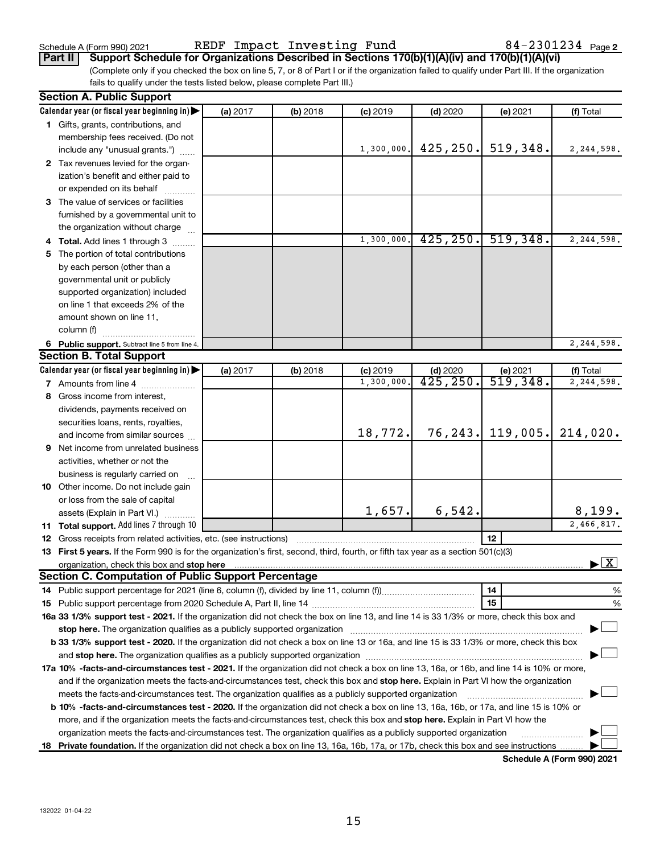Schedule A (Form 990) 2021  $\qquad \qquad$  REDF <code>Impact Investing Fund</code>  $\qquad \qquad 84-2301234$   $_{\text{Page}}$ 

(Complete only if you checked the box on line 5, 7, or 8 of Part I or if the organization failed to qualify under Part III. If the organization fails to qualify under the tests listed below, please complete Part III.) **Part II Support Schedule for Organizations Described in Sections 170(b)(1)(A)(iv) and 170(b)(1)(A)(vi)**

|    | <b>Section A. Public Support</b>                                                                                                               |          |          |            |            |                     |                                          |
|----|------------------------------------------------------------------------------------------------------------------------------------------------|----------|----------|------------|------------|---------------------|------------------------------------------|
|    | Calendar year (or fiscal year beginning in)                                                                                                    | (a) 2017 | (b) 2018 | $(c)$ 2019 | (d) 2020   | (e) 2021            | (f) Total                                |
|    | 1 Gifts, grants, contributions, and                                                                                                            |          |          |            |            |                     |                                          |
|    | membership fees received. (Do not                                                                                                              |          |          |            |            |                     |                                          |
|    | include any "unusual grants.")                                                                                                                 |          |          | 1,300,000. | 425, 250.  | 519,348.            | 2,244,598.                               |
|    | 2 Tax revenues levied for the organ-                                                                                                           |          |          |            |            |                     |                                          |
|    | ization's benefit and either paid to                                                                                                           |          |          |            |            |                     |                                          |
|    | or expended on its behalf                                                                                                                      |          |          |            |            |                     |                                          |
|    | 3 The value of services or facilities                                                                                                          |          |          |            |            |                     |                                          |
|    | furnished by a governmental unit to                                                                                                            |          |          |            |            |                     |                                          |
|    | the organization without charge                                                                                                                |          |          |            |            |                     |                                          |
|    | 4 Total. Add lines 1 through 3                                                                                                                 |          |          | 1,300,000  | 425, 250.  | 519,348.            | 2,244,598.                               |
| 5  | The portion of total contributions                                                                                                             |          |          |            |            |                     |                                          |
|    | by each person (other than a                                                                                                                   |          |          |            |            |                     |                                          |
|    | governmental unit or publicly                                                                                                                  |          |          |            |            |                     |                                          |
|    | supported organization) included                                                                                                               |          |          |            |            |                     |                                          |
|    | on line 1 that exceeds 2% of the                                                                                                               |          |          |            |            |                     |                                          |
|    | amount shown on line 11,                                                                                                                       |          |          |            |            |                     |                                          |
|    | column (f)                                                                                                                                     |          |          |            |            |                     |                                          |
|    | 6 Public support. Subtract line 5 from line 4.                                                                                                 |          |          |            |            |                     | 2,244,598.                               |
|    | <b>Section B. Total Support</b>                                                                                                                |          |          |            |            |                     |                                          |
|    | Calendar year (or fiscal year beginning in)                                                                                                    | (a) 2017 | (b) 2018 | $(c)$ 2019 | $(d)$ 2020 | (e) 2021            | (f) Total                                |
|    | 7 Amounts from line 4                                                                                                                          |          |          | 1,300,000  | 425, 250.  | 519,348.            | 2,244,598.                               |
| 8  | Gross income from interest,                                                                                                                    |          |          |            |            |                     |                                          |
|    | dividends, payments received on                                                                                                                |          |          |            |            |                     |                                          |
|    | securities loans, rents, royalties,                                                                                                            |          |          |            |            |                     |                                          |
|    | and income from similar sources                                                                                                                |          |          | 18,772.    |            | $76, 243.$ 119,005. | 214,020.                                 |
|    | <b>9</b> Net income from unrelated business                                                                                                    |          |          |            |            |                     |                                          |
|    | activities, whether or not the                                                                                                                 |          |          |            |            |                     |                                          |
|    |                                                                                                                                                |          |          |            |            |                     |                                          |
|    | business is regularly carried on                                                                                                               |          |          |            |            |                     |                                          |
|    | 10 Other income. Do not include gain                                                                                                           |          |          |            |            |                     |                                          |
|    | or loss from the sale of capital                                                                                                               |          |          | 1,657.     | 6, 542.    |                     | 8,199.                                   |
|    | assets (Explain in Part VI.)<br><b>11 Total support.</b> Add lines 7 through 10                                                                |          |          |            |            |                     | $\overline{2,466,817}$ .                 |
|    | <b>12</b> Gross receipts from related activities, etc. (see instructions)                                                                      |          |          |            |            | 12                  |                                          |
|    |                                                                                                                                                |          |          |            |            |                     |                                          |
|    | 13 First 5 years. If the Form 990 is for the organization's first, second, third, fourth, or fifth tax year as a section 501(c)(3)             |          |          |            |            |                     | $\blacktriangleright$ $\boxed{\text{X}}$ |
|    | <b>Section C. Computation of Public Support Percentage</b>                                                                                     |          |          |            |            |                     |                                          |
|    |                                                                                                                                                |          |          |            |            | 14                  | %                                        |
|    |                                                                                                                                                |          |          |            |            | 15                  | %                                        |
|    | 16a 33 1/3% support test - 2021. If the organization did not check the box on line 13, and line 14 is 33 1/3% or more, check this box and      |          |          |            |            |                     |                                          |
|    |                                                                                                                                                |          |          |            |            |                     |                                          |
|    | b 33 1/3% support test - 2020. If the organization did not check a box on line 13 or 16a, and line 15 is 33 1/3% or more, check this box       |          |          |            |            |                     |                                          |
|    |                                                                                                                                                |          |          |            |            |                     |                                          |
|    |                                                                                                                                                |          |          |            |            |                     |                                          |
|    | 17a 10% -facts-and-circumstances test - 2021. If the organization did not check a box on line 13, 16a, or 16b, and line 14 is 10% or more,     |          |          |            |            |                     |                                          |
|    | and if the organization meets the facts-and-circumstances test, check this box and stop here. Explain in Part VI how the organization          |          |          |            |            |                     |                                          |
|    | meets the facts-and-circumstances test. The organization qualifies as a publicly supported organization                                        |          |          |            |            |                     |                                          |
|    | <b>b 10%</b> -facts-and-circumstances test - 2020. If the organization did not check a box on line 13, 16a, 16b, or 17a, and line 15 is 10% or |          |          |            |            |                     |                                          |
|    | more, and if the organization meets the facts-and-circumstances test, check this box and stop here. Explain in Part VI how the                 |          |          |            |            |                     |                                          |
|    | organization meets the facts-and-circumstances test. The organization qualifies as a publicly supported organization                           |          |          |            |            |                     |                                          |
| 18 | Private foundation. If the organization did not check a box on line 13, 16a, 16b, 17a, or 17b, check this box and see instructions             |          |          |            |            |                     | Schedule A (Form 990) 2021               |

**Schedule A (Form 990) 2021**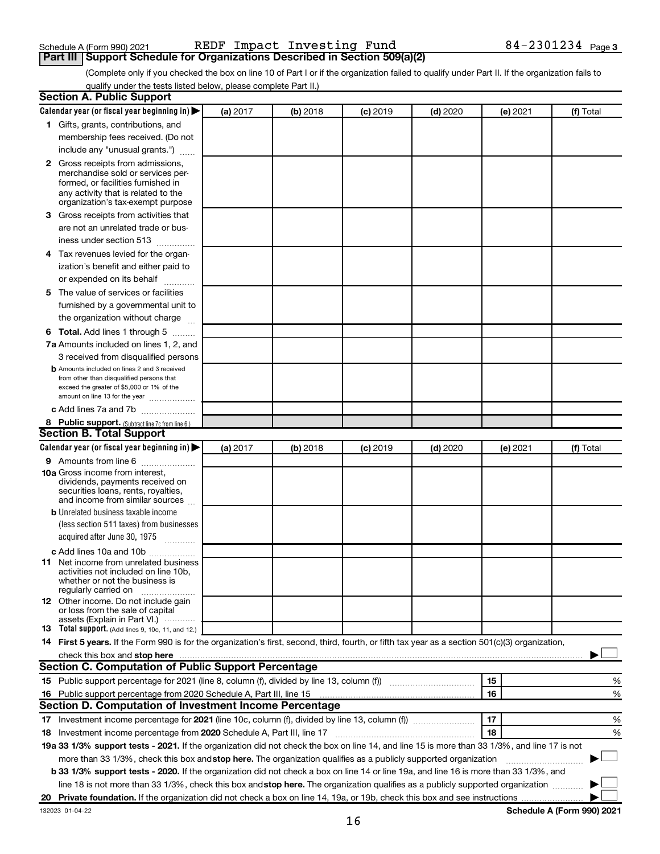## Schedule A (Form 990) 2021  $\qquad \qquad$  REDF <code>Impact Investing Fund</code>  $\qquad \qquad 84-2301234$   $_{\text{Page}}$ **Part III Support Schedule for Organizations Described in Section 509(a)(2)**

(Complete only if you checked the box on line 10 of Part I or if the organization failed to qualify under Part II. If the organization fails to qualify under the tests listed below, please complete Part II.)

| <b>Section A. Public Support</b>                                                                                                                                                                                                     |          |          |                 |            |          |                            |
|--------------------------------------------------------------------------------------------------------------------------------------------------------------------------------------------------------------------------------------|----------|----------|-----------------|------------|----------|----------------------------|
| Calendar year (or fiscal year beginning in)                                                                                                                                                                                          | (a) 2017 | (b) 2018 | <b>(c)</b> 2019 | $(d)$ 2020 | (e) 2021 | (f) Total                  |
| 1 Gifts, grants, contributions, and                                                                                                                                                                                                  |          |          |                 |            |          |                            |
| membership fees received. (Do not                                                                                                                                                                                                    |          |          |                 |            |          |                            |
| include any "unusual grants.")                                                                                                                                                                                                       |          |          |                 |            |          |                            |
| <b>2</b> Gross receipts from admissions,<br>merchandise sold or services per-<br>formed, or facilities furnished in<br>any activity that is related to the<br>organization's tax-exempt purpose                                      |          |          |                 |            |          |                            |
| 3 Gross receipts from activities that                                                                                                                                                                                                |          |          |                 |            |          |                            |
| are not an unrelated trade or bus-<br>iness under section 513                                                                                                                                                                        |          |          |                 |            |          |                            |
| 4 Tax revenues levied for the organ-                                                                                                                                                                                                 |          |          |                 |            |          |                            |
| ization's benefit and either paid to                                                                                                                                                                                                 |          |          |                 |            |          |                            |
| or expended on its behalf<br>.                                                                                                                                                                                                       |          |          |                 |            |          |                            |
| 5 The value of services or facilities                                                                                                                                                                                                |          |          |                 |            |          |                            |
| furnished by a governmental unit to                                                                                                                                                                                                  |          |          |                 |            |          |                            |
| the organization without charge                                                                                                                                                                                                      |          |          |                 |            |          |                            |
| <b>6 Total.</b> Add lines 1 through 5                                                                                                                                                                                                |          |          |                 |            |          |                            |
| 7a Amounts included on lines 1, 2, and                                                                                                                                                                                               |          |          |                 |            |          |                            |
| 3 received from disqualified persons<br><b>b</b> Amounts included on lines 2 and 3 received<br>from other than disqualified persons that<br>exceed the greater of \$5,000 or 1% of the                                               |          |          |                 |            |          |                            |
| amount on line 13 for the year<br>c Add lines 7a and 7b                                                                                                                                                                              |          |          |                 |            |          |                            |
| 8 Public support. (Subtract line 7c from line 6.)                                                                                                                                                                                    |          |          |                 |            |          |                            |
| <b>Section B. Total Support</b>                                                                                                                                                                                                      |          |          |                 |            |          |                            |
| Calendar year (or fiscal year beginning in)                                                                                                                                                                                          | (a) 2017 | (b) 2018 | <b>(c)</b> 2019 | $(d)$ 2020 | (e) 2021 | (f) Total                  |
| <b>9</b> Amounts from line 6                                                                                                                                                                                                         |          |          |                 |            |          |                            |
| <b>10a</b> Gross income from interest,<br>dividends, payments received on<br>securities loans, rents, royalties,<br>and income from similar sources                                                                                  |          |          |                 |            |          |                            |
| <b>b</b> Unrelated business taxable income                                                                                                                                                                                           |          |          |                 |            |          |                            |
| (less section 511 taxes) from businesses<br>acquired after June 30, 1975                                                                                                                                                             |          |          |                 |            |          |                            |
| c Add lines 10a and 10b                                                                                                                                                                                                              |          |          |                 |            |          |                            |
| <b>11</b> Net income from unrelated business<br>activities not included on line 10b.<br>whether or not the business is<br>regularly carried on                                                                                       |          |          |                 |            |          |                            |
| <b>12</b> Other income. Do not include gain<br>or loss from the sale of capital<br>assets (Explain in Part VI.)                                                                                                                      |          |          |                 |            |          |                            |
| <b>13</b> Total support. (Add lines 9, 10c, 11, and 12.)                                                                                                                                                                             |          |          |                 |            |          |                            |
| 14 First 5 years. If the Form 990 is for the organization's first, second, third, fourth, or fifth tax year as a section 501(c)(3) organization,                                                                                     |          |          |                 |            |          |                            |
| check this box and stop here <b>contained and according to the set of the set of the set of the set of the set of the set of the set of the set of the set of the set of the set of the set of the set of the set of the set of </b> |          |          |                 |            |          |                            |
| Section C. Computation of Public Support Percentage                                                                                                                                                                                  |          |          |                 |            |          |                            |
| 15 Public support percentage for 2021 (line 8, column (f), divided by line 13, column (f) <i>manumeronominium</i>                                                                                                                    |          |          |                 |            | 15       | %                          |
| 16 Public support percentage from 2020 Schedule A, Part III, line 15                                                                                                                                                                 |          |          |                 |            | 16       | %                          |
| Section D. Computation of Investment Income Percentage                                                                                                                                                                               |          |          |                 |            |          |                            |
| 17 Investment income percentage for 2021 (line 10c, column (f), divided by line 13, column (f))                                                                                                                                      |          |          |                 |            | 17       | %                          |
| 18 Investment income percentage from 2020 Schedule A, Part III, line 17                                                                                                                                                              |          |          |                 |            | 18       | %                          |
| 19a 33 1/3% support tests - 2021. If the organization did not check the box on line 14, and line 15 is more than 33 1/3%, and line 17 is not                                                                                         |          |          |                 |            |          |                            |
| more than 33 1/3%, check this box and stop here. The organization qualifies as a publicly supported organization                                                                                                                     |          |          |                 |            |          |                            |
| b 33 1/3% support tests - 2020. If the organization did not check a box on line 14 or line 19a, and line 16 is more than 33 1/3%, and                                                                                                |          |          |                 |            |          |                            |
| line 18 is not more than 33 1/3%, check this box and stop here. The organization qualifies as a publicly supported organization                                                                                                      |          |          |                 |            |          |                            |
|                                                                                                                                                                                                                                      |          |          |                 |            |          |                            |
| 132023 01-04-22                                                                                                                                                                                                                      |          |          |                 |            |          | Schedule A (Form 990) 2021 |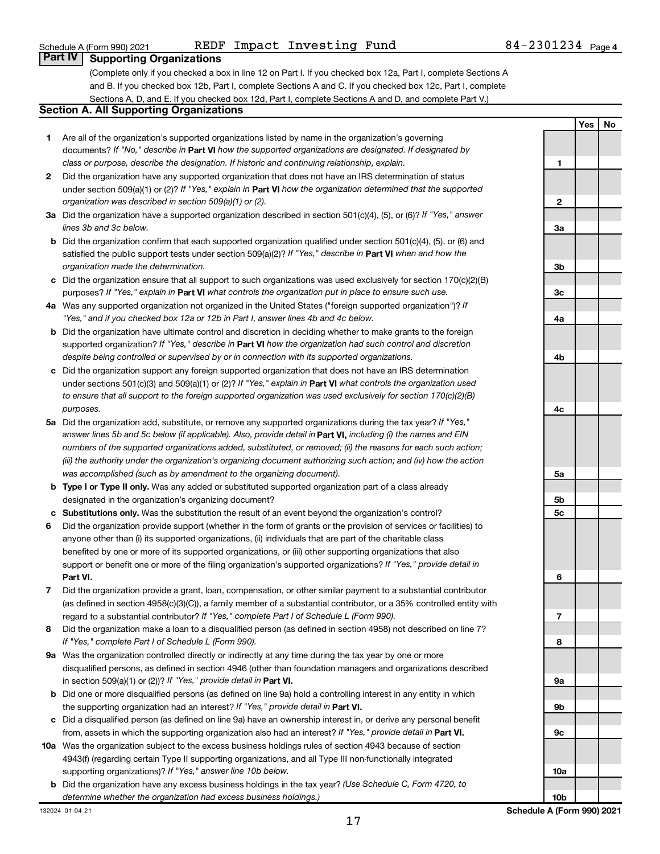| Part IV Supporting Organizations                                                                              |
|---------------------------------------------------------------------------------------------------------------|
| (Complete only if you checked a box in line 12 on Part I. If you checked box 12a, Part I, complete Sections A |
| and B. If you checked box 12b, Part I, complete Sections A and C. If you checked box 12c, Part I, complete    |
| Sections A, D, and E. If you checked box 12d, Part I, complete Sections A and D, and complete Part V.)        |
| Section A. All Supporting Organizations                                                                       |

complete Sections A and C. If you checked box 12c, Part I, complete box 12d, Part I, complete Sections A and D, and complete Part V.) **Section A. All Supporting Organizations**

- **1** Are all of the organization's supported organizations listed by name in the organization's governing documents? If "No," describe in Part VI how the supported organizations are designated. If designated by *class or purpose, describe the designation. If historic and continuing relationship, explain.*
- **2** Did the organization have any supported organization that does not have an IRS determination of status under section 509(a)(1) or (2)? If "Yes," explain in Part **VI** how the organization determined that the supported *organization was described in section 509(a)(1) or (2).*
- **3a** Did the organization have a supported organization described in section 501(c)(4), (5), or (6)? If "Yes," answer *lines 3b and 3c below.*
- **b** Did the organization confirm that each supported organization qualified under section 501(c)(4), (5), or (6) and satisfied the public support tests under section 509(a)(2)? If "Yes," describe in Part VI when and how the *organization made the determination.*
- **c** Did the organization ensure that all support to such organizations was used exclusively for section 170(c)(2)(B) purposes? If "Yes," explain in Part VI what controls the organization put in place to ensure such use.
- **4 a** *If* Was any supported organization not organized in the United States ("foreign supported organization")? *"Yes," and if you checked box 12a or 12b in Part I, answer lines 4b and 4c below.*
- **b** Did the organization have ultimate control and discretion in deciding whether to make grants to the foreign supported organization? If "Yes," describe in Part VI how the organization had such control and discretion *despite being controlled or supervised by or in connection with its supported organizations.*
- **c** Did the organization support any foreign supported organization that does not have an IRS determination under sections 501(c)(3) and 509(a)(1) or (2)? If "Yes," explain in Part VI what controls the organization used *to ensure that all support to the foreign supported organization was used exclusively for section 170(c)(2)(B) purposes.*
- **5a** Did the organization add, substitute, or remove any supported organizations during the tax year? If "Yes," answer lines 5b and 5c below (if applicable). Also, provide detail in **Part VI,** including (i) the names and EIN *numbers of the supported organizations added, substituted, or removed; (ii) the reasons for each such action; (iii) the authority under the organization's organizing document authorizing such action; and (iv) how the action was accomplished (such as by amendment to the organizing document).*
- **b** Type I or Type II only. Was any added or substituted supported organization part of a class already designated in the organization's organizing document?
- **c Substitutions only.**  Was the substitution the result of an event beyond the organization's control?
- **6** Did the organization provide support (whether in the form of grants or the provision of services or facilities) to **Part VI.** support or benefit one or more of the filing organization's supported organizations? If "Yes," provide detail in anyone other than (i) its supported organizations, (ii) individuals that are part of the charitable class benefited by one or more of its supported organizations, or (iii) other supporting organizations that also
- **7** Did the organization provide a grant, loan, compensation, or other similar payment to a substantial contributor regard to a substantial contributor? If "Yes," complete Part I of Schedule L (Form 990). (as defined in section 4958(c)(3)(C)), a family member of a substantial contributor, or a 35% controlled entity with
- **8** Did the organization make a loan to a disqualified person (as defined in section 4958) not described on line 7? *If "Yes," complete Part I of Schedule L (Form 990).*
- **9 a** Was the organization controlled directly or indirectly at any time during the tax year by one or more in section 509(a)(1) or (2))? If "Yes," provide detail in **Part VI.** disqualified persons, as defined in section 4946 (other than foundation managers and organizations described
- **b** Did one or more disqualified persons (as defined on line 9a) hold a controlling interest in any entity in which the supporting organization had an interest? If "Yes," provide detail in Part VI.
- **c** Did a disqualified person (as defined on line 9a) have an ownership interest in, or derive any personal benefit from, assets in which the supporting organization also had an interest? If "Yes," provide detail in Part VI.
- **10 a** Was the organization subject to the excess business holdings rules of section 4943 because of section supporting organizations)? If "Yes," answer line 10b below. 4943(f) (regarding certain Type II supporting organizations, and all Type III non-functionally integrated
- **b** Did the organization have any excess business holdings in the tax year? (Use Schedule C, Form 4720, to *determine whether the organization had excess business holdings.)*

**Yes No 1 2 3a 3b 3c 4a 4b 4c 5a 5b 5c 6 7 8 9a 9b 9c 10a 10b**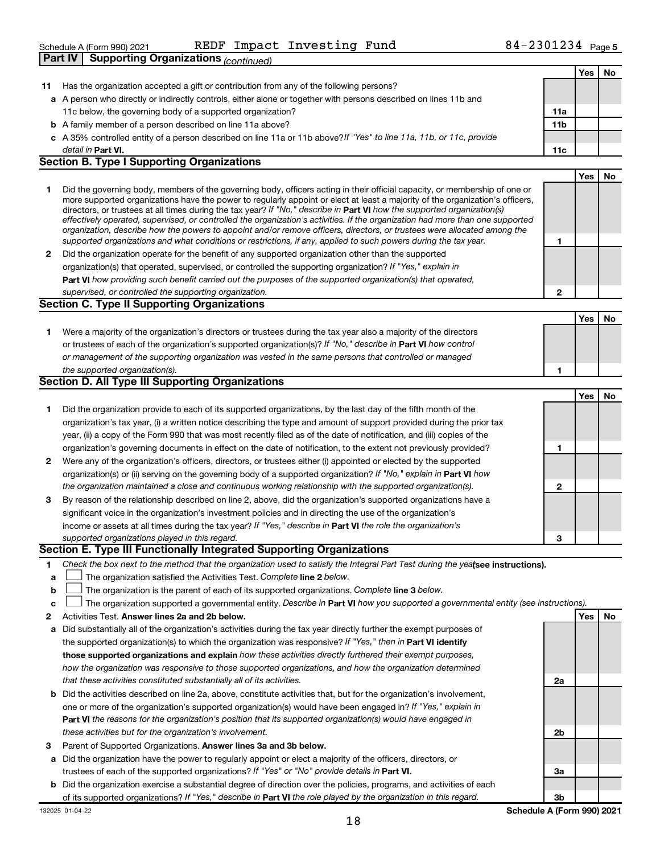| KEDF IMPACT INVESTING FUND<br>Schedule A (Form 990) 2021                                                         | 84-4301434 Page5 |     |     |    |
|------------------------------------------------------------------------------------------------------------------|------------------|-----|-----|----|
| <b>Part IV</b><br>Supporting Organizations (continued)                                                           |                  |     |     |    |
|                                                                                                                  |                  |     | Yes | No |
| Has the organization accepted a gift or contribution from any of the following persons?                          |                  |     |     |    |
| a A person who directly or indirectly controls, either alone or together with persons described on lines 11b and |                  |     |     |    |
| 11c below, the governing body of a supported organization?                                                       |                  | 11a |     |    |

REDF Impact Investing Fund 84-2301234

- **b** A family member of a person described on line 11a above?
- **c** *If "Yes" to line 11a, 11b, or 11c, provide* A 35% controlled entity of a person described on line 11a or 11b above? **Part VI. 11c** detail in Part VI.

#### **Section B. Type I Supporting Organizations**

- **1** Did the governing body, members of the governing body, officers acting in their official capacity, or membership of one or directors, or trustees at all times during the tax year? If "No," describe in Part VI how the supported organization(s) *effectively operated, supervised, or controlled the organization's activities. If the organization had more than one supported organization, describe how the powers to appoint and/or remove officers, directors, or trustees were allocated among the supported organizations and what conditions or restrictions, if any, applied to such powers during the tax year.* more supported organizations have the power to regularly appoint or elect at least a majority of the organization's officers,
- **2** Did the organization operate for the benefit of any supported organization other than the supported **Part VI**  *how providing such benefit carried out the purposes of the supported organization(s) that operated,* organization(s) that operated, supervised, or controlled the supporting organization? If "Yes," explain in *supervised, or controlled the supporting organization.*

#### **Section C. Type II Supporting Organizations**

**1** Were a majority of the organization's directors or trustees during the tax year also a majority of the directors or trustees of each of the organization's supported organization(s)? If "No," describe in Part VI how control *or management of the supporting organization was vested in the same persons that controlled or managed the supported organization(s).*

#### **Section D. All Type III Supporting Organizations**

|              |                                                                                                                        |   | Yes | No |
|--------------|------------------------------------------------------------------------------------------------------------------------|---|-----|----|
|              | Did the organization provide to each of its supported organizations, by the last day of the fifth month of the         |   |     |    |
|              | organization's tax year, (i) a written notice describing the type and amount of support provided during the prior tax  |   |     |    |
|              | year, (ii) a copy of the Form 990 that was most recently filed as of the date of notification, and (iii) copies of the |   |     |    |
|              | organization's governing documents in effect on the date of notification, to the extent not previously provided?       |   |     |    |
| $\mathbf{2}$ | Were any of the organization's officers, directors, or trustees either (i) appointed or elected by the supported       |   |     |    |
|              | organization(s) or (ii) serving on the governing body of a supported organization? If "No," explain in Part VI how     |   |     |    |
|              | the organization maintained a close and continuous working relationship with the supported organization(s).            | 2 |     |    |
| 3            | By reason of the relationship described on line 2, above, did the organization's supported organizations have a        |   |     |    |
|              | significant voice in the organization's investment policies and in directing the use of the organization's             |   |     |    |
|              | income or assets at all times during the tax year? If "Yes," describe in Part VI the role the organization's           |   |     |    |
|              | supported organizations played in this regard.                                                                         | з |     |    |

#### **Section E. Type III Functionally Integrated Supporting Organizations**

- **1** Check the box next to the method that the organization used to satisfy the Integral Part Test during the yealsee instructions).
- **a The organization satisfied the Activities Test. Complete line 2 below.**
- **b** The organization is the parent of each of its supported organizations. Complete line 3 below.  $\Box$
- **c** The organization supported a governmental entity. Describe in Part VI how you supported a governmental entity (see instructions).  $\Box$
- **2 Answer lines 2a and 2b below. Yes No** Activities Test.
- **a** Did substantially all of the organization's activities during the tax year directly further the exempt purposes of the supported organization(s) to which the organization was responsive? If "Yes," then in Part VI identify **those supported organizations and explain**  *how these activities directly furthered their exempt purposes, how the organization was responsive to those supported organizations, and how the organization determined that these activities constituted substantially all of its activities.*
- **b** Did the activities described on line 2a, above, constitute activities that, but for the organization's involvement, **Part VI**  *the reasons for the organization's position that its supported organization(s) would have engaged in* one or more of the organization's supported organization(s) would have been engaged in? If "Yes," explain in *these activities but for the organization's involvement.*
- 3 Parent of Supported Organizations. Answer lines 3a and 3b below.
- **a** Did the organization have the power to regularly appoint or elect a majority of the officers, directors, or trustees of each of the supported organizations? If "Yes" or "No" provide details in Part VI.
- **b** Did the organization exercise a substantial degree of direction over the policies, programs, and activities of each of its supported organizations? If "Yes," describe in Part VI the role played by the organization in this regard.

**11a 11b**

**1**

**2**

**1**

**Yes No**

**Yes No**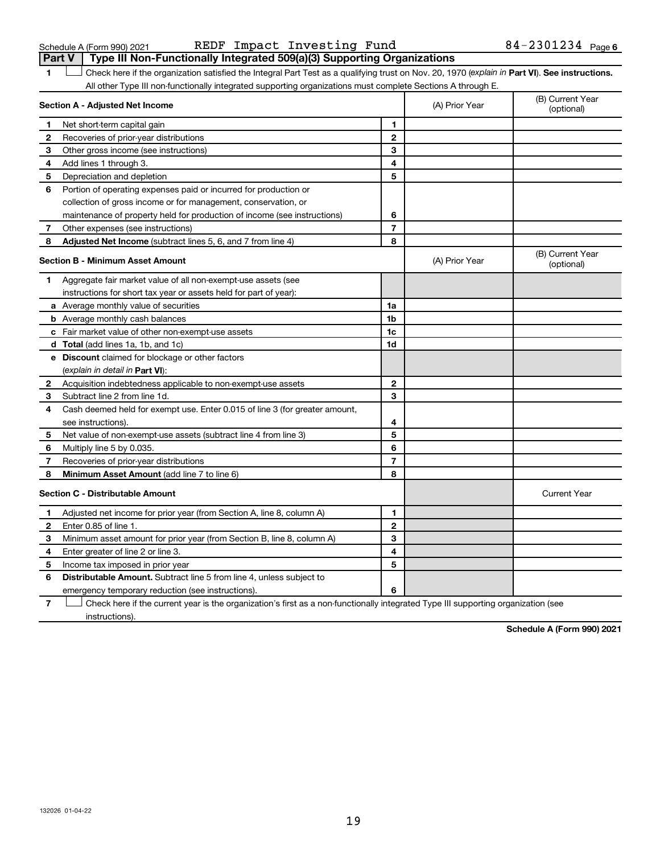| Part V         | Type III Non-Functionally Integrated 509(a)(3) Supporting Organizations                                                                        |                |                |                                |
|----------------|------------------------------------------------------------------------------------------------------------------------------------------------|----------------|----------------|--------------------------------|
| 1              | Check here if the organization satisfied the Integral Part Test as a qualifying trust on Nov. 20, 1970 (explain in Part VI). See instructions. |                |                |                                |
|                | All other Type III non-functionally integrated supporting organizations must complete Sections A through E.                                    |                |                |                                |
|                | Section A - Adjusted Net Income                                                                                                                |                | (A) Prior Year | (B) Current Year<br>(optional) |
| 1.             | Net short-term capital gain                                                                                                                    | 1              |                |                                |
| 2              | Recoveries of prior-year distributions                                                                                                         | $\mathbf{2}$   |                |                                |
| З              | Other gross income (see instructions)                                                                                                          | 3              |                |                                |
| 4              | Add lines 1 through 3.                                                                                                                         | 4              |                |                                |
| 5              | Depreciation and depletion                                                                                                                     | 5              |                |                                |
| 6              | Portion of operating expenses paid or incurred for production or                                                                               |                |                |                                |
|                | collection of gross income or for management, conservation, or                                                                                 |                |                |                                |
|                | maintenance of property held for production of income (see instructions)                                                                       | 6              |                |                                |
| 7              | Other expenses (see instructions)                                                                                                              | 7              |                |                                |
| 8              | Adjusted Net Income (subtract lines 5, 6, and 7 from line 4)                                                                                   | 8              |                |                                |
|                | <b>Section B - Minimum Asset Amount</b>                                                                                                        |                | (A) Prior Year | (B) Current Year<br>(optional) |
| 1              | Aggregate fair market value of all non-exempt-use assets (see                                                                                  |                |                |                                |
|                | instructions for short tax year or assets held for part of year):                                                                              |                |                |                                |
|                | <b>a</b> Average monthly value of securities                                                                                                   | 1a             |                |                                |
|                | <b>b</b> Average monthly cash balances                                                                                                         | 1b             |                |                                |
|                | c Fair market value of other non-exempt-use assets                                                                                             | 1c             |                |                                |
|                | <b>d</b> Total (add lines 1a, 1b, and 1c)                                                                                                      | 1d             |                |                                |
|                | e Discount claimed for blockage or other factors                                                                                               |                |                |                                |
|                | (explain in detail in Part VI):                                                                                                                |                |                |                                |
| 2              | Acquisition indebtedness applicable to non-exempt-use assets                                                                                   | $\mathbf{2}$   |                |                                |
| 3              | Subtract line 2 from line 1d.                                                                                                                  | 3              |                |                                |
| 4              | Cash deemed held for exempt use. Enter 0.015 of line 3 (for greater amount,                                                                    |                |                |                                |
|                | see instructions).                                                                                                                             | 4              |                |                                |
| 5              | Net value of non-exempt-use assets (subtract line 4 from line 3)                                                                               | 5              |                |                                |
| 6              | Multiply line 5 by 0.035.                                                                                                                      | 6              |                |                                |
| 7              | Recoveries of prior-year distributions                                                                                                         | $\overline{7}$ |                |                                |
| 8              | Minimum Asset Amount (add line 7 to line 6)                                                                                                    | 8              |                |                                |
|                | <b>Section C - Distributable Amount</b>                                                                                                        |                |                | <b>Current Year</b>            |
| 1              | Adjusted net income for prior year (from Section A, line 8, column A)                                                                          | 1              |                |                                |
| 2              | Enter 0.85 of line 1.                                                                                                                          | $\mathbf{2}$   |                |                                |
| 3              | Minimum asset amount for prior year (from Section B, line 8, column A)                                                                         | 3              |                |                                |
| 4              | Enter greater of line 2 or line 3.                                                                                                             | 4              |                |                                |
| 5              | Income tax imposed in prior year                                                                                                               | 5              |                |                                |
| 6              | <b>Distributable Amount.</b> Subtract line 5 from line 4, unless subject to                                                                    |                |                |                                |
|                | emergency temporary reduction (see instructions).                                                                                              | 6              |                |                                |
| $\overline{7}$ | Check here if the current year is the organization's first as a non-functionally integrated Type III supporting organization (see              |                |                |                                |

instructions).

**Schedule A (Form 990) 2021**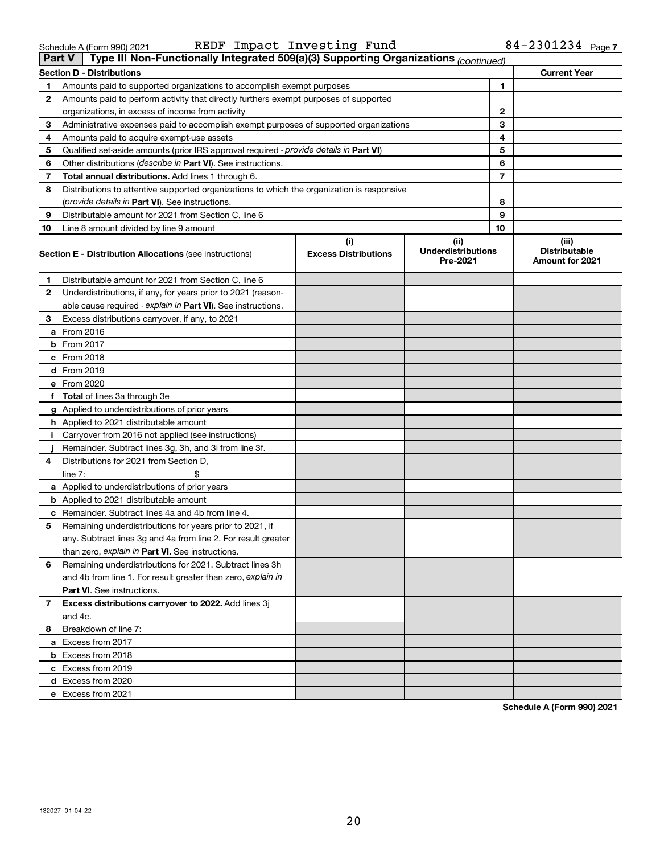| Schedule A (Form 990) 2021 |
|----------------------------|
|----------------------------|

|  | Schedule A (Form 990) 2021 |  |  | REDF Impact Investing Fund |  | $84 - 2301234$ Page 7 |  |
|--|----------------------------|--|--|----------------------------|--|-----------------------|--|
|--|----------------------------|--|--|----------------------------|--|-----------------------|--|

| Type III Non-Functionally Integrated 509(a)(3) Supporting Organizations (continued)<br><b>Part V</b> |                                                                                            |                                    |                                                |                                                         |  |  |  |  |
|------------------------------------------------------------------------------------------------------|--------------------------------------------------------------------------------------------|------------------------------------|------------------------------------------------|---------------------------------------------------------|--|--|--|--|
|                                                                                                      | <b>Section D - Distributions</b>                                                           |                                    |                                                | <b>Current Year</b>                                     |  |  |  |  |
| 1                                                                                                    | Amounts paid to supported organizations to accomplish exempt purposes                      | $\blacksquare$                     |                                                |                                                         |  |  |  |  |
| 2                                                                                                    | Amounts paid to perform activity that directly furthers exempt purposes of supported       |                                    |                                                |                                                         |  |  |  |  |
|                                                                                                      | organizations, in excess of income from activity                                           |                                    | $\mathbf{2}$                                   |                                                         |  |  |  |  |
| 3                                                                                                    | Administrative expenses paid to accomplish exempt purposes of supported organizations      | 3                                  |                                                |                                                         |  |  |  |  |
| 4                                                                                                    | Amounts paid to acquire exempt-use assets                                                  |                                    | 4                                              |                                                         |  |  |  |  |
| 5                                                                                                    | Qualified set-aside amounts (prior IRS approval required - provide details in Part VI)     |                                    | 5                                              |                                                         |  |  |  |  |
| 6                                                                                                    | Other distributions ( <i>describe in Part VI</i> ). See instructions.                      |                                    | 6                                              |                                                         |  |  |  |  |
| 7                                                                                                    | Total annual distributions. Add lines 1 through 6.                                         |                                    | $\overline{7}$                                 |                                                         |  |  |  |  |
| 8                                                                                                    | Distributions to attentive supported organizations to which the organization is responsive |                                    |                                                |                                                         |  |  |  |  |
|                                                                                                      | ( <i>provide details in Part VI</i> ). See instructions.                                   |                                    | 8                                              |                                                         |  |  |  |  |
| 9                                                                                                    | Distributable amount for 2021 from Section C, line 6                                       |                                    | 9                                              |                                                         |  |  |  |  |
| 10                                                                                                   | Line 8 amount divided by line 9 amount                                                     |                                    | 10                                             |                                                         |  |  |  |  |
|                                                                                                      | <b>Section E - Distribution Allocations (see instructions)</b>                             | (i)<br><b>Excess Distributions</b> | (iii)<br><b>Underdistributions</b><br>Pre-2021 | (iii)<br><b>Distributable</b><br><b>Amount for 2021</b> |  |  |  |  |
| 1                                                                                                    | Distributable amount for 2021 from Section C, line 6                                       |                                    |                                                |                                                         |  |  |  |  |
| 2                                                                                                    | Underdistributions, if any, for years prior to 2021 (reason-                               |                                    |                                                |                                                         |  |  |  |  |
|                                                                                                      | able cause required - explain in Part VI). See instructions.                               |                                    |                                                |                                                         |  |  |  |  |
| 3                                                                                                    | Excess distributions carryover, if any, to 2021                                            |                                    |                                                |                                                         |  |  |  |  |
|                                                                                                      | a From 2016                                                                                |                                    |                                                |                                                         |  |  |  |  |
|                                                                                                      | <b>b</b> From 2017                                                                         |                                    |                                                |                                                         |  |  |  |  |
|                                                                                                      | c From 2018                                                                                |                                    |                                                |                                                         |  |  |  |  |
|                                                                                                      | d From 2019                                                                                |                                    |                                                |                                                         |  |  |  |  |
|                                                                                                      | e From 2020                                                                                |                                    |                                                |                                                         |  |  |  |  |
|                                                                                                      | f Total of lines 3a through 3e                                                             |                                    |                                                |                                                         |  |  |  |  |
|                                                                                                      | g Applied to underdistributions of prior years                                             |                                    |                                                |                                                         |  |  |  |  |
|                                                                                                      | <b>h</b> Applied to 2021 distributable amount                                              |                                    |                                                |                                                         |  |  |  |  |
| Ť.                                                                                                   | Carryover from 2016 not applied (see instructions)                                         |                                    |                                                |                                                         |  |  |  |  |
|                                                                                                      | Remainder. Subtract lines 3g, 3h, and 3i from line 3f.                                     |                                    |                                                |                                                         |  |  |  |  |
| 4                                                                                                    | Distributions for 2021 from Section D,                                                     |                                    |                                                |                                                         |  |  |  |  |
|                                                                                                      | line $7:$                                                                                  |                                    |                                                |                                                         |  |  |  |  |
|                                                                                                      | a Applied to underdistributions of prior years                                             |                                    |                                                |                                                         |  |  |  |  |
|                                                                                                      | <b>b</b> Applied to 2021 distributable amount                                              |                                    |                                                |                                                         |  |  |  |  |
|                                                                                                      | c Remainder. Subtract lines 4a and 4b from line 4.                                         |                                    |                                                |                                                         |  |  |  |  |
| 5                                                                                                    | Remaining underdistributions for years prior to 2021, if                                   |                                    |                                                |                                                         |  |  |  |  |
|                                                                                                      | any. Subtract lines 3g and 4a from line 2. For result greater                              |                                    |                                                |                                                         |  |  |  |  |
|                                                                                                      | than zero, explain in Part VI. See instructions.                                           |                                    |                                                |                                                         |  |  |  |  |
| 6                                                                                                    | Remaining underdistributions for 2021. Subtract lines 3h                                   |                                    |                                                |                                                         |  |  |  |  |
|                                                                                                      | and 4b from line 1. For result greater than zero, explain in                               |                                    |                                                |                                                         |  |  |  |  |
|                                                                                                      | <b>Part VI.</b> See instructions.                                                          |                                    |                                                |                                                         |  |  |  |  |
| 7                                                                                                    | Excess distributions carryover to 2022. Add lines 3j                                       |                                    |                                                |                                                         |  |  |  |  |
|                                                                                                      | and 4c.                                                                                    |                                    |                                                |                                                         |  |  |  |  |
| 8                                                                                                    | Breakdown of line 7:                                                                       |                                    |                                                |                                                         |  |  |  |  |
|                                                                                                      | a Excess from 2017                                                                         |                                    |                                                |                                                         |  |  |  |  |
|                                                                                                      | <b>b</b> Excess from 2018                                                                  |                                    |                                                |                                                         |  |  |  |  |
|                                                                                                      | c Excess from 2019                                                                         |                                    |                                                |                                                         |  |  |  |  |
|                                                                                                      | d Excess from 2020                                                                         |                                    |                                                |                                                         |  |  |  |  |
|                                                                                                      | e Excess from 2021                                                                         |                                    |                                                |                                                         |  |  |  |  |

**Schedule A (Form 990) 2021**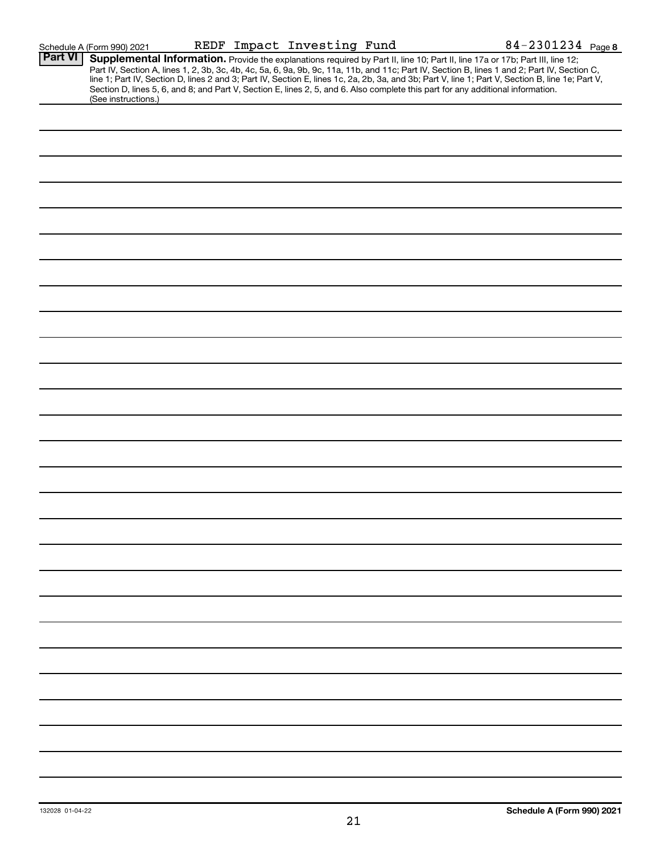|                | Schedule A (Form 990) 2021 |  | REDF Impact Investing Fund | 84-2301234 Page 8                                                                                                                                                                                                                                                                                                                                                                                                                                                                                                                                                    |
|----------------|----------------------------|--|----------------------------|----------------------------------------------------------------------------------------------------------------------------------------------------------------------------------------------------------------------------------------------------------------------------------------------------------------------------------------------------------------------------------------------------------------------------------------------------------------------------------------------------------------------------------------------------------------------|
| <b>Part VI</b> | (See instructions.)        |  |                            | Supplemental Information. Provide the explanations required by Part II, line 10; Part II, line 17a or 17b; Part III, line 12;<br>Part IV, Section A, lines 1, 2, 3b, 3c, 4b, 4c, 5a, 6, 9a, 9b, 9c, 11a, 11b, and 11c; Part IV, Section B, lines 1 and 2; Part IV, Section C,<br>line 1; Part IV, Section D, lines 2 and 3; Part IV, Section E, lines 1c, 2a, 2b, 3a, and 3b; Part V, line 1; Part V, Section B, line 1e; Part V,<br>Section D, lines 5, 6, and 8; and Part V, Section E, lines 2, 5, and 6. Also complete this part for any additional information. |
|                |                            |  |                            |                                                                                                                                                                                                                                                                                                                                                                                                                                                                                                                                                                      |
|                |                            |  |                            |                                                                                                                                                                                                                                                                                                                                                                                                                                                                                                                                                                      |
|                |                            |  |                            |                                                                                                                                                                                                                                                                                                                                                                                                                                                                                                                                                                      |
|                |                            |  |                            |                                                                                                                                                                                                                                                                                                                                                                                                                                                                                                                                                                      |
|                |                            |  |                            |                                                                                                                                                                                                                                                                                                                                                                                                                                                                                                                                                                      |
|                |                            |  |                            |                                                                                                                                                                                                                                                                                                                                                                                                                                                                                                                                                                      |
|                |                            |  |                            |                                                                                                                                                                                                                                                                                                                                                                                                                                                                                                                                                                      |
|                |                            |  |                            |                                                                                                                                                                                                                                                                                                                                                                                                                                                                                                                                                                      |
|                |                            |  |                            |                                                                                                                                                                                                                                                                                                                                                                                                                                                                                                                                                                      |
|                |                            |  |                            |                                                                                                                                                                                                                                                                                                                                                                                                                                                                                                                                                                      |
|                |                            |  |                            |                                                                                                                                                                                                                                                                                                                                                                                                                                                                                                                                                                      |
|                |                            |  |                            |                                                                                                                                                                                                                                                                                                                                                                                                                                                                                                                                                                      |
|                |                            |  |                            |                                                                                                                                                                                                                                                                                                                                                                                                                                                                                                                                                                      |
|                |                            |  |                            |                                                                                                                                                                                                                                                                                                                                                                                                                                                                                                                                                                      |
|                |                            |  |                            |                                                                                                                                                                                                                                                                                                                                                                                                                                                                                                                                                                      |
|                |                            |  |                            |                                                                                                                                                                                                                                                                                                                                                                                                                                                                                                                                                                      |
|                |                            |  |                            |                                                                                                                                                                                                                                                                                                                                                                                                                                                                                                                                                                      |
|                |                            |  |                            |                                                                                                                                                                                                                                                                                                                                                                                                                                                                                                                                                                      |
|                |                            |  |                            |                                                                                                                                                                                                                                                                                                                                                                                                                                                                                                                                                                      |
|                |                            |  |                            |                                                                                                                                                                                                                                                                                                                                                                                                                                                                                                                                                                      |
|                |                            |  |                            |                                                                                                                                                                                                                                                                                                                                                                                                                                                                                                                                                                      |
|                |                            |  |                            |                                                                                                                                                                                                                                                                                                                                                                                                                                                                                                                                                                      |
|                |                            |  |                            |                                                                                                                                                                                                                                                                                                                                                                                                                                                                                                                                                                      |
|                |                            |  |                            |                                                                                                                                                                                                                                                                                                                                                                                                                                                                                                                                                                      |
|                |                            |  |                            |                                                                                                                                                                                                                                                                                                                                                                                                                                                                                                                                                                      |
|                |                            |  |                            |                                                                                                                                                                                                                                                                                                                                                                                                                                                                                                                                                                      |
|                |                            |  |                            |                                                                                                                                                                                                                                                                                                                                                                                                                                                                                                                                                                      |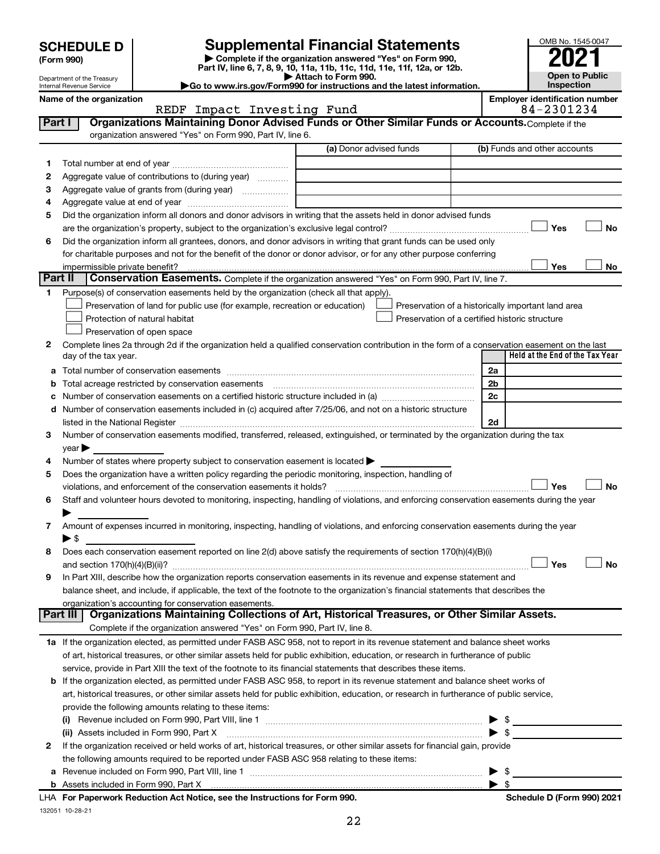| (Form 990) |
|------------|
|------------|

132051 10-28-21

**| Complete if the organization answered "Yes" on Form 990, Part IV, line 6, 7, 8, 9, 10, 11a, 11b, 11c, 11d, 11e, 11f, 12a, or 12b. SCHEDULE D Supplemental Financial Statements**<br> **Form 990 Example 5 2021**<br>
Part IV. line 6, 7, 8, 9, 10, 11a, 11b, 11c, 11d, 11e, 11f, 12a, or 12b.

**| Attach to Form 990. |Go to www.irs.gov/Form990 for instructions and the latest information.**

**Part I** | Organizations Maintaining Donor Advised Funds or Other Similar Funds or Accounts. Complete if the



Department of the Treasury Internal Revenue Service

#### Name of the organization<br>**REDF** Impact Investing Fund **Employer identification number**<br>84-2301234 REDF Impact Investing Fund

|         | organization answered "Yes" on Form 990, Part IV, line 6.                                                                                      |                         |  |                              |                                                    |    |
|---------|------------------------------------------------------------------------------------------------------------------------------------------------|-------------------------|--|------------------------------|----------------------------------------------------|----|
|         |                                                                                                                                                | (a) Donor advised funds |  | (b) Funds and other accounts |                                                    |    |
| 1.      |                                                                                                                                                |                         |  |                              |                                                    |    |
| 2       | Aggregate value of contributions to (during year)                                                                                              |                         |  |                              |                                                    |    |
| з       | Aggregate value of grants from (during year)                                                                                                   |                         |  |                              |                                                    |    |
| 4       |                                                                                                                                                |                         |  |                              |                                                    |    |
| 5       | Did the organization inform all donors and donor advisors in writing that the assets held in donor advised funds                               |                         |  |                              |                                                    |    |
|         |                                                                                                                                                |                         |  |                              | Yes                                                | No |
| 6       | Did the organization inform all grantees, donors, and donor advisors in writing that grant funds can be used only                              |                         |  |                              |                                                    |    |
|         | for charitable purposes and not for the benefit of the donor or donor advisor, or for any other purpose conferring                             |                         |  |                              |                                                    |    |
|         | impermissible private benefit?                                                                                                                 |                         |  |                              | Yes                                                | No |
| Part II | Conservation Easements. Complete if the organization answered "Yes" on Form 990, Part IV, line 7.                                              |                         |  |                              |                                                    |    |
| 1       | Purpose(s) of conservation easements held by the organization (check all that apply).                                                          |                         |  |                              |                                                    |    |
|         | Preservation of land for public use (for example, recreation or education)                                                                     |                         |  |                              | Preservation of a historically important land area |    |
|         | Protection of natural habitat                                                                                                                  |                         |  |                              | Preservation of a certified historic structure     |    |
|         | Preservation of open space                                                                                                                     |                         |  |                              |                                                    |    |
| 2       | Complete lines 2a through 2d if the organization held a qualified conservation contribution in the form of a conservation easement on the last |                         |  |                              |                                                    |    |
|         | day of the tax year.                                                                                                                           |                         |  |                              | Held at the End of the Tax Year                    |    |
| а       |                                                                                                                                                |                         |  | 2a                           |                                                    |    |
|         | Total acreage restricted by conservation easements                                                                                             |                         |  | 2 <sub>b</sub>               |                                                    |    |
|         |                                                                                                                                                |                         |  | 2c                           |                                                    |    |
|         | Number of conservation easements included in (c) acquired after 7/25/06, and not on a historic structure                                       |                         |  |                              |                                                    |    |
|         |                                                                                                                                                |                         |  | 2d                           |                                                    |    |
| 3       | Number of conservation easements modified, transferred, released, extinguished, or terminated by the organization during the tax               |                         |  |                              |                                                    |    |
|         | $\vee$ ear $\blacktriangleright$                                                                                                               |                         |  |                              |                                                    |    |
| 4       | Number of states where property subject to conservation easement is located >                                                                  |                         |  |                              |                                                    |    |
| 5       | Does the organization have a written policy regarding the periodic monitoring, inspection, handling of                                         |                         |  |                              |                                                    |    |
|         | violations, and enforcement of the conservation easements it holds?                                                                            |                         |  |                              | Yes                                                | No |
| 6       | Staff and volunteer hours devoted to monitoring, inspecting, handling of violations, and enforcing conservation easements during the year      |                         |  |                              |                                                    |    |
|         |                                                                                                                                                |                         |  |                              |                                                    |    |
| 7       | Amount of expenses incurred in monitoring, inspecting, handling of violations, and enforcing conservation easements during the year            |                         |  |                              |                                                    |    |
|         | ► \$                                                                                                                                           |                         |  |                              |                                                    |    |
| 8       | Does each conservation easement reported on line 2(d) above satisfy the requirements of section 170(h)(4)(B)(i)                                |                         |  |                              |                                                    |    |
|         |                                                                                                                                                |                         |  |                              | Yes                                                | No |
| 9       | In Part XIII, describe how the organization reports conservation easements in its revenue and expense statement and                            |                         |  |                              |                                                    |    |
|         | balance sheet, and include, if applicable, the text of the footnote to the organization's financial statements that describes the              |                         |  |                              |                                                    |    |
|         | organization's accounting for conservation easements.                                                                                          |                         |  |                              |                                                    |    |
|         | Part III   Organizations Maintaining Collections of Art, Historical Treasures, or Other Similar Assets.                                        |                         |  |                              |                                                    |    |
|         | Complete if the organization answered "Yes" on Form 990, Part IV, line 8.                                                                      |                         |  |                              |                                                    |    |
|         | 1a If the organization elected, as permitted under FASB ASC 958, not to report in its revenue statement and balance sheet works                |                         |  |                              |                                                    |    |
|         | of art, historical treasures, or other similar assets held for public exhibition, education, or research in furtherance of public              |                         |  |                              |                                                    |    |
|         | service, provide in Part XIII the text of the footnote to its financial statements that describes these items.                                 |                         |  |                              |                                                    |    |
| b       | If the organization elected, as permitted under FASB ASC 958, to report in its revenue statement and balance sheet works of                    |                         |  |                              |                                                    |    |
|         | art, historical treasures, or other similar assets held for public exhibition, education, or research in furtherance of public service,        |                         |  |                              |                                                    |    |
|         | provide the following amounts relating to these items:                                                                                         |                         |  |                              |                                                    |    |
|         |                                                                                                                                                |                         |  |                              | \$                                                 |    |
|         | (ii) Assets included in Form 990, Part X                                                                                                       |                         |  |                              | $\frac{1}{2}$                                      |    |
| 2       | If the organization received or held works of art, historical treasures, or other similar assets for financial gain, provide                   |                         |  |                              |                                                    |    |
|         | the following amounts required to be reported under FASB ASC 958 relating to these items:                                                      |                         |  |                              |                                                    |    |
| а       |                                                                                                                                                |                         |  |                              | \$                                                 |    |
|         |                                                                                                                                                |                         |  |                              | \$                                                 |    |
|         | LHA For Paperwork Reduction Act Notice, see the Instructions for Form 990.                                                                     |                         |  |                              | Schedule D (Form 990) 2021                         |    |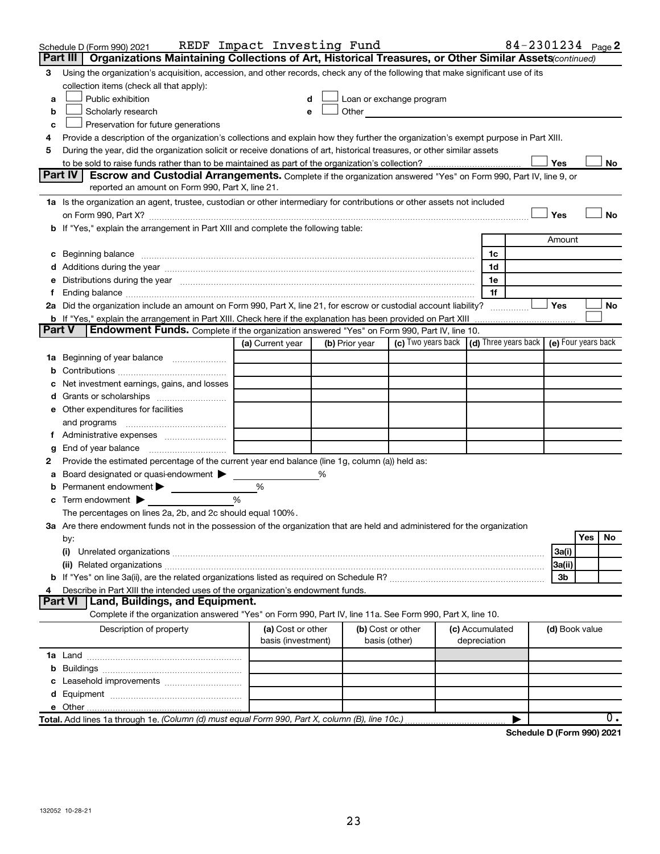|               | Schedule D (Form 990) 2021                                                                                                                                                                                                          | REDF Impact Investing Fund              |   |                                    |                                                                                                                                                                                                                               |                 |              |                | 84-2301234 Page 2 |
|---------------|-------------------------------------------------------------------------------------------------------------------------------------------------------------------------------------------------------------------------------------|-----------------------------------------|---|------------------------------------|-------------------------------------------------------------------------------------------------------------------------------------------------------------------------------------------------------------------------------|-----------------|--------------|----------------|-------------------|
|               | Organizations Maintaining Collections of Art, Historical Treasures, or Other Similar Assets (continued)<br>Part III                                                                                                                 |                                         |   |                                    |                                                                                                                                                                                                                               |                 |              |                |                   |
| 3             | Using the organization's acquisition, accession, and other records, check any of the following that make significant use of its                                                                                                     |                                         |   |                                    |                                                                                                                                                                                                                               |                 |              |                |                   |
|               | collection items (check all that apply):                                                                                                                                                                                            |                                         |   |                                    |                                                                                                                                                                                                                               |                 |              |                |                   |
| a             | Public exhibition                                                                                                                                                                                                                   |                                         |   |                                    | Loan or exchange program                                                                                                                                                                                                      |                 |              |                |                   |
| b             | Scholarly research                                                                                                                                                                                                                  |                                         |   |                                    | Other and the contract of the contract of the contract of the contract of the contract of the contract of the contract of the contract of the contract of the contract of the contract of the contract of the contract of the |                 |              |                |                   |
| с             | Preservation for future generations                                                                                                                                                                                                 |                                         |   |                                    |                                                                                                                                                                                                                               |                 |              |                |                   |
| 4             | Provide a description of the organization's collections and explain how they further the organization's exempt purpose in Part XIII.                                                                                                |                                         |   |                                    |                                                                                                                                                                                                                               |                 |              |                |                   |
| 5             | During the year, did the organization solicit or receive donations of art, historical treasures, or other similar assets                                                                                                            |                                         |   |                                    |                                                                                                                                                                                                                               |                 |              |                |                   |
|               |                                                                                                                                                                                                                                     |                                         |   |                                    |                                                                                                                                                                                                                               |                 |              | Yes            | No                |
|               | Part IV<br><b>Escrow and Custodial Arrangements.</b> Complete if the organization answered "Yes" on Form 990, Part IV, line 9, or                                                                                                   |                                         |   |                                    |                                                                                                                                                                                                                               |                 |              |                |                   |
|               | reported an amount on Form 990, Part X, line 21.                                                                                                                                                                                    |                                         |   |                                    |                                                                                                                                                                                                                               |                 |              |                |                   |
|               | 1a Is the organization an agent, trustee, custodian or other intermediary for contributions or other assets not included                                                                                                            |                                         |   |                                    |                                                                                                                                                                                                                               |                 |              |                |                   |
|               |                                                                                                                                                                                                                                     |                                         |   |                                    |                                                                                                                                                                                                                               |                 |              | Yes            | No                |
|               | b If "Yes," explain the arrangement in Part XIII and complete the following table:                                                                                                                                                  |                                         |   |                                    |                                                                                                                                                                                                                               |                 |              |                |                   |
|               |                                                                                                                                                                                                                                     |                                         |   |                                    |                                                                                                                                                                                                                               |                 |              | Amount         |                   |
|               | c Beginning balance <b>communications</b> and a construction of the construction of the construction of the construction of the construction of the construction of the construction of the construction of the construction of the |                                         |   |                                    |                                                                                                                                                                                                                               |                 | 1c           |                |                   |
|               |                                                                                                                                                                                                                                     |                                         |   |                                    |                                                                                                                                                                                                                               |                 | 1d           |                |                   |
|               | e Distributions during the year manufactured and continuum control of the control of the control of the state of the control of the control of the control of the control of the control of the control of the control of the       |                                         |   |                                    |                                                                                                                                                                                                                               |                 | 1e           |                |                   |
|               |                                                                                                                                                                                                                                     |                                         |   |                                    |                                                                                                                                                                                                                               |                 | 1f           |                |                   |
|               | 2a Did the organization include an amount on Form 990, Part X, line 21, for escrow or custodial account liability?                                                                                                                  |                                         |   |                                    |                                                                                                                                                                                                                               |                 |              | Yes            | No                |
|               | <b>b</b> If "Yes," explain the arrangement in Part XIII. Check here if the explanation has been provided on Part XIII                                                                                                               |                                         |   |                                    |                                                                                                                                                                                                                               |                 |              |                |                   |
| <b>Part V</b> | Endowment Funds. Complete if the organization answered "Yes" on Form 990, Part IV, line 10.                                                                                                                                         |                                         |   |                                    |                                                                                                                                                                                                                               |                 |              |                |                   |
|               |                                                                                                                                                                                                                                     | (a) Current year                        |   | (b) Prior year                     | (c) Two years back (d) Three years back (e) Four years back                                                                                                                                                                   |                 |              |                |                   |
|               | 1a Beginning of year balance                                                                                                                                                                                                        |                                         |   |                                    |                                                                                                                                                                                                                               |                 |              |                |                   |
| b             |                                                                                                                                                                                                                                     |                                         |   |                                    |                                                                                                                                                                                                                               |                 |              |                |                   |
| c             | Net investment earnings, gains, and losses                                                                                                                                                                                          |                                         |   |                                    |                                                                                                                                                                                                                               |                 |              |                |                   |
|               | d Grants or scholarships                                                                                                                                                                                                            |                                         |   |                                    |                                                                                                                                                                                                                               |                 |              |                |                   |
|               | e Other expenditures for facilities                                                                                                                                                                                                 |                                         |   |                                    |                                                                                                                                                                                                                               |                 |              |                |                   |
|               | and programs                                                                                                                                                                                                                        |                                         |   |                                    |                                                                                                                                                                                                                               |                 |              |                |                   |
|               |                                                                                                                                                                                                                                     |                                         |   |                                    |                                                                                                                                                                                                                               |                 |              |                |                   |
| g             |                                                                                                                                                                                                                                     |                                         |   |                                    |                                                                                                                                                                                                                               |                 |              |                |                   |
| 2             | Provide the estimated percentage of the current year end balance (line 1g, column (a)) held as:                                                                                                                                     |                                         |   |                                    |                                                                                                                                                                                                                               |                 |              |                |                   |
| а             | Board designated or quasi-endowment                                                                                                                                                                                                 |                                         | % |                                    |                                                                                                                                                                                                                               |                 |              |                |                   |
| b             | Permanent endowment                                                                                                                                                                                                                 | %                                       |   |                                    |                                                                                                                                                                                                                               |                 |              |                |                   |
|               | <b>c</b> Term endowment $\blacktriangleright$                                                                                                                                                                                       | %                                       |   |                                    |                                                                                                                                                                                                                               |                 |              |                |                   |
|               | The percentages on lines 2a, 2b, and 2c should equal 100%.                                                                                                                                                                          |                                         |   |                                    |                                                                                                                                                                                                                               |                 |              |                |                   |
|               | 3a Are there endowment funds not in the possession of the organization that are held and administered for the organization                                                                                                          |                                         |   |                                    |                                                                                                                                                                                                                               |                 |              |                | <b>Yes</b><br>No  |
|               | by:                                                                                                                                                                                                                                 |                                         |   |                                    |                                                                                                                                                                                                                               |                 |              |                |                   |
|               | (i)                                                                                                                                                                                                                                 |                                         |   |                                    |                                                                                                                                                                                                                               |                 |              | 3a(i)          |                   |
|               | (ii) Related organizations [11] Related organizations [11] Maximum material contract to the contract of the contract of the contract of the contract of the contract of the contract of the contract of the contract of the co      |                                         |   |                                    |                                                                                                                                                                                                                               |                 |              | 3a(ii)         |                   |
|               |                                                                                                                                                                                                                                     |                                         |   |                                    |                                                                                                                                                                                                                               |                 |              | 3b             |                   |
| 4             | Describe in Part XIII the intended uses of the organization's endowment funds.<br><b>Part VI</b><br>Land, Buildings, and Equipment.                                                                                                 |                                         |   |                                    |                                                                                                                                                                                                                               |                 |              |                |                   |
|               | Complete if the organization answered "Yes" on Form 990, Part IV, line 11a. See Form 990, Part X, line 10.                                                                                                                          |                                         |   |                                    |                                                                                                                                                                                                                               |                 |              |                |                   |
|               |                                                                                                                                                                                                                                     |                                         |   |                                    |                                                                                                                                                                                                                               |                 |              |                |                   |
|               | Description of property                                                                                                                                                                                                             | (a) Cost or other<br>basis (investment) |   | (b) Cost or other<br>basis (other) |                                                                                                                                                                                                                               | (c) Accumulated | depreciation | (d) Book value |                   |
|               |                                                                                                                                                                                                                                     |                                         |   |                                    |                                                                                                                                                                                                                               |                 |              |                |                   |
|               |                                                                                                                                                                                                                                     |                                         |   |                                    |                                                                                                                                                                                                                               |                 |              |                |                   |
| b             |                                                                                                                                                                                                                                     |                                         |   |                                    |                                                                                                                                                                                                                               |                 |              |                |                   |
| c             |                                                                                                                                                                                                                                     |                                         |   |                                    |                                                                                                                                                                                                                               |                 |              |                |                   |
|               |                                                                                                                                                                                                                                     |                                         |   |                                    |                                                                                                                                                                                                                               |                 |              |                |                   |
|               | Total. Add lines 1a through 1e. (Column (d) must equal Form 990, Part X, column (B), line 10c.)                                                                                                                                     |                                         |   |                                    |                                                                                                                                                                                                                               |                 |              |                | $0$ .             |
|               |                                                                                                                                                                                                                                     |                                         |   |                                    |                                                                                                                                                                                                                               |                 |              |                |                   |

**Schedule D (Form 990) 2021**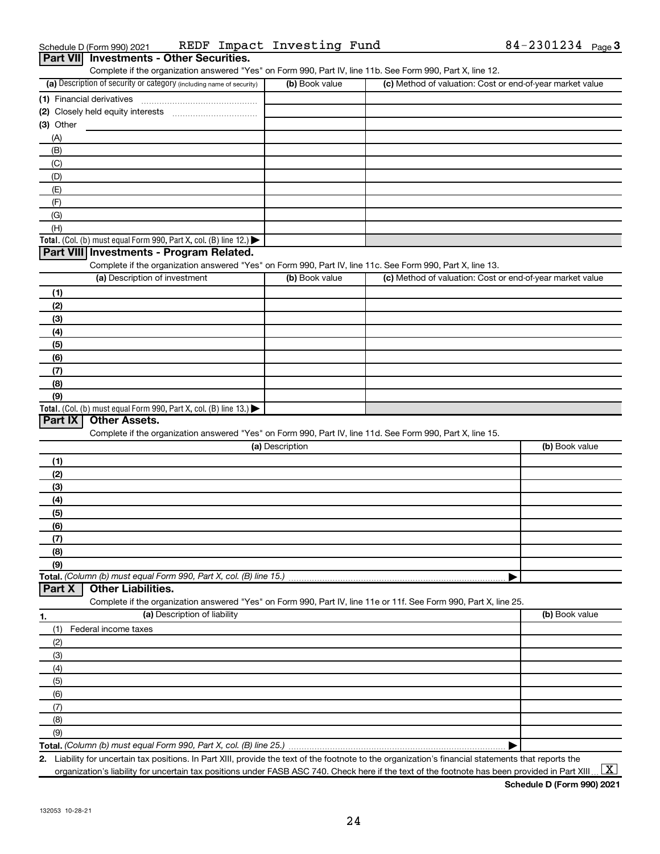| Part VII Investments - Other Securities.<br>Complete if the organization answered "Yes" on Form 990, Part IV, line 11b. See Form 990, Part X, line 12. |                 |                                                           |                |
|--------------------------------------------------------------------------------------------------------------------------------------------------------|-----------------|-----------------------------------------------------------|----------------|
| (a) Description of security or category (including name of security)                                                                                   | (b) Book value  | (c) Method of valuation: Cost or end-of-year market value |                |
|                                                                                                                                                        |                 |                                                           |                |
|                                                                                                                                                        |                 |                                                           |                |
| $(3)$ Other                                                                                                                                            |                 |                                                           |                |
| (A)                                                                                                                                                    |                 |                                                           |                |
| (B)                                                                                                                                                    |                 |                                                           |                |
| (C)                                                                                                                                                    |                 |                                                           |                |
| (D)                                                                                                                                                    |                 |                                                           |                |
| (E)                                                                                                                                                    |                 |                                                           |                |
| (F)                                                                                                                                                    |                 |                                                           |                |
| (G)                                                                                                                                                    |                 |                                                           |                |
| (H)                                                                                                                                                    |                 |                                                           |                |
| Total. (Col. (b) must equal Form 990, Part X, col. (B) line 12.)                                                                                       |                 |                                                           |                |
| Part VIII Investments - Program Related.                                                                                                               |                 |                                                           |                |
| Complete if the organization answered "Yes" on Form 990, Part IV, line 11c. See Form 990, Part X, line 13.                                             |                 |                                                           |                |
| (a) Description of investment                                                                                                                          | (b) Book value  | (c) Method of valuation: Cost or end-of-year market value |                |
| (1)                                                                                                                                                    |                 |                                                           |                |
| (2)                                                                                                                                                    |                 |                                                           |                |
| (3)                                                                                                                                                    |                 |                                                           |                |
| (4)                                                                                                                                                    |                 |                                                           |                |
| (5)                                                                                                                                                    |                 |                                                           |                |
| (6)                                                                                                                                                    |                 |                                                           |                |
| (7)                                                                                                                                                    |                 |                                                           |                |
| (8)                                                                                                                                                    |                 |                                                           |                |
| (9)                                                                                                                                                    |                 |                                                           |                |
| Total. (Col. (b) must equal Form 990, Part X, col. (B) line 13.)                                                                                       |                 |                                                           |                |
| <b>Part IX</b><br><b>Other Assets.</b>                                                                                                                 |                 |                                                           |                |
| Complete if the organization answered "Yes" on Form 990, Part IV, line 11d. See Form 990, Part X, line 15.                                             | (a) Description |                                                           | (b) Book value |
|                                                                                                                                                        |                 |                                                           |                |
| (1)                                                                                                                                                    |                 |                                                           |                |
| (2)                                                                                                                                                    |                 |                                                           |                |
| (3)                                                                                                                                                    |                 |                                                           |                |
| (4)                                                                                                                                                    |                 |                                                           |                |
| (5)                                                                                                                                                    |                 |                                                           |                |
| (6)<br>(7)                                                                                                                                             |                 |                                                           |                |
| (8)                                                                                                                                                    |                 |                                                           |                |
| (9)                                                                                                                                                    |                 |                                                           |                |
| Total. (Column (b) must equal Form 990, Part X, col. (B) line 15.)                                                                                     |                 |                                                           |                |
| <b>Other Liabilities.</b><br>Part X                                                                                                                    |                 |                                                           |                |
| Complete if the organization answered "Yes" on Form 990, Part IV, line 11e or 11f. See Form 990, Part X, line 25.                                      |                 |                                                           |                |
| (a) Description of liability<br>1.                                                                                                                     |                 |                                                           | (b) Book value |
| (1)<br>Federal income taxes                                                                                                                            |                 |                                                           |                |
| (2)                                                                                                                                                    |                 |                                                           |                |
| (3)                                                                                                                                                    |                 |                                                           |                |
| (4)                                                                                                                                                    |                 |                                                           |                |
| (5)                                                                                                                                                    |                 |                                                           |                |
| (6)                                                                                                                                                    |                 |                                                           |                |
| (7)                                                                                                                                                    |                 |                                                           |                |
| (8)                                                                                                                                                    |                 |                                                           |                |
| (9)                                                                                                                                                    |                 |                                                           |                |
|                                                                                                                                                        |                 |                                                           |                |
| 2. Liability for uncertain tax positions. In Part XIII, provide the text of the footnote to the organization's financial statements that reports the   |                 |                                                           |                |

Schedule D (Form 990) 2021 Page

REDF Impact Investing Fund  $84-2301234$ 

organization's liability for uncertain tax positions under FASB ASC 740. Check here if the text of the footnote has been provided in Part XIII ...  $\fbox{\bf X}$ 

84-2301234 Page 3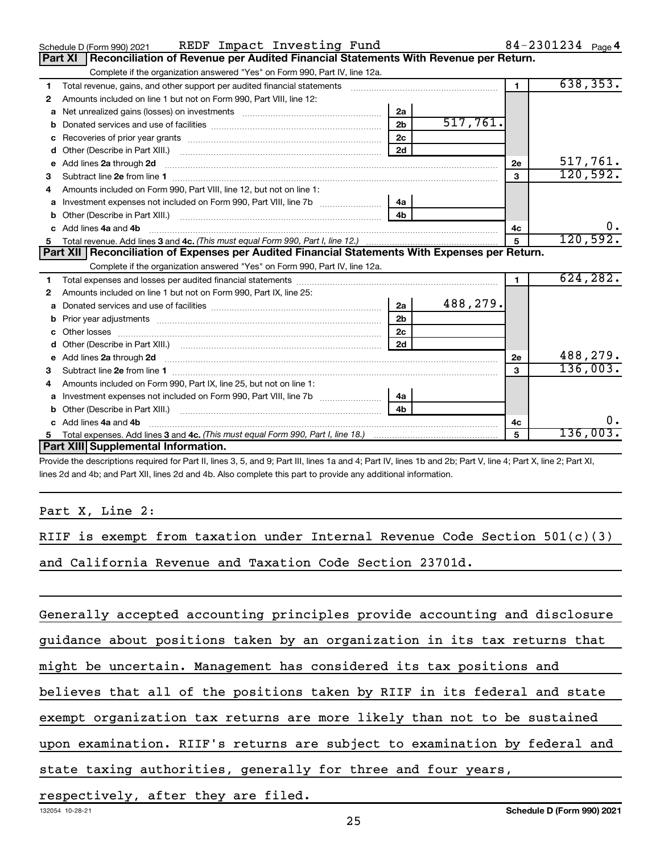|              | REDF Impact Investing Fund<br>Schedule D (Form 990) 2021                                              |                |          |                | 84-2301234 $_{Page 4}$ |
|--------------|-------------------------------------------------------------------------------------------------------|----------------|----------|----------------|------------------------|
|              | <b>Part XI</b><br>Reconciliation of Revenue per Audited Financial Statements With Revenue per Return. |                |          |                |                        |
|              | Complete if the organization answered "Yes" on Form 990, Part IV, line 12a.                           |                |          |                |                        |
| 1.           | Total revenue, gains, and other support per audited financial statements                              |                |          | $\blacksquare$ | 638, 353.              |
| 2            | Amounts included on line 1 but not on Form 990, Part VIII, line 12:                                   |                |          |                |                        |
| a            |                                                                                                       | 2a             |          |                |                        |
|              |                                                                                                       | 2 <sub>b</sub> | 517,761. |                |                        |
| c            |                                                                                                       | 2 <sub>c</sub> |          |                |                        |
| d            |                                                                                                       | 2d             |          |                |                        |
| e            | Add lines 2a through 2d                                                                               |                |          | 2e             | 517,761.               |
| 3            |                                                                                                       |                |          | 3              | 120,592.               |
| 4            | Amounts included on Form 990, Part VIII, line 12, but not on line 1:                                  |                |          |                |                        |
|              |                                                                                                       | 4a             |          |                |                        |
| b            |                                                                                                       | 4 <sub>b</sub> |          |                |                        |
| $\mathbf{c}$ | Add lines 4a and 4b                                                                                   |                |          | 4с             | 0.                     |
|              |                                                                                                       |                |          | 5              | 120,592.               |
|              |                                                                                                       |                |          |                |                        |
|              | Part XII   Reconciliation of Expenses per Audited Financial Statements With Expenses per Return.      |                |          |                |                        |
|              | Complete if the organization answered "Yes" on Form 990, Part IV, line 12a.                           |                |          |                |                        |
| 1            |                                                                                                       |                |          | $\mathbf{1}$   | 624, 282.              |
| 2            | Amounts included on line 1 but not on Form 990, Part IX, line 25:                                     |                |          |                |                        |
| a            |                                                                                                       | 2a             | 488,279. |                |                        |
| b            |                                                                                                       | 2 <sub>b</sub> |          |                |                        |
|              | Other losses                                                                                          | 2 <sub>c</sub> |          |                |                        |
| d            |                                                                                                       | 2d             |          |                |                        |
| e            | Add lines 2a through 2d                                                                               |                |          | 2e             | 488,279.               |
| 3            |                                                                                                       |                |          | $\mathbf{3}$   | 136,003.               |
| 4            | Amounts included on Form 990, Part IX, line 25, but not on line 1:                                    |                |          |                |                        |
| a            |                                                                                                       | 4a             |          |                |                        |
| b            | Other (Describe in Part XIII.)                                                                        | 4 <sub>b</sub> |          |                |                        |
| C.           | Add lines 4a and 4b                                                                                   |                |          | 4c             | υ.                     |
| 5.           | <b>Part XIII Supplemental Information.</b>                                                            |                |          | 5              | 136,003.               |

Provide the descriptions required for Part II, lines 3, 5, and 9; Part III, lines 1a and 4; Part IV, lines 1b and 2b; Part V, line 4; Part X, line 2; Part XI, lines 2d and 4b; and Part XII, lines 2d and 4b. Also complete this part to provide any additional information.

Part X, Line 2:

RIIF is exempt from taxation under Internal Revenue Code Section 501(c)(3) and California Revenue and Taxation Code Section 23701d.

Generally accepted accounting principles provide accounting and disclosure

guidance about positions taken by an organization in its tax returns that

might be uncertain. Management has considered its tax positions and

believes that all of the positions taken by RIIF in its federal and state

exempt organization tax returns are more likely than not to be sustained

upon examination. RIIF's returns are subject to examination by federal and

state taxing authorities, generally for three and four years,

respectively, after they are filed.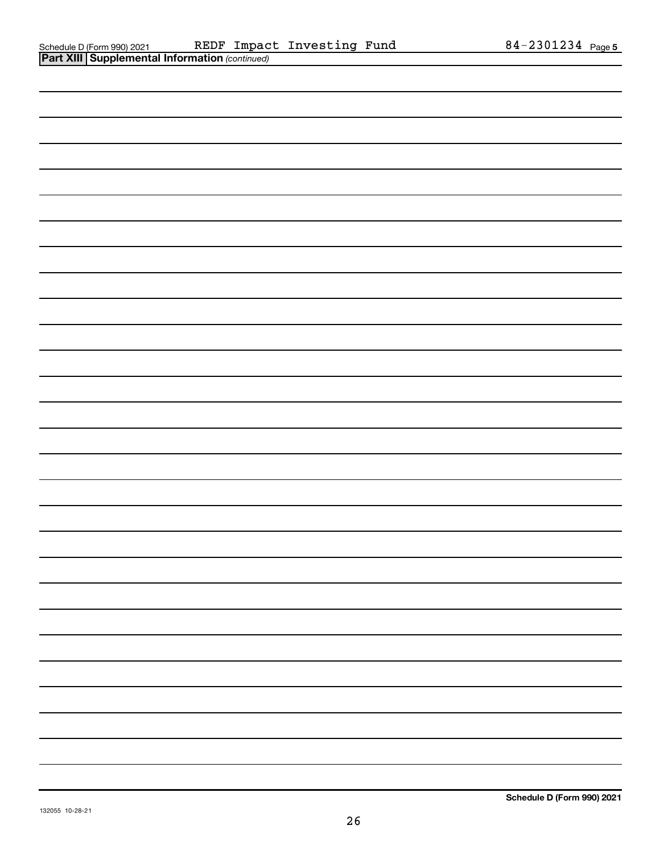| <b>Part XIII Supplemental Information (continued)</b> |
|-------------------------------------------------------|
|                                                       |
|                                                       |
|                                                       |
|                                                       |
|                                                       |
|                                                       |
|                                                       |
|                                                       |
|                                                       |
|                                                       |
|                                                       |
|                                                       |
|                                                       |
|                                                       |
|                                                       |
|                                                       |
|                                                       |
|                                                       |
|                                                       |
|                                                       |
|                                                       |
|                                                       |
|                                                       |
|                                                       |
|                                                       |
|                                                       |
|                                                       |
|                                                       |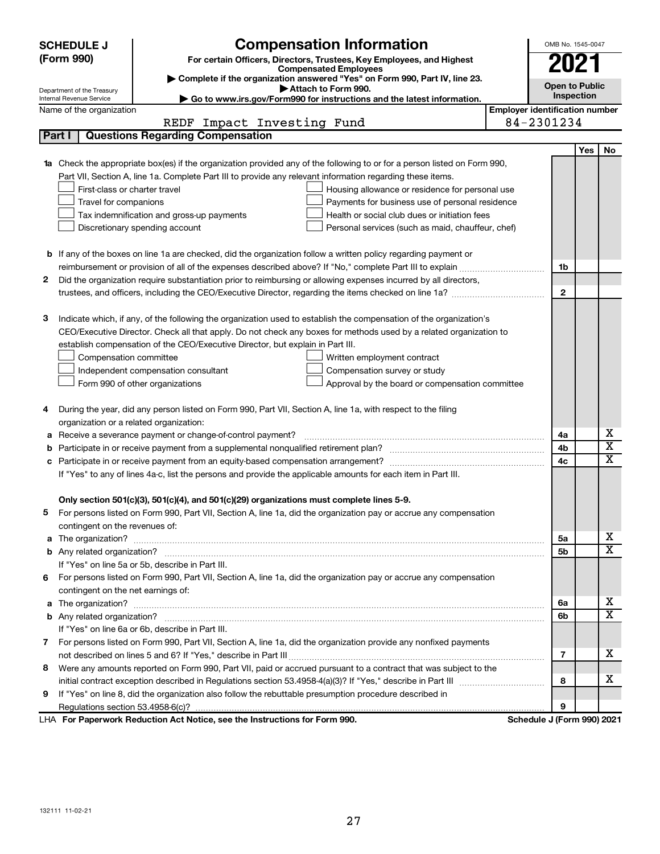|   | <b>Compensation Information</b><br><b>SCHEDULE J</b>                                                                             |                                       | OMB No. 1545-0047     |            |                         |  |  |  |
|---|----------------------------------------------------------------------------------------------------------------------------------|---------------------------------------|-----------------------|------------|-------------------------|--|--|--|
|   | (Form 990)<br>For certain Officers, Directors, Trustees, Key Employees, and Highest                                              |                                       |                       | 2021       |                         |  |  |  |
|   | <b>Compensated Employees</b>                                                                                                     |                                       |                       |            |                         |  |  |  |
|   | Complete if the organization answered "Yes" on Form 990, Part IV, line 23.<br>Attach to Form 990.                                |                                       | <b>Open to Public</b> |            |                         |  |  |  |
|   | Department of the Treasury<br>Go to www.irs.gov/Form990 for instructions and the latest information.<br>Internal Revenue Service |                                       |                       | Inspection |                         |  |  |  |
|   | Name of the organization                                                                                                         | <b>Employer identification number</b> |                       |            |                         |  |  |  |
|   | Impact Investing Fund<br>REDF                                                                                                    | 84-2301234                            |                       |            |                         |  |  |  |
|   | <b>Questions Regarding Compensation</b><br>Part I                                                                                |                                       |                       |            |                         |  |  |  |
|   |                                                                                                                                  |                                       |                       | <b>Yes</b> | No                      |  |  |  |
|   | Check the appropriate box(es) if the organization provided any of the following to or for a person listed on Form 990,           |                                       |                       |            |                         |  |  |  |
|   | Part VII, Section A, line 1a. Complete Part III to provide any relevant information regarding these items.                       |                                       |                       |            |                         |  |  |  |
|   | First-class or charter travel<br>Housing allowance or residence for personal use                                                 |                                       |                       |            |                         |  |  |  |
|   | Travel for companions<br>Payments for business use of personal residence                                                         |                                       |                       |            |                         |  |  |  |
|   | Health or social club dues or initiation fees<br>Tax indemnification and gross-up payments                                       |                                       |                       |            |                         |  |  |  |
|   | Discretionary spending account<br>Personal services (such as maid, chauffeur, chef)                                              |                                       |                       |            |                         |  |  |  |
|   |                                                                                                                                  |                                       |                       |            |                         |  |  |  |
|   | <b>b</b> If any of the boxes on line 1a are checked, did the organization follow a written policy regarding payment or           |                                       |                       |            |                         |  |  |  |
|   |                                                                                                                                  |                                       | 1b                    |            |                         |  |  |  |
| 2 | Did the organization require substantiation prior to reimbursing or allowing expenses incurred by all directors,                 |                                       |                       |            |                         |  |  |  |
|   |                                                                                                                                  |                                       | $\mathbf{2}$          |            |                         |  |  |  |
|   |                                                                                                                                  |                                       |                       |            |                         |  |  |  |
| з | Indicate which, if any, of the following the organization used to establish the compensation of the organization's               |                                       |                       |            |                         |  |  |  |
|   | CEO/Executive Director. Check all that apply. Do not check any boxes for methods used by a related organization to               |                                       |                       |            |                         |  |  |  |
|   | establish compensation of the CEO/Executive Director, but explain in Part III.                                                   |                                       |                       |            |                         |  |  |  |
|   | Compensation committee<br>Written employment contract                                                                            |                                       |                       |            |                         |  |  |  |
|   | Compensation survey or study<br>Independent compensation consultant                                                              |                                       |                       |            |                         |  |  |  |
|   | Form 990 of other organizations<br>Approval by the board or compensation committee                                               |                                       |                       |            |                         |  |  |  |
|   | During the year, did any person listed on Form 990, Part VII, Section A, line 1a, with respect to the filing                     |                                       |                       |            |                         |  |  |  |
| 4 | organization or a related organization:                                                                                          |                                       |                       |            |                         |  |  |  |
| а | Receive a severance payment or change-of-control payment?                                                                        |                                       | 4a                    |            | х                       |  |  |  |
| b |                                                                                                                                  |                                       | 4b                    |            | $\overline{\textbf{x}}$ |  |  |  |
| c |                                                                                                                                  |                                       | 4c                    |            | x                       |  |  |  |
|   | If "Yes" to any of lines 4a-c, list the persons and provide the applicable amounts for each item in Part III.                    |                                       |                       |            |                         |  |  |  |
|   |                                                                                                                                  |                                       |                       |            |                         |  |  |  |
|   | Only section 501(c)(3), 501(c)(4), and 501(c)(29) organizations must complete lines 5-9.                                         |                                       |                       |            |                         |  |  |  |
| 5 | For persons listed on Form 990, Part VII, Section A, line 1a, did the organization pay or accrue any compensation                |                                       |                       |            |                         |  |  |  |
|   | contingent on the revenues of:                                                                                                   |                                       |                       |            |                         |  |  |  |
| a |                                                                                                                                  |                                       | 5a                    |            | х                       |  |  |  |
|   |                                                                                                                                  |                                       | 5b                    |            | X                       |  |  |  |
|   | If "Yes" on line 5a or 5b, describe in Part III.                                                                                 |                                       |                       |            |                         |  |  |  |
|   | 6 For persons listed on Form 990, Part VII, Section A, line 1a, did the organization pay or accrue any compensation              |                                       |                       |            |                         |  |  |  |
|   | contingent on the net earnings of:                                                                                               |                                       |                       |            |                         |  |  |  |
| а |                                                                                                                                  |                                       | 6а                    |            | х                       |  |  |  |
|   |                                                                                                                                  |                                       | 6b                    |            | X                       |  |  |  |
|   | If "Yes" on line 6a or 6b, describe in Part III.                                                                                 |                                       |                       |            |                         |  |  |  |
|   | 7 For persons listed on Form 990, Part VII, Section A, line 1a, did the organization provide any nonfixed payments               |                                       |                       |            |                         |  |  |  |
|   |                                                                                                                                  |                                       | 7                     |            | x                       |  |  |  |
| 8 | Were any amounts reported on Form 990, Part VII, paid or accrued pursuant to a contract that was subject to the                  |                                       |                       |            |                         |  |  |  |
|   |                                                                                                                                  |                                       | 8                     |            | x                       |  |  |  |
| 9 | If "Yes" on line 8, did the organization also follow the rebuttable presumption procedure described in                           |                                       |                       |            |                         |  |  |  |
|   |                                                                                                                                  |                                       | 9                     |            |                         |  |  |  |
|   | LHA For Paperwork Reduction Act Notice, see the Instructions for Form 990.                                                       | Schedule J (Form 990) 2021            |                       |            |                         |  |  |  |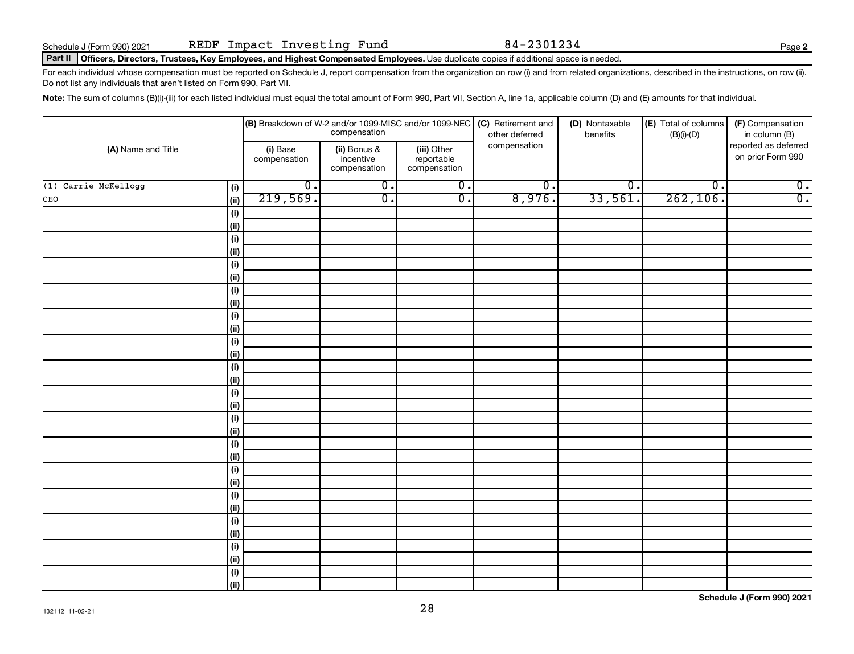**2**

#### Part II | Officers, Directors, Trustees, Key Employees, and Highest Compensated Employees. Use duplicate copies if additional space is needed.

For each individual whose compensation must be reported on Schedule J, report compensation from the organization on row (i) and from related organizations, described in the instructions, on row (ii). Do not list any individuals that aren't listed on Form 990, Part VII.

Note: The sum of columns (B)(i)-(iii) for each listed individual must equal the total amount of Form 990, Part VII, Section A, line 1a, applicable column (D) and (E) amounts for that individual.

| (A) Name and Title     |            |                          | compensation                              |                                           | (B) Breakdown of W-2 and/or 1099-MISC and/or 1099-NEC $ $ (C) Retirement and<br>other deferred | (D) Nontaxable<br>benefits  | (E) Total of columns<br>$(B)(i)$ - $(D)$ | (F) Compensation<br>in column (B)         |
|------------------------|------------|--------------------------|-------------------------------------------|-------------------------------------------|------------------------------------------------------------------------------------------------|-----------------------------|------------------------------------------|-------------------------------------------|
|                        |            | (i) Base<br>compensation | (ii) Bonus &<br>incentive<br>compensation | (iii) Other<br>reportable<br>compensation | compensation                                                                                   |                             |                                          | reported as deferred<br>on prior Form 990 |
| $(1)$ Carrie McKellogg | (i)        | $\overline{0}$ .         | $\overline{0}$ .                          | $\overline{0}$ .                          | $\overline{0}$ .                                                                               | $\overline{\mathfrak{o}}$ . | $\overline{\mathfrak{o}}$ .              | $\overline{0}$ .                          |
| CEO                    | ii)        | 219,569.                 | $\overline{0}$ .                          | $\overline{0}$ .                          | 8,976.                                                                                         | 33,561.                     | 262, 106.                                | $\overline{0}$ .                          |
|                        | (i)        |                          |                                           |                                           |                                                                                                |                             |                                          |                                           |
|                        | (ii)       |                          |                                           |                                           |                                                                                                |                             |                                          |                                           |
|                        | $(\sf{i})$ |                          |                                           |                                           |                                                                                                |                             |                                          |                                           |
|                        | (ii)       |                          |                                           |                                           |                                                                                                |                             |                                          |                                           |
|                        | $(\sf{i})$ |                          |                                           |                                           |                                                                                                |                             |                                          |                                           |
|                        | (ii)       |                          |                                           |                                           |                                                                                                |                             |                                          |                                           |
|                        | $(\sf{i})$ |                          |                                           |                                           |                                                                                                |                             |                                          |                                           |
|                        | (ii)       |                          |                                           |                                           |                                                                                                |                             |                                          |                                           |
|                        | $(\sf{i})$ |                          |                                           |                                           |                                                                                                |                             |                                          |                                           |
|                        | (ii)       |                          |                                           |                                           |                                                                                                |                             |                                          |                                           |
|                        | $(\sf{i})$ |                          |                                           |                                           |                                                                                                |                             |                                          |                                           |
|                        | (ii)       |                          |                                           |                                           |                                                                                                |                             |                                          |                                           |
|                        | (i)        |                          |                                           |                                           |                                                                                                |                             |                                          |                                           |
|                        | (ii)       |                          |                                           |                                           |                                                                                                |                             |                                          |                                           |
|                        | (i)        |                          |                                           |                                           |                                                                                                |                             |                                          |                                           |
|                        | (ii)       |                          |                                           |                                           |                                                                                                |                             |                                          |                                           |
|                        | (i)        |                          |                                           |                                           |                                                                                                |                             |                                          |                                           |
|                        | (ii)       |                          |                                           |                                           |                                                                                                |                             |                                          |                                           |
|                        | (i)        |                          |                                           |                                           |                                                                                                |                             |                                          |                                           |
|                        | (ii)       |                          |                                           |                                           |                                                                                                |                             |                                          |                                           |
|                        | (i)        |                          |                                           |                                           |                                                                                                |                             |                                          |                                           |
|                        | (ii)       |                          |                                           |                                           |                                                                                                |                             |                                          |                                           |
|                        | $(\sf{i})$ |                          |                                           |                                           |                                                                                                |                             |                                          |                                           |
|                        | (i)        |                          |                                           |                                           |                                                                                                |                             |                                          |                                           |
|                        | (i)        |                          |                                           |                                           |                                                                                                |                             |                                          |                                           |
|                        | (ii)       |                          |                                           |                                           |                                                                                                |                             |                                          |                                           |
|                        | $(\sf{i})$ |                          |                                           |                                           |                                                                                                |                             |                                          |                                           |
|                        | (ii)       |                          |                                           |                                           |                                                                                                |                             |                                          |                                           |
|                        | $(\sf{i})$ |                          |                                           |                                           |                                                                                                |                             |                                          |                                           |
|                        | (ii)       |                          |                                           |                                           |                                                                                                |                             |                                          |                                           |

**Schedule J (Form 990) 2021**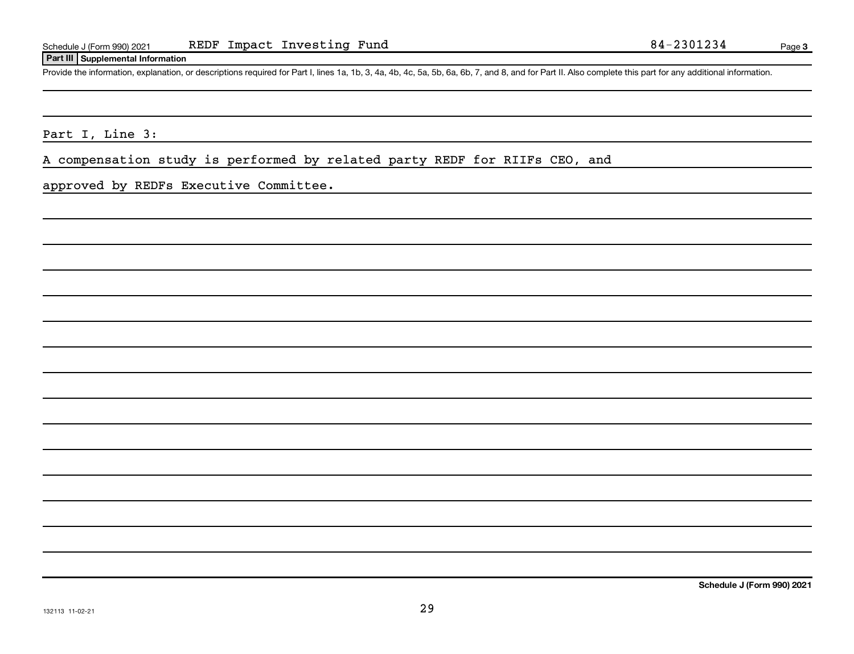### **Part III Supplemental Information**

Provide the information, explanation, or descriptions required for Part I, lines 1a, 1b, 3, 4a, 4b, 4c, 5a, 5b, 6a, 6b, 7, and 8, and for Part II. Also complete this part for any additional information.

Part I, Line 3:

A compensation study is performed by related party REDF for RIIFs CEO, and

approved by REDFs Executive Committee.

**Schedule J (Form 990) 2021**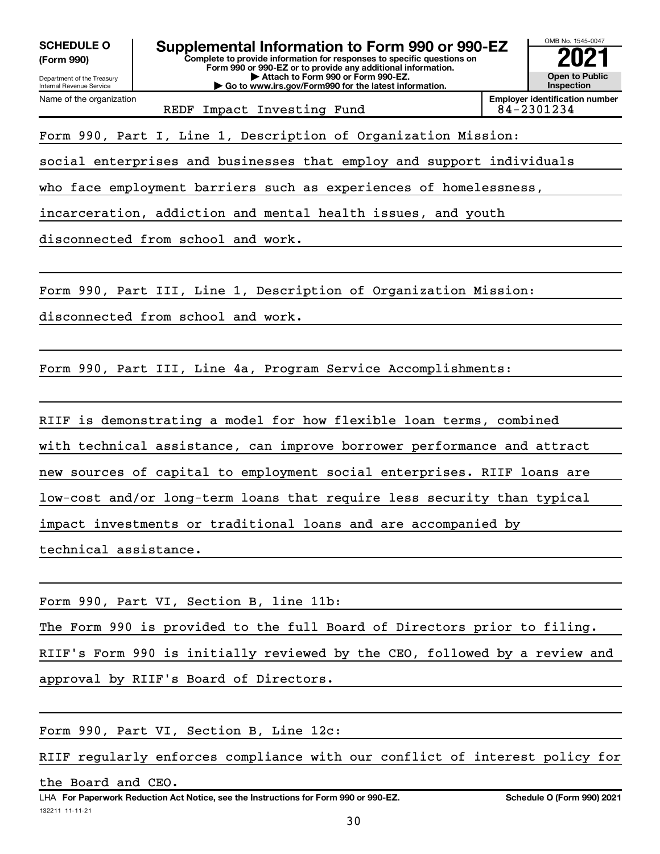**(Form 990)**



REDF Impact Investing Fund  $84-2301234$ 

Form 990, Part I, Line 1, Description of Organization Mission:

social enterprises and businesses that employ and support individuals

who face employment barriers such as experiences of homelessness,

incarceration, addiction and mental health issues, and youth

disconnected from school and work.

Form 990, Part III, Line 1, Description of Organization Mission:

disconnected from school and work.

Form 990, Part III, Line 4a, Program Service Accomplishments:

RIIF is demonstrating a model for how flexible loan terms, combined with technical assistance, can improve borrower performance and attract new sources of capital to employment social enterprises. RIIF loans are low-cost and/or long-term loans that require less security than typical impact investments or traditional loans and are accompanied by technical assistance.

Form 990, Part VI, Section B, line 11b:

The Form 990 is provided to the full Board of Directors prior to filing.

RIIF's Form 990 is initially reviewed by the CEO, followed by a review and

approval by RIIF's Board of Directors.

Form 990, Part VI, Section B, Line 12c:

RIIF regularly enforces compliance with our conflict of interest policy for

the Board and CEO.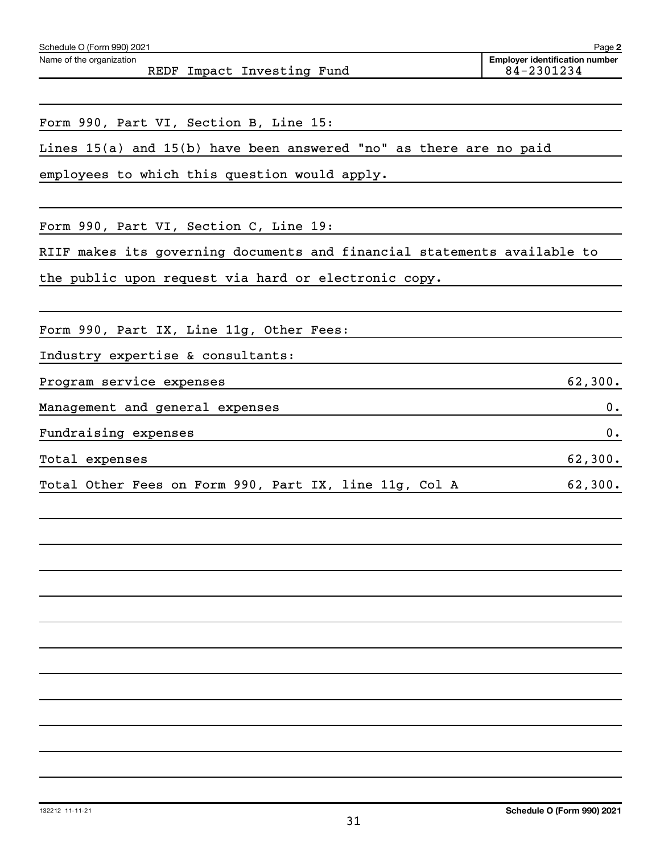| Form 990, Part VI, Section B, Line 15:                                   |
|--------------------------------------------------------------------------|
| Lines 15(a) and 15(b) have been answered "no" as there are no paid       |
| employees to which this question would apply.                            |
|                                                                          |
| Form 990, Part VI, Section C, Line 19:                                   |
| RIIF makes its governing documents and financial statements available to |
| the public upon request via hard or electronic copy.                     |
|                                                                          |
| Form 990, Part IX, Line 11g, Other Fees:                                 |
| Industry expertise & consultants:                                        |
| Program service expenses<br>62,300.                                      |
| Management and general expenses<br>0.                                    |
| Fundraising expenses<br>0.                                               |
| 62,300.<br>Total expenses                                                |
| Total Other Fees on Form 990, Part IX, line 11g, Col A<br>62,300.        |
|                                                                          |
|                                                                          |
|                                                                          |
|                                                                          |
|                                                                          |
|                                                                          |
|                                                                          |

REDF Impact Investing Fund

Schedule O (Form 990) 2021 Name of the organization

**2**

**Employer identification number**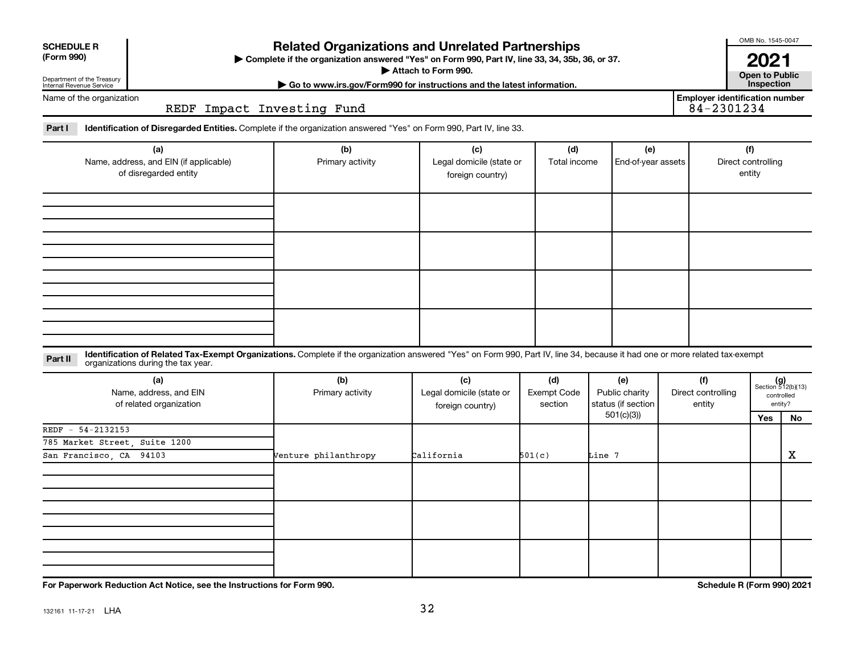| <b>SCHEDULE R</b><br>(Form 990)<br>Department of the Treasury<br>Internal Revenue Service |                                                                                                                                                                                                                    | <b>Related Organizations and Unrelated Partnerships</b><br>> Complete if the organization answered "Yes" on Form 990, Part IV, line 33, 34, 35b, 36, or 37. | Attach to Form 990.<br>Go to www.irs.gov/Form990 for instructions and the latest information. |                               |                                                          |                                     | <b>UIVID INU. 1040-0047</b><br>2021<br><b>Open to Public</b><br>Inspection |                                                            |
|-------------------------------------------------------------------------------------------|--------------------------------------------------------------------------------------------------------------------------------------------------------------------------------------------------------------------|-------------------------------------------------------------------------------------------------------------------------------------------------------------|-----------------------------------------------------------------------------------------------|-------------------------------|----------------------------------------------------------|-------------------------------------|----------------------------------------------------------------------------|------------------------------------------------------------|
| Name of the organization                                                                  | REDF Impact Investing Fund                                                                                                                                                                                         |                                                                                                                                                             | <b>Employer identification number</b><br>84-2301234                                           |                               |                                                          |                                     |                                                                            |                                                            |
| Part I                                                                                    | Identification of Disregarded Entities. Complete if the organization answered "Yes" on Form 990, Part IV, line 33.                                                                                                 |                                                                                                                                                             |                                                                                               |                               |                                                          |                                     |                                                                            |                                                            |
| (a)<br>Name, address, and EIN (if applicable)<br>of disregarded entity                    |                                                                                                                                                                                                                    | (b)<br>Primary activity                                                                                                                                     | (c)<br>Legal domicile (state or<br>foreign country)                                           | (d)<br>Total income           | (e)<br>End-of-year assets                                |                                     | (f)<br>Direct controlling<br>entity                                        |                                                            |
|                                                                                           |                                                                                                                                                                                                                    |                                                                                                                                                             |                                                                                               |                               |                                                          |                                     |                                                                            |                                                            |
|                                                                                           |                                                                                                                                                                                                                    |                                                                                                                                                             |                                                                                               |                               |                                                          |                                     |                                                                            |                                                            |
|                                                                                           |                                                                                                                                                                                                                    |                                                                                                                                                             |                                                                                               |                               |                                                          |                                     |                                                                            |                                                            |
| Part II                                                                                   | Identification of Related Tax-Exempt Organizations. Complete if the organization answered "Yes" on Form 990, Part IV, line 34, because it had one or more related tax-exempt<br>organizations during the tax year. |                                                                                                                                                             |                                                                                               |                               |                                                          |                                     |                                                                            |                                                            |
| (a)<br>Name, address, and EIN<br>of related organization                                  |                                                                                                                                                                                                                    | (b)<br>Primary activity                                                                                                                                     | (c)<br>Legal domicile (state or<br>foreign country)                                           | (d)<br>Exempt Code<br>section | (e)<br>Public charity<br>status (if section<br>501(c)(3) | (f)<br>Direct controlling<br>entity | Yes                                                                        | $(g)$<br>Section 512(b)(13)<br>controlled<br>entity?<br>No |
| REDF - 54-2132153                                                                         |                                                                                                                                                                                                                    |                                                                                                                                                             |                                                                                               |                               |                                                          |                                     |                                                                            |                                                            |
| 785 Market Street, Suite 1200<br>San Francisco, CA 94103                                  |                                                                                                                                                                                                                    | Venture philanthropy                                                                                                                                        | California                                                                                    | 501(c)                        | Line 7                                                   |                                     |                                                                            | X                                                          |
|                                                                                           |                                                                                                                                                                                                                    |                                                                                                                                                             |                                                                                               |                               |                                                          |                                     |                                                                            |                                                            |
|                                                                                           |                                                                                                                                                                                                                    |                                                                                                                                                             |                                                                                               |                               |                                                          |                                     |                                                                            |                                                            |

**For Paperwork Reduction Act Notice, see the Instructions for Form 990. Schedule R (Form 990) 2021**

OMB No. 1545-0047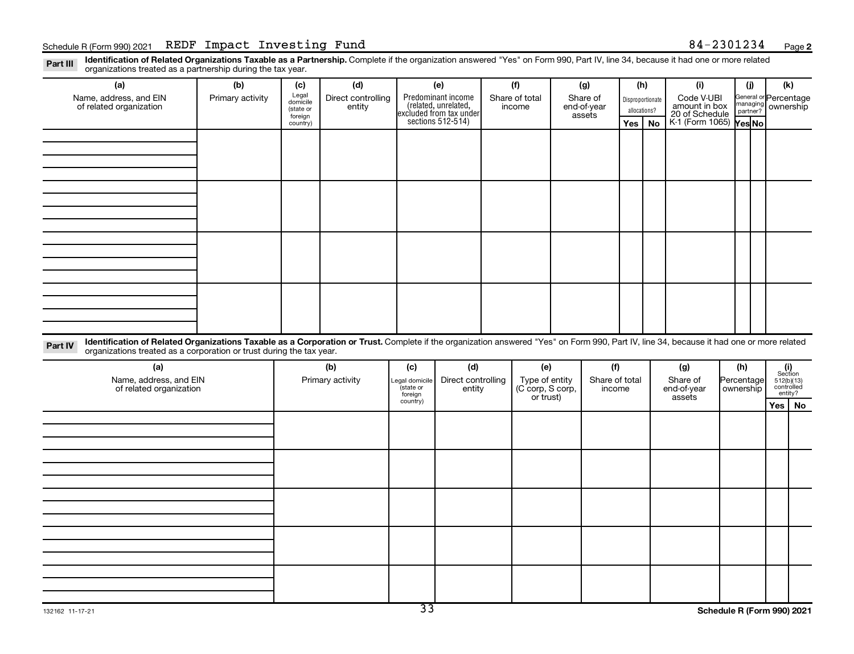Part III Identification of Related Organizations Taxable as a Partnership. Complete if the organization answered "Yes" on Form 990, Part IV, line 34, because it had one or more related<br>Read to the organizations tracted as organizations treated as a partnership during the tax year.

| organizations treated as a partnership during the tax year.                                                                                                                                                                                                                 |                  |                     |                    |                     |                                                                     |  |                  |             |                |                  |     |                                               |            |     |                                                                                                                                   |    |
|-----------------------------------------------------------------------------------------------------------------------------------------------------------------------------------------------------------------------------------------------------------------------------|------------------|---------------------|--------------------|---------------------|---------------------------------------------------------------------|--|------------------|-------------|----------------|------------------|-----|-----------------------------------------------|------------|-----|-----------------------------------------------------------------------------------------------------------------------------------|----|
| (a)                                                                                                                                                                                                                                                                         | (b)              | (c)                 | (d)                |                     | (e)                                                                 |  | (f)              |             | (g)            |                  | (h) | (i)                                           |            | (j) | (k)                                                                                                                               |    |
| Name, address, and EIN                                                                                                                                                                                                                                                      | Primary activity | Legal<br>domicile   | Direct controlling |                     | Predominant income                                                  |  | Share of total   | Share of    |                | Disproportionate |     |                                               |            |     | General or Percentage                                                                                                             |    |
| of related organization                                                                                                                                                                                                                                                     |                  | (state or           | entity             |                     |                                                                     |  | income           | end-of-year |                | allocations?     |     | Code V-UBI<br>amount in box<br>20 of Schedule |            |     | managing ownership                                                                                                                |    |
|                                                                                                                                                                                                                                                                             |                  | foreign<br>country) |                    |                     | related, unrelated,<br>excluded from tax under<br>sections 512-514) |  |                  | assets      |                | Yes              | No  | K-1 (Form 1065) Yes No                        |            |     |                                                                                                                                   |    |
|                                                                                                                                                                                                                                                                             |                  |                     |                    |                     |                                                                     |  |                  |             |                |                  |     |                                               |            |     |                                                                                                                                   |    |
|                                                                                                                                                                                                                                                                             |                  |                     |                    |                     |                                                                     |  |                  |             |                |                  |     |                                               |            |     |                                                                                                                                   |    |
|                                                                                                                                                                                                                                                                             |                  |                     |                    |                     |                                                                     |  |                  |             |                |                  |     |                                               |            |     |                                                                                                                                   |    |
|                                                                                                                                                                                                                                                                             |                  |                     |                    |                     |                                                                     |  |                  |             |                |                  |     |                                               |            |     |                                                                                                                                   |    |
|                                                                                                                                                                                                                                                                             |                  |                     |                    |                     |                                                                     |  |                  |             |                |                  |     |                                               |            |     |                                                                                                                                   |    |
|                                                                                                                                                                                                                                                                             |                  |                     |                    |                     |                                                                     |  |                  |             |                |                  |     |                                               |            |     |                                                                                                                                   |    |
|                                                                                                                                                                                                                                                                             |                  |                     |                    |                     |                                                                     |  |                  |             |                |                  |     |                                               |            |     |                                                                                                                                   |    |
|                                                                                                                                                                                                                                                                             |                  |                     |                    |                     |                                                                     |  |                  |             |                |                  |     |                                               |            |     |                                                                                                                                   |    |
|                                                                                                                                                                                                                                                                             |                  |                     |                    |                     |                                                                     |  |                  |             |                |                  |     |                                               |            |     |                                                                                                                                   |    |
|                                                                                                                                                                                                                                                                             |                  |                     |                    |                     |                                                                     |  |                  |             |                |                  |     |                                               |            |     |                                                                                                                                   |    |
|                                                                                                                                                                                                                                                                             |                  |                     |                    |                     |                                                                     |  |                  |             |                |                  |     |                                               |            |     |                                                                                                                                   |    |
|                                                                                                                                                                                                                                                                             |                  |                     |                    |                     |                                                                     |  |                  |             |                |                  |     |                                               |            |     |                                                                                                                                   |    |
|                                                                                                                                                                                                                                                                             |                  |                     |                    |                     |                                                                     |  |                  |             |                |                  |     |                                               |            |     |                                                                                                                                   |    |
|                                                                                                                                                                                                                                                                             |                  |                     |                    |                     |                                                                     |  |                  |             |                |                  |     |                                               |            |     |                                                                                                                                   |    |
|                                                                                                                                                                                                                                                                             |                  |                     |                    |                     |                                                                     |  |                  |             |                |                  |     |                                               |            |     |                                                                                                                                   |    |
|                                                                                                                                                                                                                                                                             |                  |                     |                    |                     |                                                                     |  |                  |             |                |                  |     |                                               |            |     |                                                                                                                                   |    |
|                                                                                                                                                                                                                                                                             |                  |                     |                    |                     |                                                                     |  |                  |             |                |                  |     |                                               |            |     |                                                                                                                                   |    |
| Identification of Related Organizations Taxable as a Corporation or Trust. Complete if the organization answered "Yes" on Form 990, Part IV, line 34, because it had one or more related<br>Part IV<br>organizations treated as a corporation or trust during the tax year. |                  |                     |                    |                     |                                                                     |  |                  |             |                |                  |     |                                               |            |     |                                                                                                                                   |    |
| (a)                                                                                                                                                                                                                                                                         |                  |                     | (b)                | (c)                 | (d)                                                                 |  | (e)              |             | (f)            |                  |     | (g)                                           | (h)        |     |                                                                                                                                   |    |
| Name, address, and EIN                                                                                                                                                                                                                                                      |                  |                     | Primary activity   | Legal domicile      | Direct controlling                                                  |  | Type of entity   |             | Share of total |                  |     | Share of                                      | Percentage |     | $\begin{array}{c} \textbf{(i)}\\ \text{Section}\\ 5\,12 \text{(b)} \text{(13)}\\ \text{controlled} \\ \text{entity?} \end{array}$ |    |
| of related organization                                                                                                                                                                                                                                                     |                  |                     |                    | (state or           | entity                                                              |  | (C corp, S corp, |             | income         |                  |     | end-of-year                                   | ownership  |     |                                                                                                                                   |    |
|                                                                                                                                                                                                                                                                             |                  |                     |                    | foreign<br>country) |                                                                     |  | or trust)        |             |                |                  |     | assets                                        |            |     | Yes                                                                                                                               | No |
|                                                                                                                                                                                                                                                                             |                  |                     |                    |                     |                                                                     |  |                  |             |                |                  |     |                                               |            |     |                                                                                                                                   |    |
|                                                                                                                                                                                                                                                                             |                  |                     |                    |                     |                                                                     |  |                  |             |                |                  |     |                                               |            |     |                                                                                                                                   |    |
|                                                                                                                                                                                                                                                                             |                  |                     |                    |                     |                                                                     |  |                  |             |                |                  |     |                                               |            |     |                                                                                                                                   |    |
|                                                                                                                                                                                                                                                                             |                  |                     |                    |                     |                                                                     |  |                  |             |                |                  |     |                                               |            |     |                                                                                                                                   |    |
|                                                                                                                                                                                                                                                                             |                  |                     |                    |                     |                                                                     |  |                  |             |                |                  |     |                                               |            |     |                                                                                                                                   |    |
|                                                                                                                                                                                                                                                                             |                  |                     |                    |                     |                                                                     |  |                  |             |                |                  |     |                                               |            |     |                                                                                                                                   |    |
|                                                                                                                                                                                                                                                                             |                  |                     |                    |                     |                                                                     |  |                  |             |                |                  |     |                                               |            |     |                                                                                                                                   |    |
|                                                                                                                                                                                                                                                                             |                  |                     |                    |                     |                                                                     |  |                  |             |                |                  |     |                                               |            |     |                                                                                                                                   |    |
|                                                                                                                                                                                                                                                                             |                  |                     |                    |                     |                                                                     |  |                  |             |                |                  |     |                                               |            |     |                                                                                                                                   |    |
|                                                                                                                                                                                                                                                                             |                  |                     |                    |                     |                                                                     |  |                  |             |                |                  |     |                                               |            |     |                                                                                                                                   |    |
|                                                                                                                                                                                                                                                                             |                  |                     |                    |                     |                                                                     |  |                  |             |                |                  |     |                                               |            |     |                                                                                                                                   |    |
|                                                                                                                                                                                                                                                                             |                  |                     |                    |                     |                                                                     |  |                  |             |                |                  |     |                                               |            |     |                                                                                                                                   |    |
|                                                                                                                                                                                                                                                                             |                  |                     |                    |                     |                                                                     |  |                  |             |                |                  |     |                                               |            |     |                                                                                                                                   |    |
|                                                                                                                                                                                                                                                                             |                  |                     |                    |                     |                                                                     |  |                  |             |                |                  |     |                                               |            |     |                                                                                                                                   |    |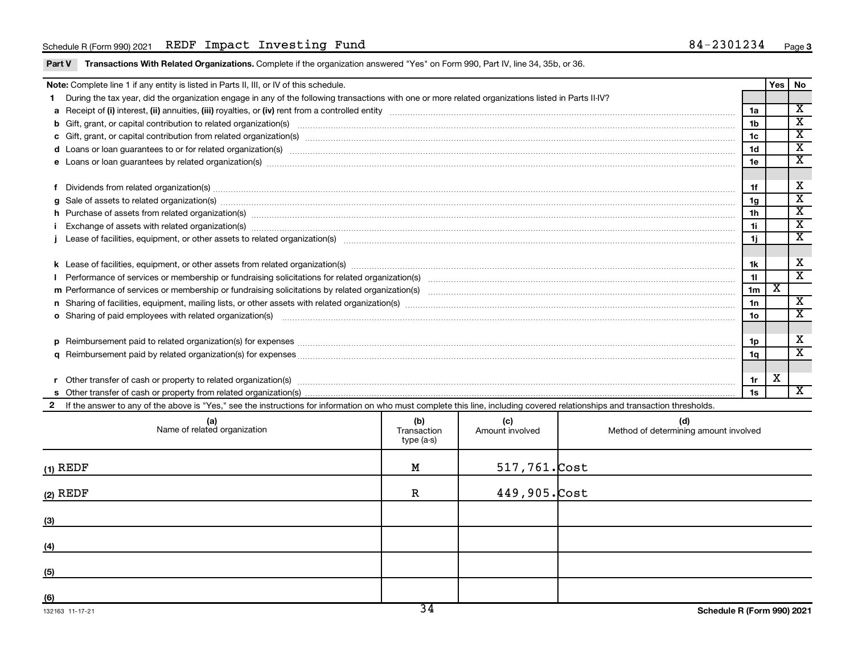Part V Transactions With Related Organizations. Complete if the organization answered "Yes" on Form 990, Part IV, line 34, 35b, or 36.

|              | Note: Complete line 1 if any entity is listed in Parts II, III, or IV of this schedule.                                                                                                                                        |     |        |      |                                  | <b>Yes</b> | No                                                     |  |  |  |
|--------------|--------------------------------------------------------------------------------------------------------------------------------------------------------------------------------------------------------------------------------|-----|--------|------|----------------------------------|------------|--------------------------------------------------------|--|--|--|
|              | During the tax year, did the organization engage in any of the following transactions with one or more related organizations listed in Parts II-IV?                                                                            |     |        |      |                                  |            | $\overline{\mathbf{x}}$                                |  |  |  |
|              |                                                                                                                                                                                                                                |     |        |      | 1a                               |            |                                                        |  |  |  |
|              |                                                                                                                                                                                                                                |     |        |      | 1 <sub>b</sub>                   |            | $\overline{\mathbf{x}}$                                |  |  |  |
|              | c Gift, grant, or capital contribution from related organization(s) manufaction contains and content of the contribution from related organization(s) manufactured content of the content of the content of the content of the |     |        |      | 1 <sub>c</sub><br>1 <sub>d</sub> |            | $\overline{\mathbf{x}}$<br>$\overline{\textnormal{x}}$ |  |  |  |
|              | d Loans or loan guarantees to or for related organization(s) www.communically.com/www.communically.com/www.communically.com/www.communically.com/www.communically.com/www.communically.com/www.communically.com/www.communical |     |        |      |                                  |            |                                                        |  |  |  |
|              | e Loans or loan guarantees by related organization(s) manufaction content to construct the loans or loan guarantees by related organization(s) manufactured content to construct the loans of loans of loans and the loans of  |     |        |      |                                  |            |                                                        |  |  |  |
|              |                                                                                                                                                                                                                                |     |        |      |                                  |            |                                                        |  |  |  |
|              | Dividends from related organization(s) www.andron.com/www.andron.com/www.andron.com/www.andron.com/www.andron.com/www.andron.com/www.andron.com/www.andron.com/www.andron.com/www.andron.com/www.andron.com/www.andron.com/www |     |        |      | 1f                               |            | X                                                      |  |  |  |
| a            | Sale of assets to related organization(s) www.assettion.com/www.assettion.com/www.assettion.com/www.assettion.com/www.assettion.com/www.assettion.com/www.assettion.com/www.assettion.com/www.assettion.com/www.assettion.com/ |     |        |      | 1g                               |            | $\overline{\textnormal{x}}$                            |  |  |  |
|              | h Purchase of assets from related organization(s) manufactured and content to content the content of assets from related organization(s)                                                                                       |     |        |      | 1h                               |            | $\overline{\mathbf{x}}$                                |  |  |  |
|              | Exchange of assets with related organization(s) manufactured content and content and content and content and content and content and content and content and content and content and content and content and content and conte |     |        |      | 1i.                              |            | $\overline{\text{x}}$                                  |  |  |  |
|              |                                                                                                                                                                                                                                |     |        |      |                                  |            | $\overline{\textbf{x}}$                                |  |  |  |
|              |                                                                                                                                                                                                                                |     |        |      |                                  |            |                                                        |  |  |  |
|              |                                                                                                                                                                                                                                |     |        |      | 1k                               |            | х                                                      |  |  |  |
|              |                                                                                                                                                                                                                                |     |        |      | 11                               |            | $\overline{\texttt{x}}$                                |  |  |  |
|              |                                                                                                                                                                                                                                |     |        |      | 1 <sub>m</sub>                   | х          |                                                        |  |  |  |
|              |                                                                                                                                                                                                                                |     |        |      | 1n                               |            | $\overline{\textbf{x}}$                                |  |  |  |
|              | <b>o</b> Sharing of paid employees with related organization(s)                                                                                                                                                                |     |        |      | 1 <sub>o</sub>                   |            | $\mathbf x$                                            |  |  |  |
|              |                                                                                                                                                                                                                                |     |        |      |                                  |            |                                                        |  |  |  |
| D.           | Reimbursement paid to related organization(s) for expenses [11111] Research Manuscritics Reimbursement paid to related organization(s) for expenses [11111] [1111] Reimbursem manuscritics Reimbursement paid to related organ |     |        |      | 1p                               |            | X                                                      |  |  |  |
|              |                                                                                                                                                                                                                                |     |        |      | 1q                               |            | $\overline{\mathbf{x}}$                                |  |  |  |
|              |                                                                                                                                                                                                                                |     |        |      |                                  |            |                                                        |  |  |  |
|              | Other transfer of cash or property to related organization(s) www.communities.com/www.communities/communities/                                                                                                                 |     |        |      | 1r                               | х          |                                                        |  |  |  |
|              |                                                                                                                                                                                                                                |     |        |      | 1s                               |            | $\overline{\mathbf{X}}$                                |  |  |  |
| $\mathbf{2}$ | If the answer to any of the above is "Yes," see the instructions for information on who must complete this line, including covered relationships and transaction thresholds.                                                   |     |        |      |                                  |            |                                                        |  |  |  |
|              | (a)                                                                                                                                                                                                                            | (h) | $\sim$ | lul) |                                  |            |                                                        |  |  |  |

| (a)<br>Name of related organization | (b)<br>Transaction<br>type (a-s) | (c)<br>Amount involved | (d)<br>Method of determining amount involved |
|-------------------------------------|----------------------------------|------------------------|----------------------------------------------|
| $(1)$ REDF                          | M                                | $517,761$ . Cost       |                                              |
| $(2)$ REDF                          | $\mathbf R$                      | 449,905. Cost          |                                              |
| (3)                                 |                                  |                        |                                              |
| (4)                                 |                                  |                        |                                              |
| (5)                                 |                                  |                        |                                              |
| (6)                                 | $\overline{\phantom{a}}$         |                        |                                              |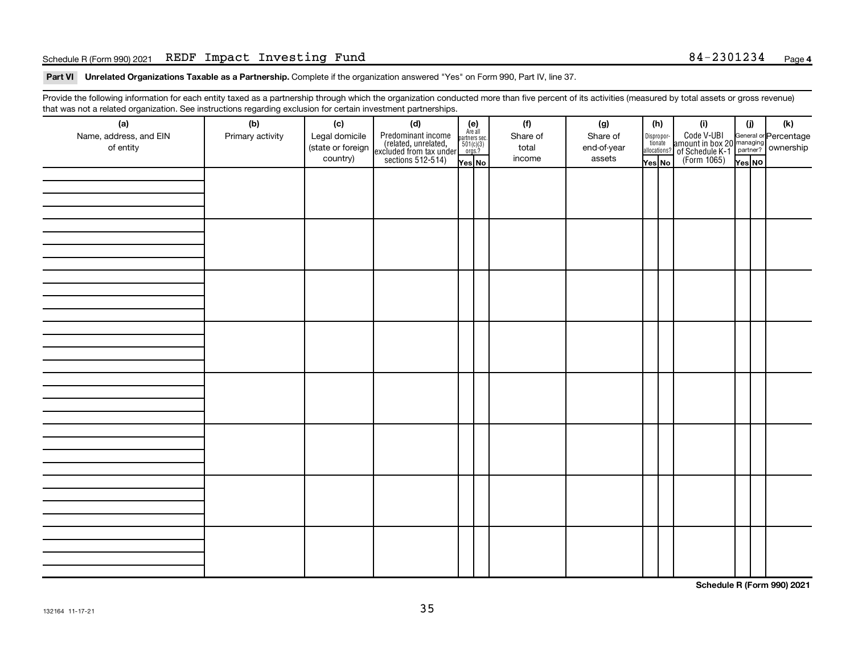#### Schedule R (Form 990) 2021 Page REDF Impact Investing Fund 84-2301234

Part VI Unrelated Organizations Taxable as a Partnership. Complete if the organization answered "Yes" on Form 990, Part IV, line 37.

Provide the following information for each entity taxed as a partnership through which the organization conducted more than five percent of its activities (measured by total assets or gross revenue) that was not a related organization. See instructions regarding exclusion for certain investment partnerships.

| (a)                    | (b)              | (c)               | . <b>. .</b><br><br>(d)                                                                    |                                                              | (f)      | (g)         | (h)                   | (i)                                                                                              | (i)    | (k) |  |
|------------------------|------------------|-------------------|--------------------------------------------------------------------------------------------|--------------------------------------------------------------|----------|-------------|-----------------------|--------------------------------------------------------------------------------------------------|--------|-----|--|
| Name, address, and EIN | Primary activity | Legal domicile    |                                                                                            | (e)<br>Are all<br>partners sec.<br>$\frac{501(c)(3)}{0rgs?}$ | Share of | Share of    |                       |                                                                                                  |        |     |  |
| of entity              |                  | (state or foreign |                                                                                            |                                                              | total    | end-of-year | Dispropor-<br>tionate |                                                                                                  |        |     |  |
|                        |                  | country)          | Predominant income<br>(related, unrelated,<br>excluded from tax under<br>sections 512-514) |                                                              | income   | assets      | allocations?          | Code V-UBI<br>amount in box 20 managing<br>of Schedule K-1<br>(Form 1065)<br>$\overline{Yes}$ No |        |     |  |
|                        |                  |                   |                                                                                            | Yes No                                                       |          |             | Yes No                |                                                                                                  | Yes NO |     |  |
|                        |                  |                   |                                                                                            |                                                              |          |             |                       |                                                                                                  |        |     |  |
|                        |                  |                   |                                                                                            |                                                              |          |             |                       |                                                                                                  |        |     |  |
|                        |                  |                   |                                                                                            |                                                              |          |             |                       |                                                                                                  |        |     |  |
|                        |                  |                   |                                                                                            |                                                              |          |             |                       |                                                                                                  |        |     |  |
|                        |                  |                   |                                                                                            |                                                              |          |             |                       |                                                                                                  |        |     |  |
|                        |                  |                   |                                                                                            |                                                              |          |             |                       |                                                                                                  |        |     |  |
|                        |                  |                   |                                                                                            |                                                              |          |             |                       |                                                                                                  |        |     |  |
|                        |                  |                   |                                                                                            |                                                              |          |             |                       |                                                                                                  |        |     |  |
|                        |                  |                   |                                                                                            |                                                              |          |             |                       |                                                                                                  |        |     |  |
|                        |                  |                   |                                                                                            |                                                              |          |             |                       |                                                                                                  |        |     |  |
|                        |                  |                   |                                                                                            |                                                              |          |             |                       |                                                                                                  |        |     |  |
|                        |                  |                   |                                                                                            |                                                              |          |             |                       |                                                                                                  |        |     |  |
|                        |                  |                   |                                                                                            |                                                              |          |             |                       |                                                                                                  |        |     |  |
|                        |                  |                   |                                                                                            |                                                              |          |             |                       |                                                                                                  |        |     |  |
|                        |                  |                   |                                                                                            |                                                              |          |             |                       |                                                                                                  |        |     |  |
|                        |                  |                   |                                                                                            |                                                              |          |             |                       |                                                                                                  |        |     |  |
|                        |                  |                   |                                                                                            |                                                              |          |             |                       |                                                                                                  |        |     |  |
|                        |                  |                   |                                                                                            |                                                              |          |             |                       |                                                                                                  |        |     |  |
|                        |                  |                   |                                                                                            |                                                              |          |             |                       |                                                                                                  |        |     |  |
|                        |                  |                   |                                                                                            |                                                              |          |             |                       |                                                                                                  |        |     |  |
|                        |                  |                   |                                                                                            |                                                              |          |             |                       |                                                                                                  |        |     |  |
|                        |                  |                   |                                                                                            |                                                              |          |             |                       |                                                                                                  |        |     |  |
|                        |                  |                   |                                                                                            |                                                              |          |             |                       |                                                                                                  |        |     |  |
|                        |                  |                   |                                                                                            |                                                              |          |             |                       |                                                                                                  |        |     |  |
|                        |                  |                   |                                                                                            |                                                              |          |             |                       |                                                                                                  |        |     |  |
|                        |                  |                   |                                                                                            |                                                              |          |             |                       |                                                                                                  |        |     |  |
|                        |                  |                   |                                                                                            |                                                              |          |             |                       |                                                                                                  |        |     |  |
|                        |                  |                   |                                                                                            |                                                              |          |             |                       |                                                                                                  |        |     |  |
|                        |                  |                   |                                                                                            |                                                              |          |             |                       |                                                                                                  |        |     |  |
|                        |                  |                   |                                                                                            |                                                              |          |             |                       |                                                                                                  |        |     |  |
|                        |                  |                   |                                                                                            |                                                              |          |             |                       |                                                                                                  |        |     |  |
|                        |                  |                   |                                                                                            |                                                              |          |             |                       |                                                                                                  |        |     |  |
|                        |                  |                   |                                                                                            |                                                              |          |             |                       |                                                                                                  |        |     |  |
|                        |                  |                   |                                                                                            |                                                              |          |             |                       |                                                                                                  |        |     |  |
|                        |                  |                   |                                                                                            |                                                              |          |             |                       |                                                                                                  |        |     |  |

**Schedule R (Form 990) 2021**